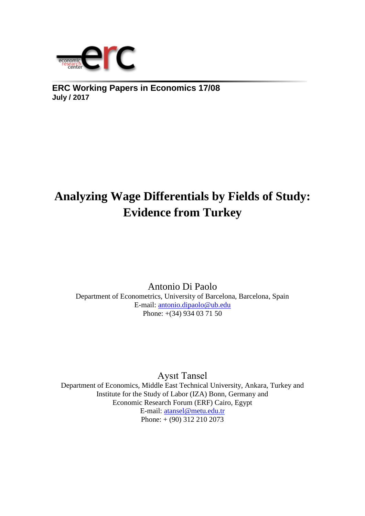

**ERC Working Papers in Economics 17/08 July / 2017**

# **Analyzing Wage Differentials by Fields of Study: Evidence from Turkey**

Antonio Di Paolo Department of Econometrics, University of Barcelona, Barcelona, Spain E-mail: [antonio.dipaolo@ub.edu](mailto:antonio.dipaolo@ub.edu) Phone: +(34) 934 03 71 50

Aysıt Tansel Department of Economics, Middle East Technical University, Ankara, Turkey and Institute for the Study of Labor (IZA) Bonn, Germany and Economic Research Forum (ERF) Cairo, Egypt E-mail: [atansel@metu.edu.tr](mailto:atansel@metu.edu.tr) Phone: + (90) 312 210 2073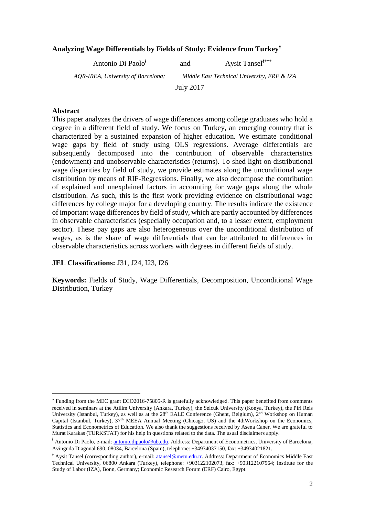## **Analyzing Wage Differentials by Fields of Study: Evidence from Turkey**<sup>ᛀ</sup>

| Antonio Di Paolo <sup>t</sup>      | and       | Aysit Tansel****                            |
|------------------------------------|-----------|---------------------------------------------|
| AQR-IREA, University of Barcelona; |           | Middle East Technical University, ERF & IZA |
|                                    | July 2017 |                                             |

#### **Abstract**

 $\overline{\phantom{a}}$ 

This paper analyzes the drivers of wage differences among college graduates who hold a degree in a different field of study. We focus on Turkey, an emerging country that is characterized by a sustained expansion of higher education. We estimate conditional wage gaps by field of study using OLS regressions. Average differentials are subsequently decomposed into the contribution of observable characteristics (endowment) and unobservable characteristics (returns). To shed light on distributional wage disparities by field of study, we provide estimates along the unconditional wage distribution by means of RIF-Regressions. Finally, we also decompose the contribution of explained and unexplained factors in accounting for wage gaps along the whole distribution. As such, this is the first work providing evidence on distributional wage differences by college major for a developing country. The results indicate the existence of important wage differences by field of study, which are partly accounted by differences in observable characteristics (especially occupation and, to a lesser extent, employment sector). These pay gaps are also heterogeneous over the unconditional distribution of wages, as is the share of wage differentials that can be attributed to differences in observable characteristics across workers with degrees in different fields of study.

**JEL Classifications:** J31, J24, I23, I26

**Keywords:** Fields of Study, Wage Differentials, Decomposition, Unconditional Wage Distribution, Turkey

<sup>ᛀ</sup> Funding from the MEC grant ECO2016-75805-R is gratefully acknowledged. This paper benefited from comments received in seminars at the Atilim University (Ankara, Turkey), the Selcuk University (Konya, Turkey), the Piri Reis University (Istanbul, Turkey), as well as at the 28<sup>th</sup> EALE Conference (Ghent, Belgium), 2<sup>nd</sup> Workshop on Human Capital (Istanbul, Turkey), 37<sup>th</sup> MEEA Annual Meeting (Chicago, US) and the 4thWorkshop on the Economics, Statistics and Econometrics of Education. We also thank the suggestions received by Asena Caner. We are grateful to Murat Karakas (TURKSTAT) for his help in questions related to the data. The usual disclaimers apply.

<sup>&</sup>lt;sup>†</sup> Antonio Di Paolo, e-mail: [antonio.dipaolo@ub.edu.](mailto:antonio.dipaolo@ub.edu) Address: Department of Econometrics, University of Barcelona, Avinguda Diagonal 690, 08034, Barcelona (Spain), telephone: +34934037150, fax: +34934021821.

<sup>ᛄ</sup> Aysit Tansel (corresponding author), e-mail[: atansel@metu.edu.tr.](mailto:atansel@metu.edu.tr) Address: Department of Economics Middle East Technical University, 06800 Ankara (Turkey), telephone: +903122102073, fax: +903122107964; Institute for the Study of Labor (IZA), Bonn, Germany; Economic Research Forum (ERF) Cairo, Egypt.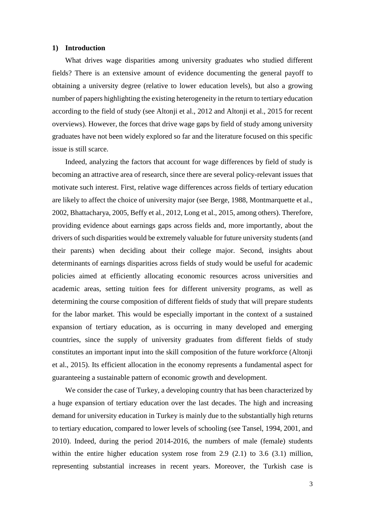#### **1) Introduction**

What drives wage disparities among university graduates who studied different fields? There is an extensive amount of evidence documenting the general payoff to obtaining a university degree (relative to lower education levels), but also a growing number of papers highlighting the existing heterogeneity in the return to tertiary education according to the field of study (see Altonji et al., 2012 and Altonji et al., 2015 for recent overviews). However, the forces that drive wage gaps by field of study among university graduates have not been widely explored so far and the literature focused on this specific issue is still scarce.

Indeed, analyzing the factors that account for wage differences by field of study is becoming an attractive area of research, since there are several policy-relevant issues that motivate such interest. First, relative wage differences across fields of tertiary education are likely to affect the choice of university major (see Berge, 1988, Montmarquette et al., 2002, Bhattacharya, 2005, Beffy et al., 2012, Long et al., 2015, among others). Therefore, providing evidence about earnings gaps across fields and, more importantly, about the drivers of such disparities would be extremely valuable for future university students (and their parents) when deciding about their college major. Second, insights about determinants of earnings disparities across fields of study would be useful for academic policies aimed at efficiently allocating economic resources across universities and academic areas, setting tuition fees for different university programs, as well as determining the course composition of different fields of study that will prepare students for the labor market. This would be especially important in the context of a sustained expansion of tertiary education, as is occurring in many developed and emerging countries, since the supply of university graduates from different fields of study constitutes an important input into the skill composition of the future workforce (Altonji et al., 2015). Its efficient allocation in the economy represents a fundamental aspect for guaranteeing a sustainable pattern of economic growth and development.

We consider the case of Turkey, a developing country that has been characterized by a huge expansion of tertiary education over the last decades. The high and increasing demand for university education in Turkey is mainly due to the substantially high returns to tertiary education, compared to lower levels of schooling (see Tansel, 1994, 2001, and 2010). Indeed, during the period 2014-2016, the numbers of male (female) students within the entire higher education system rose from 2.9 (2.1) to 3.6 (3.1) million, representing substantial increases in recent years. Moreover, the Turkish case is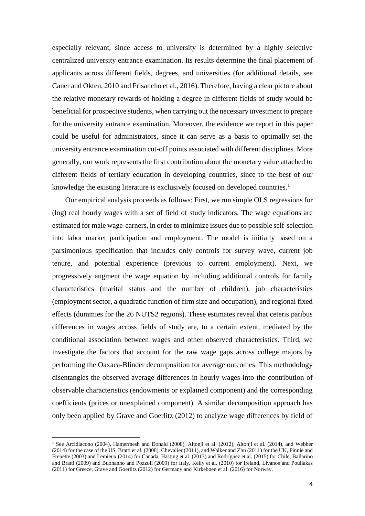especially relevant, since access to university is determined by a highly selective centralized university entrance examination. Its results determine the final placement of applicants across different fields, degrees, and universities (for additional details, see Caner and Okten, 2010 and Frisancho et al., 2016). Therefore, having a clear picture about the relative monetary rewards of holding a degree in different fields of study would be beneficial for prospective students, when carrying out the necessary investment to prepare for the university entrance examination. Moreover, the evidence we report in this paper could be useful for administrators, since it can serve as a basis to optimally set the university entrance examination cut-off points associated with different disciplines. More generally, our work represents the first contribution about the monetary value attached to different fields of tertiary education in developing countries, since to the best of our knowledge the existing literature is exclusively focused on developed countries.<sup>1</sup>

Our empirical analysis proceeds as follows: First, we run simple OLS regressions for (log) real hourly wages with a set of field of study indicators. The wage equations are estimated for male wage-earners, in order to minimize issues due to possible self-selection into labor market participation and employment. The model is initially based on a parsimonious specification that includes only controls for survey wave, current job tenure, and potential experience (previous to current employment). Next, we progressively augment the wage equation by including additional controls for family characteristics (marital status and the number of children), job characteristics (employment sector, a quadratic function of firm size and occupation), and regional fixed effects (dummies for the 26 NUTS2 regions). These estimates reveal that ceteris paribus differences in wages across fields of study are, to a certain extent, mediated by the conditional association between wages and other observed characteristics. Third, we investigate the factors that account for the raw wage gaps across college majors by performing the Oaxaca-Blinder decomposition for average outcomes. This methodology disentangles the observed average differences in hourly wages into the contribution of observable characteristics (endowments or explained component) and the corresponding coefficients (prices or unexplained component). A similar decomposition approach has only been applied by Grave and Goerlitz (2012) to analyze wage differences by field of

1

<sup>&</sup>lt;sup>1</sup> See Arcidiacono (2004), Hamermesh and Donald (2008), Altonii et al. (2012), Altonii et al. (2014), and Webber (2014) for the case of the US, Bratti et al. (2008), Chevalier (2011), and Walker and Zhu (2011) for the UK, Finnie and Frenette (2003) and Lemieux (2014) for Canada, Hasting et al. (2013) and Rodríguez et al. (2015) for Chile, Ballarino and Bratti (2009) and Buonanno and Pozzoli (2009) for Italy, Kelly et al. (2010) for Ireland, Livanos and Pouliakas (2011) for Greece, Grave and Goerlitz (2012) for Germany and Kirkebøen et al. (2016) for Norway.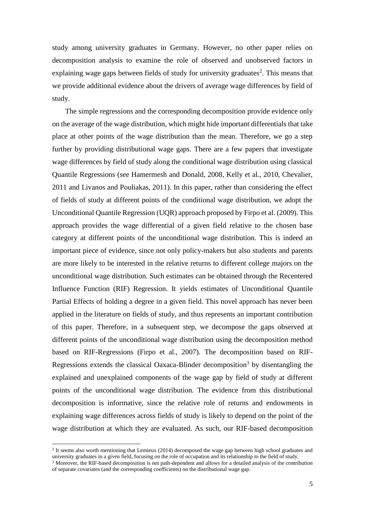study among university graduates in Germany. However, no other paper relies on decomposition analysis to examine the role of observed and unobserved factors in explaining wage gaps between fields of study for university graduates<sup>2</sup>. This means that we provide additional evidence about the drivers of average wage differences by field of study.

The simple regressions and the corresponding decomposition provide evidence only on the average of the wage distribution, which might hide important differentials that take place at other points of the wage distribution than the mean. Therefore, we go a step further by providing distributional wage gaps. There are a few papers that investigate wage differences by field of study along the conditional wage distribution using classical Quantile Regressions (see Hamermesh and Donald, 2008, Kelly et al., 2010, Chevalier, 2011 and Livanos and Pouliakas, 2011). In this paper, rather than considering the effect of fields of study at different points of the conditional wage distribution, we adopt the Unconditional Quantile Regression (UQR) approach proposed by Firpo et al. (2009). This approach provides the wage differential of a given field relative to the chosen base category at different points of the unconditional wage distribution. This is indeed an important piece of evidence, since not only policy-makers but also students and parents are more likely to be interested in the relative returns to different college majors on the unconditional wage distribution. Such estimates can be obtained through the Recentered Influence Function (RIF) Regression. It yields estimates of Unconditional Quantile Partial Effects of holding a degree in a given field. This novel approach has never been applied in the literature on fields of study, and thus represents an important contribution of this paper. Therefore, in a subsequent step, we decompose the gaps observed at different points of the unconditional wage distribution using the decomposition method based on RIF-Regressions (Firpo et al., 2007). The decomposition based on RIF-Regressions extends the classical Oaxaca-Blinder decomposition<sup>3</sup> by disentangling the explained and unexplained components of the wage gap by field of study at different points of the unconditional wage distribution. The evidence from this distributional decomposition is informative, since the relative role of returns and endowments in explaining wage differences across fields of study is likely to depend on the point of the wage distribution at which they are evaluated. As such, our RIF-based decomposition

<sup>&</sup>lt;sup>2</sup> It seems also worth mentioning that Lemieux (2014) decomposed the wage gap between high school graduates and university graduates in a given field, focusing on the role of occupation and its relationship to the field of study.

 $3$  Moreover, the RIF-based decomposition is not path-dependent and allows for a detailed analysis of the contribution of separate covariates (and the corresponding coefficients) on the distributional wage gap.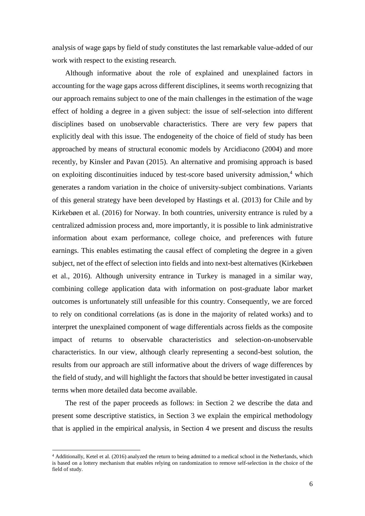analysis of wage gaps by field of study constitutes the last remarkable value-added of our work with respect to the existing research.

Although informative about the role of explained and unexplained factors in accounting for the wage gaps across different disciplines, it seems worth recognizing that our approach remains subject to one of the main challenges in the estimation of the wage effect of holding a degree in a given subject: the issue of self-selection into different disciplines based on unobservable characteristics. There are very few papers that explicitly deal with this issue. The endogeneity of the choice of field of study has been approached by means of structural economic models by Arcidiacono (2004) and more recently, by Kinsler and Pavan (2015). An alternative and promising approach is based on exploiting discontinuities induced by test-score based university admission, $4$  which generates a random variation in the choice of university-subject combinations. Variants of this general strategy have been developed by Hastings et al. (2013) for Chile and by Kirkebøen et al. (2016) for Norway. In both countries, university entrance is ruled by a centralized admission process and, more importantly, it is possible to link administrative information about exam performance, college choice, and preferences with future earnings. This enables estimating the causal effect of completing the degree in a given subject, net of the effect of selection into fields and into next-best alternatives (Kirkebøen et al., 2016). Although university entrance in Turkey is managed in a similar way, combining college application data with information on post-graduate labor market outcomes is unfortunately still unfeasible for this country. Consequently, we are forced to rely on conditional correlations (as is done in the majority of related works) and to interpret the unexplained component of wage differentials across fields as the composite impact of returns to observable characteristics and selection-on-unobservable characteristics. In our view, although clearly representing a second-best solution, the results from our approach are still informative about the drivers of wage differences by the field of study, and will highlight the factors that should be better investigated in causal terms when more detailed data become available.

The rest of the paper proceeds as follows: in Section 2 we describe the data and present some descriptive statistics, in Section 3 we explain the empirical methodology that is applied in the empirical analysis, in Section 4 we present and discuss the results

1

<sup>4</sup> Additionally, Ketel et al. (2016) analyzed the return to being admitted to a medical school in the Netherlands, which is based on a lottery mechanism that enables relying on randomization to remove self-selection in the choice of the field of study.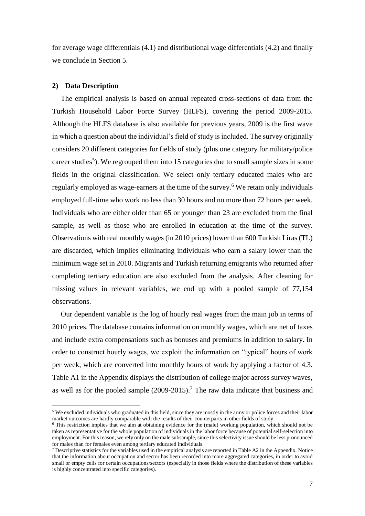for average wage differentials (4.1) and distributional wage differentials (4.2) and finally we conclude in Section 5.

#### **2) Data Description**

1

The empirical analysis is based on annual repeated cross-sections of data from the Turkish Household Labor Force Survey (HLFS), covering the period 2009-2015. Although the HLFS database is also available for previous years, 2009 is the first wave in which a question about the individual's field of study is included. The survey originally considers 20 different categories for fields of study (plus one category for military/police career studies<sup>5</sup>). We regrouped them into 15 categories due to small sample sizes in some fields in the original classification. We select only tertiary educated males who are regularly employed as wage-earners at the time of the survey.<sup>6</sup> We retain only individuals employed full-time who work no less than 30 hours and no more than 72 hours per week. Individuals who are either older than 65 or younger than 23 are excluded from the final sample, as well as those who are enrolled in education at the time of the survey. Observations with real monthly wages (in 2010 prices) lower than 600 Turkish Liras (TL) are discarded, which implies eliminating individuals who earn a salary lower than the minimum wage set in 2010. Migrants and Turkish returning emigrants who returned after completing tertiary education are also excluded from the analysis. After cleaning for missing values in relevant variables, we end up with a pooled sample of 77,154 observations.

Our dependent variable is the log of hourly real wages from the main job in terms of 2010 prices. The database contains information on monthly wages, which are net of taxes and include extra compensations such as bonuses and premiums in addition to salary. In order to construct hourly wages, we exploit the information on "typical" hours of work per week, which are converted into monthly hours of work by applying a factor of 4.3. Table A1 in the Appendix displays the distribution of college major across survey waves, as well as for the pooled sample  $(2009-2015)$ .<sup>7</sup> The raw data indicate that business and

<sup>5</sup> We excluded individuals who graduated in this field, since they are mostly in the army or police forces and their labor market outcomes are hardly comparable with the results of their counterparts in other fields of study.

<sup>6</sup> This restriction implies that we aim at obtaining evidence for the (male) working population, which should not be taken as representative for the whole population of individuals in the labor force because of potential self-selection into employment. For this reason, we rely only on the male subsample, since this selectivity issue should be less pronounced for males than for females even among tertiary educated individuals.

<sup>&</sup>lt;sup>7</sup> Descriptive statistics for the variables used in the empirical analysis are reported in Table A2 in the Appendix. Notice that the information about occupation and sector has been recorded into more aggregated categories, in order to avoid small or empty cells for certain occupations/sectors (especially in those fields where the distribution of these variables is highly concentrated into specific categories).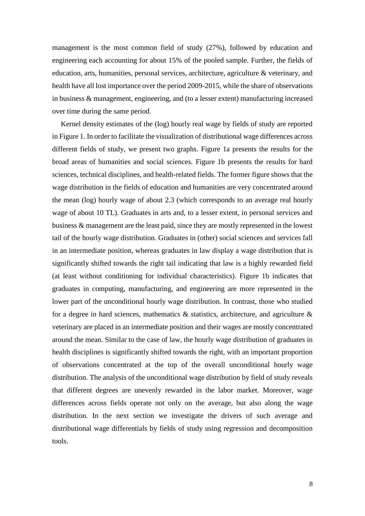management is the most common field of study (27%), followed by education and engineering each accounting for about 15% of the pooled sample. Further, the fields of education, arts, humanities, personal services, architecture, agriculture & veterinary, and health have all lost importance over the period 2009-2015, while the share of observations in business & management, engineering, and (to a lesser extent) manufacturing increased over time during the same period.

Kernel density estimates of the (log) hourly real wage by fields of study are reported in Figure 1. In order to facilitate the visualization of distributional wage differences across different fields of study, we present two graphs. Figure 1a presents the results for the broad areas of humanities and social sciences. Figure 1b presents the results for hard sciences, technical disciplines, and health-related fields. The former figure shows that the wage distribution in the fields of education and humanities are very concentrated around the mean (log) hourly wage of about 2.3 (which corresponds to an average real hourly wage of about 10 TL). Graduates in arts and, to a lesser extent, in personal services and business & management are the least paid, since they are mostly represented in the lowest tail of the hourly wage distribution. Graduates in (other) social sciences and services fall in an intermediate position, whereas graduates in law display a wage distribution that is significantly shifted towards the right tail indicating that law is a highly rewarded field (at least without conditioning for individual characteristics). Figure 1b indicates that graduates in computing, manufacturing, and engineering are more represented in the lower part of the unconditional hourly wage distribution. In contrast, those who studied for a degree in hard sciences, mathematics  $\&$  statistics, architecture, and agriculture  $\&$ veterinary are placed in an intermediate position and their wages are mostly concentrated around the mean. Similar to the case of law, the hourly wage distribution of graduates in health disciplines is significantly shifted towards the right, with an important proportion of observations concentrated at the top of the overall unconditional hourly wage distribution. The analysis of the unconditional wage distribution by field of study reveals that different degrees are unevenly rewarded in the labor market. Moreover, wage differences across fields operate not only on the average, but also along the wage distribution. In the next section we investigate the drivers of such average and distributional wage differentials by fields of study using regression and decomposition tools.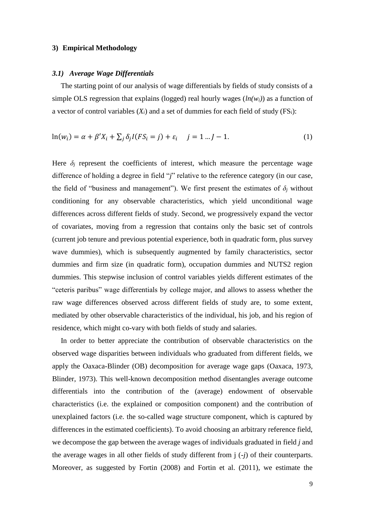#### **3) Empirical Methodology**

#### *3.1) Average Wage Differentials*

The starting point of our analysis of wage differentials by fields of study consists of a simple OLS regression that explains (logged) real hourly wages (*ln(wi)*) as a function of a vector of control variables  $(X_i)$  and a set of dummies for each field of study  $(FS_i)$ :

$$
\ln(w_i) = \alpha + \beta' X_i + \sum_j \delta_j I(FS_i = j) + \varepsilon_i \quad j = 1 \dots J - 1. \tag{1}
$$

Here  $\delta$ <sup>*j*</sup> represent the coefficients of interest, which measure the percentage wage difference of holding a degree in field "*j*" relative to the reference category (in our case, the field of "business and management"). We first present the estimates of  $\delta_i$  without conditioning for any observable characteristics, which yield unconditional wage differences across different fields of study. Second, we progressively expand the vector of covariates, moving from a regression that contains only the basic set of controls (current job tenure and previous potential experience, both in quadratic form, plus survey wave dummies), which is subsequently augmented by family characteristics, sector dummies and firm size (in quadratic form), occupation dummies and NUTS2 region dummies. This stepwise inclusion of control variables yields different estimates of the "ceteris paribus" wage differentials by college major, and allows to assess whether the raw wage differences observed across different fields of study are, to some extent, mediated by other observable characteristics of the individual, his job, and his region of residence, which might co-vary with both fields of study and salaries.

In order to better appreciate the contribution of observable characteristics on the observed wage disparities between individuals who graduated from different fields, we apply the Oaxaca-Blinder (OB) decomposition for average wage gaps (Oaxaca, 1973, Blinder, 1973). This well-known decomposition method disentangles average outcome differentials into the contribution of the (average) endowment of observable characteristics (i.e. the explained or composition component) and the contribution of unexplained factors (i.e. the so-called wage structure component, which is captured by differences in the estimated coefficients). To avoid choosing an arbitrary reference field, we decompose the gap between the average wages of individuals graduated in field *j* and the average wages in all other fields of study different from j (*-j*) of their counterparts. Moreover, as suggested by Fortin (2008) and Fortin et al. (2011), we estimate the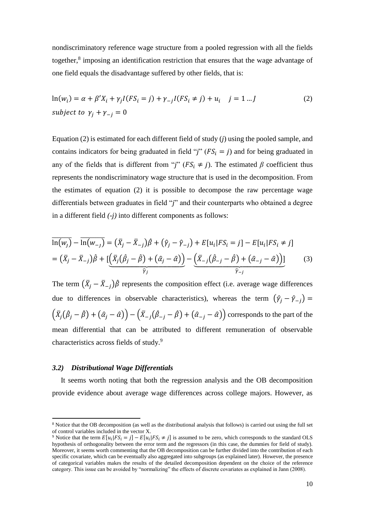nondiscriminatory reference wage structure from a pooled regression with all the fields together,<sup>8</sup> imposing an identification restriction that ensures that the wage advantage of one field equals the disadvantage suffered by other fields, that is:

$$
\ln(w_i) = \alpha + \beta' X_i + \gamma_j I(FS_i = j) + \gamma_{-j} I(FS_i \neq j) + u_i \quad j = 1 \dots J
$$
  
subject to  $\gamma_j + \gamma_{-j} = 0$  (2)

Equation (2) is estimated for each different field of study (*j*) using the pooled sample, and contains indicators for being graduated in field "*j*" ( $FS_i = j$ ) and for being graduated in any of the fields that is different from "*j*" ( $FS_i \neq j$ ). The estimated  $\beta$  coefficient thus represents the nondiscriminatory wage structure that is used in the decomposition. From the estimates of equation (2) it is possible to decompose the raw percentage wage differentials between graduates in field "*j*" and their counterparts who obtained a degree in a different field *(-j)* into different components as follows:

$$
\overline{\ln(w_j)} - \overline{\ln(w_{-j})} = (\overline{X}_j - \overline{X}_{-j})\hat{\beta} + (\hat{\gamma}_j - \hat{\gamma}_{-j}) + E[u_i|FS_i = j] - E[u_i|FS_i \neq j] \n= (\overline{X}_j - \overline{X}_{-j})\hat{\beta} + [\underbrace{(\overline{X}_j(\hat{\beta}_j - \hat{\beta}) + (\hat{\alpha}_j - \hat{\alpha}))}_{\widehat{\gamma}_j} - \underbrace{(\overline{X}_{-j}(\hat{\beta}_{-j} - \hat{\beta}) + (\hat{\alpha}_{-j} - \hat{\alpha}))}_{\widehat{\gamma}_{-j}}]
$$
\n(3)

The term  $(\bar{X}_j - \bar{X}_{-j})\hat{\beta}$  represents the composition effect (i.e. average wage differences due to differences in observable characteristics), whereas the term  $(\hat{\gamma}_i - \hat{\gamma}_{-i})$  =  $(\bar{X}_j(\hat{\beta}_j - \hat{\beta}) + (\hat{\alpha}_j - \hat{\alpha})) - (\bar{X}_{-j}(\hat{\beta}_{-j} - \hat{\beta}) + (\hat{\alpha}_{-j} - \hat{\alpha}))$  corresponds to the part of the mean differential that can be attributed to different remuneration of observable characteristics across fields of study.<sup>9</sup>

#### *3.2) Distributional Wage Differentials*

**.** 

It seems worth noting that both the regression analysis and the OB decomposition provide evidence about average wage differences across college majors. However, as

<sup>8</sup> Notice that the OB decomposition (as well as the distributional analysis that follows) is carried out using the full set of control variables included in the vector X.

<sup>&</sup>lt;sup>9</sup> Notice that the term  $E[u_i|FS_i = j] - E[u_i|FS_i \neq j]$  is assumed to be zero, which corresponds to the standard OLS hypothesis of orthogonality between the error term and the regressors (in this case, the dummies for field of study). Moreover, it seems worth commenting that the OB decomposition can be further divided into the contribution of each specific covariate, which can be eventually also aggregated into subgroups (as explained later). However, the presence of categorical variables makes the results of the detailed decomposition dependent on the choice of the reference category. This issue can be avoided by "normalizing" the effects of discrete covariates as explained in Jann (2008).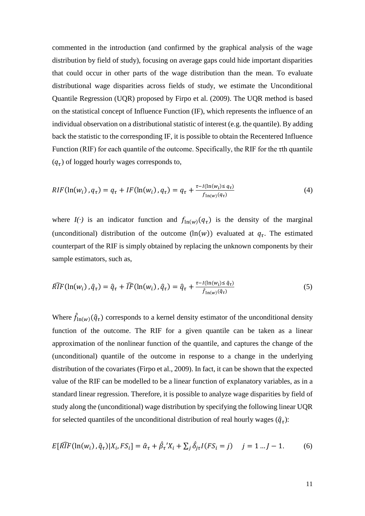commented in the introduction (and confirmed by the graphical analysis of the wage distribution by field of study), focusing on average gaps could hide important disparities that could occur in other parts of the wage distribution than the mean. To evaluate distributional wage disparities across fields of study, we estimate the Unconditional Quantile Regression (UQR) proposed by Firpo et al. (2009). The UQR method is based on the statistical concept of Influence Function (IF), which represents the influence of an individual observation on a distributional statistic of interest (e.g. the quantile). By adding back the statistic to the corresponding IF, it is possible to obtain the Recentered Influence Function (RIF) for each quantile of the outcome. Specifically, the RIF for the  $\tau$ th quantile  $(q<sub>\tau</sub>)$  of logged hourly wages corresponds to,

$$
RIF(\ln(w_i), q_\tau) = q_\tau + IF(\ln(w_i), q_\tau) = q_\tau + \frac{\tau - I(\ln(w_i) \le q_\tau)}{f_{\ln(w)}(q_\tau)}
$$
(4)

where  $I(\cdot)$  is an indicator function and  $f_{\text{ln}(w)}(q_\tau)$  is the density of the marginal (unconditional) distribution of the outcome  $(\ln(w))$  evaluated at  $q_\tau$ . The estimated counterpart of the RIF is simply obtained by replacing the unknown components by their sample estimators, such as,

$$
\widehat{RIF}(\ln(w_i), \hat{q}_\tau) = \hat{q}_\tau + \widehat{IF}(\ln(w_i), \hat{q}_\tau) = \hat{q}_\tau + \frac{\tau - I(\ln(w_i) \leq \hat{q}_\tau)}{\hat{f}_{\ln(w)}(\hat{q}_\tau)}
$$
(5)

Where  $\hat{f}_{\ln(w)}(\hat{q}_\tau)$  corresponds to a kernel density estimator of the unconditional density function of the outcome. The RIF for a given quantile can be taken as a linear approximation of the nonlinear function of the quantile, and captures the change of the (unconditional) quantile of the outcome in response to a change in the underlying distribution of the covariates (Firpo et al., 2009). In fact, it can be shown that the expected value of the RIF can be modelled to be a linear function of explanatory variables, as in a standard linear regression. Therefore, it is possible to analyze wage disparities by field of study along the (unconditional) wage distribution by specifying the following linear UQR for selected quantiles of the unconditional distribution of real hourly wages  $(\hat{q}_\tau)$ :

$$
E[\widehat{RIF}(\ln(w_i), \widehat{q}_\tau)|X_i, FS_i] = \widehat{\alpha}_\tau + \widehat{\beta}_\tau' X_i + \sum_j \widehat{\delta}_{j\tau} I(FS_i = j) \quad j = 1 \dots J - 1. \tag{6}
$$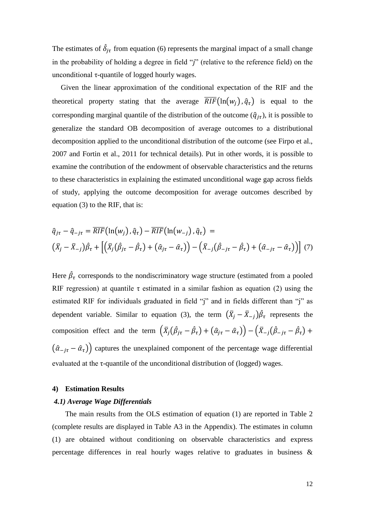The estimates of  $\hat{\delta}_{j\tau}$  from equation (6) represents the marginal impact of a small change in the probability of holding a degree in field "*j*" (relative to the reference field) on the unconditional  $\tau$ -quantile of logged hourly wages.

Given the linear approximation of the conditional expectation of the RIF and the theoretical property stating that the average  $\overline{RIF}(\ln(w_i), \hat{q}_\tau)$  is equal to the corresponding marginal quantile of the distribution of the outcome ( $\hat{q}_{j\tau}$ ), it is possible to generalize the standard OB decomposition of average outcomes to a distributional decomposition applied to the unconditional distribution of the outcome (see Firpo et al., 2007 and Fortin et al., 2011 for technical details). Put in other words, it is possible to examine the contribution of the endowment of observable characteristics and the returns to these characteristics in explaining the estimated unconditional wage gap across fields of study, applying the outcome decomposition for average outcomes described by equation (3) to the RIF, that is:

$$
\begin{aligned}\n\hat{q}_{j\tau} - \hat{q}_{-j\tau} &= \overline{RIF}(\ln(w_j), \hat{q}_{\tau}) - \overline{RIF}(\ln(w_{-j}), \hat{q}_{\tau}) = \\
(\bar{X}_j - \bar{X}_{-j})\hat{\beta}_{\tau} + \left[ \left( \bar{X}_j(\hat{\beta}_{j\tau} - \hat{\beta}_{\tau}) + (\hat{\alpha}_{j\tau} - \hat{\alpha}_{\tau}) \right) - \left( \bar{X}_{-j}(\hat{\beta}_{-j\tau} - \hat{\beta}_{\tau}) + (\hat{\alpha}_{-j\tau} - \hat{\alpha}_{\tau}) \right) \right] \tag{7}\n\end{aligned}
$$

Here  $\hat{\beta}_{\tau}$  corresponds to the nondiscriminatory wage structure (estimated from a pooled RIF regression) at quantile  $\tau$  estimated in a similar fashion as equation (2) using the estimated RIF for individuals graduated in field "j" and in fields different than "j" as dependent variable. Similar to equation (3), the term  $(\bar{X}_j - \bar{X}_{-j})\hat{\beta}_{\tau}$  represents the composition effect and the term  $(\bar{X}_j(\hat{\beta}_{j\tau} - \hat{\beta}_{\tau}) + (\hat{\alpha}_{j\tau} - \hat{\alpha}_{\tau})) - (\bar{X}_{-j}(\hat{\beta}_{-j\tau} - \hat{\beta}_{\tau}) +$  $(\hat{a}_{-j\tau} - \hat{a}_{\tau})$  captures the unexplained component of the percentage wage differential evaluated at the  $\tau$ -quantile of the unconditional distribution of (logged) wages.

#### **4) Estimation Results**

#### *4.1) Average Wage Differentials*

The main results from the OLS estimation of equation (1) are reported in Table 2 (complete results are displayed in Table A3 in the Appendix). The estimates in column (1) are obtained without conditioning on observable characteristics and express percentage differences in real hourly wages relative to graduates in business &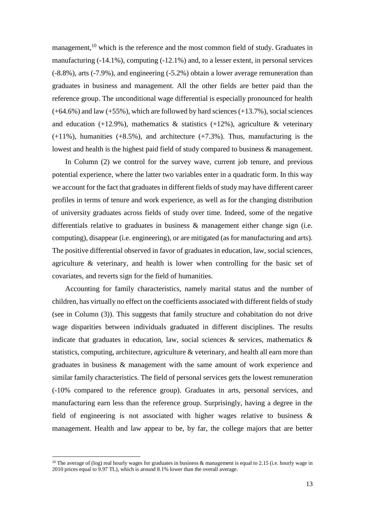management,<sup>10</sup> which is the reference and the most common field of study. Graduates in manufacturing (-14.1%), computing (-12.1%) and, to a lesser extent, in personal services (-8.8%), arts (-7.9%), and engineering (-5.2%) obtain a lower average remuneration than graduates in business and management. All the other fields are better paid than the reference group. The unconditional wage differential is especially pronounced for health  $(+64.6%)$  and law  $(+55%)$ , which are followed by hard sciences  $(+13.7%)$ , social sciences and education (+12.9%), mathematics  $\&$  statistics (+12%), agriculture  $\&$  veterinary  $(+11\%)$ , humanities  $(+8.5\%)$ , and architecture  $(+7.3\%)$ . Thus, manufacturing is the lowest and health is the highest paid field of study compared to business & management.

In Column (2) we control for the survey wave, current job tenure, and previous potential experience, where the latter two variables enter in a quadratic form. In this way we account for the fact that graduates in different fields of study may have different career profiles in terms of tenure and work experience, as well as for the changing distribution of university graduates across fields of study over time. Indeed, some of the negative differentials relative to graduates in business & management either change sign (i.e. computing), disappear (i.e. engineering), or are mitigated (as for manufacturing and arts). The positive differential observed in favor of graduates in education, law, social sciences, agriculture & veterinary, and health is lower when controlling for the basic set of covariates, and reverts sign for the field of humanities.

Accounting for family characteristics, namely marital status and the number of children, has virtually no effect on the coefficients associated with different fields of study (see in Column (3)). This suggests that family structure and cohabitation do not drive wage disparities between individuals graduated in different disciplines. The results indicate that graduates in education, law, social sciences  $\&$  services, mathematics  $\&$ statistics, computing, architecture, agriculture & veterinary, and health all earn more than graduates in business & management with the same amount of work experience and similar family characteristics. The field of personal services gets the lowest remuneration (-10% compared to the reference group). Graduates in arts, personal services, and manufacturing earn less than the reference group. Surprisingly, having a degree in the field of engineering is not associated with higher wages relative to business  $\&$ management. Health and law appear to be, by far, the college majors that are better

1

<sup>&</sup>lt;sup>10</sup> The average of (log) real hourly wages for graduates in business & management is equal to 2.15 (i.e. hourly wage in 2010 prices equal to 9.97 TL), which is around 8.1% lower than the overall average.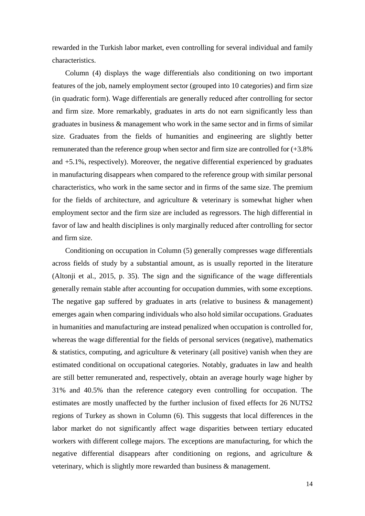rewarded in the Turkish labor market, even controlling for several individual and family characteristics.

Column (4) displays the wage differentials also conditioning on two important features of the job, namely employment sector (grouped into 10 categories) and firm size (in quadratic form). Wage differentials are generally reduced after controlling for sector and firm size. More remarkably, graduates in arts do not earn significantly less than graduates in business & management who work in the same sector and in firms of similar size. Graduates from the fields of humanities and engineering are slightly better remunerated than the reference group when sector and firm size are controlled for (+3.8% and +5.1%, respectively). Moreover, the negative differential experienced by graduates in manufacturing disappears when compared to the reference group with similar personal characteristics, who work in the same sector and in firms of the same size. The premium for the fields of architecture, and agriculture & veterinary is somewhat higher when employment sector and the firm size are included as regressors. The high differential in favor of law and health disciplines is only marginally reduced after controlling for sector and firm size.

Conditioning on occupation in Column (5) generally compresses wage differentials across fields of study by a substantial amount, as is usually reported in the literature (Altonji et al., 2015, p. 35). The sign and the significance of the wage differentials generally remain stable after accounting for occupation dummies, with some exceptions. The negative gap suffered by graduates in arts (relative to business & management) emerges again when comparing individuals who also hold similar occupations. Graduates in humanities and manufacturing are instead penalized when occupation is controlled for, whereas the wage differential for the fields of personal services (negative), mathematics  $\&$  statistics, computing, and agriculture  $\&$  veterinary (all positive) vanish when they are estimated conditional on occupational categories. Notably, graduates in law and health are still better remunerated and, respectively, obtain an average hourly wage higher by 31% and 40.5% than the reference category even controlling for occupation. The estimates are mostly unaffected by the further inclusion of fixed effects for 26 NUTS2 regions of Turkey as shown in Column (6). This suggests that local differences in the labor market do not significantly affect wage disparities between tertiary educated workers with different college majors. The exceptions are manufacturing, for which the negative differential disappears after conditioning on regions, and agriculture & veterinary, which is slightly more rewarded than business & management.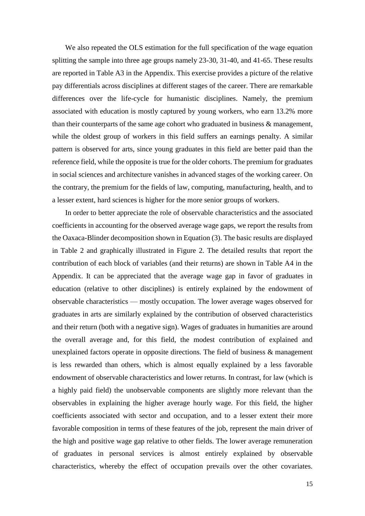We also repeated the OLS estimation for the full specification of the wage equation splitting the sample into three age groups namely 23-30, 31-40, and 41-65. These results are reported in Table A3 in the Appendix. This exercise provides a picture of the relative pay differentials across disciplines at different stages of the career. There are remarkable differences over the life-cycle for humanistic disciplines. Namely, the premium associated with education is mostly captured by young workers, who earn 13.2% more than their counterparts of the same age cohort who graduated in business & management, while the oldest group of workers in this field suffers an earnings penalty. A similar pattern is observed for arts, since young graduates in this field are better paid than the reference field, while the opposite is true for the older cohorts. The premium for graduates in social sciences and architecture vanishes in advanced stages of the working career. On the contrary, the premium for the fields of law, computing, manufacturing, health, and to a lesser extent, hard sciences is higher for the more senior groups of workers.

In order to better appreciate the role of observable characteristics and the associated coefficients in accounting for the observed average wage gaps, we report the results from the Oaxaca-Blinder decomposition shown in Equation (3). The basic results are displayed in Table 2 and graphically illustrated in Figure 2. The detailed results that report the contribution of each block of variables (and their returns) are shown in Table A4 in the Appendix. It can be appreciated that the average wage gap in favor of graduates in education (relative to other disciplines) is entirely explained by the endowment of observable characteristics — mostly occupation. The lower average wages observed for graduates in arts are similarly explained by the contribution of observed characteristics and their return (both with a negative sign). Wages of graduates in humanities are around the overall average and, for this field, the modest contribution of explained and unexplained factors operate in opposite directions. The field of business  $\&$  management is less rewarded than others, which is almost equally explained by a less favorable endowment of observable characteristics and lower returns. In contrast, for law (which is a highly paid field) the unobservable components are slightly more relevant than the observables in explaining the higher average hourly wage. For this field, the higher coefficients associated with sector and occupation, and to a lesser extent their more favorable composition in terms of these features of the job, represent the main driver of the high and positive wage gap relative to other fields. The lower average remuneration of graduates in personal services is almost entirely explained by observable characteristics, whereby the effect of occupation prevails over the other covariates.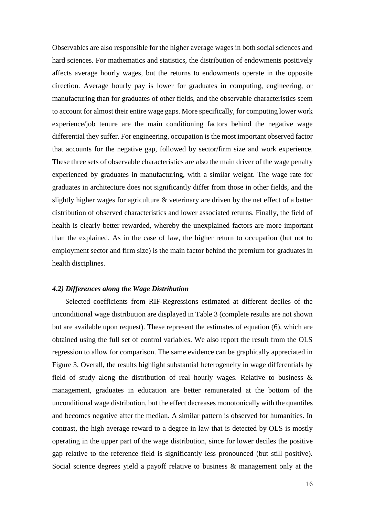Observables are also responsible for the higher average wages in both social sciences and hard sciences. For mathematics and statistics, the distribution of endowments positively affects average hourly wages, but the returns to endowments operate in the opposite direction. Average hourly pay is lower for graduates in computing, engineering, or manufacturing than for graduates of other fields, and the observable characteristics seem to account for almost their entire wage gaps. More specifically, for computing lower work experience/job tenure are the main conditioning factors behind the negative wage differential they suffer. For engineering, occupation is the most important observed factor that accounts for the negative gap, followed by sector/firm size and work experience. These three sets of observable characteristics are also the main driver of the wage penalty experienced by graduates in manufacturing, with a similar weight. The wage rate for graduates in architecture does not significantly differ from those in other fields, and the slightly higher wages for agriculture & veterinary are driven by the net effect of a better distribution of observed characteristics and lower associated returns. Finally, the field of health is clearly better rewarded, whereby the unexplained factors are more important than the explained. As in the case of law, the higher return to occupation (but not to employment sector and firm size) is the main factor behind the premium for graduates in health disciplines.

#### *4.2) Differences along the Wage Distribution*

Selected coefficients from RIF-Regressions estimated at different deciles of the unconditional wage distribution are displayed in Table 3 (complete results are not shown but are available upon request). These represent the estimates of equation (6), which are obtained using the full set of control variables. We also report the result from the OLS regression to allow for comparison. The same evidence can be graphically appreciated in Figure 3. Overall, the results highlight substantial heterogeneity in wage differentials by field of study along the distribution of real hourly wages. Relative to business & management, graduates in education are better remunerated at the bottom of the unconditional wage distribution, but the effect decreases monotonically with the quantiles and becomes negative after the median. A similar pattern is observed for humanities. In contrast, the high average reward to a degree in law that is detected by OLS is mostly operating in the upper part of the wage distribution, since for lower deciles the positive gap relative to the reference field is significantly less pronounced (but still positive). Social science degrees yield a payoff relative to business & management only at the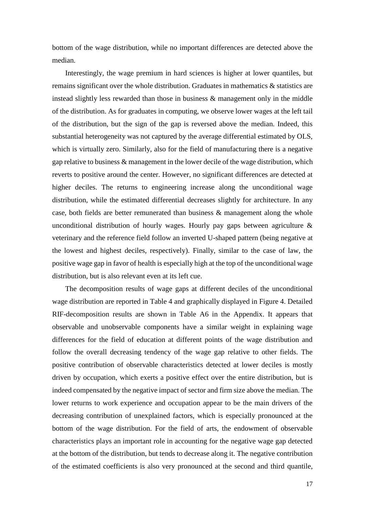bottom of the wage distribution, while no important differences are detected above the median.

Interestingly, the wage premium in hard sciences is higher at lower quantiles, but remains significant over the whole distribution. Graduates in mathematics & statistics are instead slightly less rewarded than those in business & management only in the middle of the distribution. As for graduates in computing, we observe lower wages at the left tail of the distribution, but the sign of the gap is reversed above the median. Indeed, this substantial heterogeneity was not captured by the average differential estimated by OLS, which is virtually zero. Similarly, also for the field of manufacturing there is a negative gap relative to business & management in the lower decile of the wage distribution, which reverts to positive around the center. However, no significant differences are detected at higher deciles. The returns to engineering increase along the unconditional wage distribution, while the estimated differential decreases slightly for architecture. In any case, both fields are better remunerated than business & management along the whole unconditional distribution of hourly wages. Hourly pay gaps between agriculture  $\&$ veterinary and the reference field follow an inverted U-shaped pattern (being negative at the lowest and highest deciles, respectively). Finally, similar to the case of law, the positive wage gap in favor of health is especially high at the top of the unconditional wage distribution, but is also relevant even at its left cue.

The decomposition results of wage gaps at different deciles of the unconditional wage distribution are reported in Table 4 and graphically displayed in Figure 4. Detailed RIF-decomposition results are shown in Table A6 in the Appendix. It appears that observable and unobservable components have a similar weight in explaining wage differences for the field of education at different points of the wage distribution and follow the overall decreasing tendency of the wage gap relative to other fields. The positive contribution of observable characteristics detected at lower deciles is mostly driven by occupation, which exerts a positive effect over the entire distribution, but is indeed compensated by the negative impact of sector and firm size above the median. The lower returns to work experience and occupation appear to be the main drivers of the decreasing contribution of unexplained factors, which is especially pronounced at the bottom of the wage distribution. For the field of arts, the endowment of observable characteristics plays an important role in accounting for the negative wage gap detected at the bottom of the distribution, but tends to decrease along it. The negative contribution of the estimated coefficients is also very pronounced at the second and third quantile,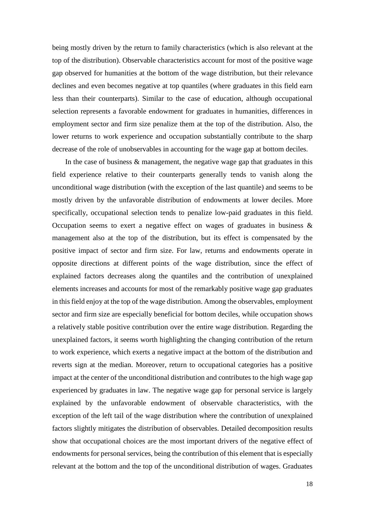being mostly driven by the return to family characteristics (which is also relevant at the top of the distribution). Observable characteristics account for most of the positive wage gap observed for humanities at the bottom of the wage distribution, but their relevance declines and even becomes negative at top quantiles (where graduates in this field earn less than their counterparts). Similar to the case of education, although occupational selection represents a favorable endowment for graduates in humanities, differences in employment sector and firm size penalize them at the top of the distribution. Also, the lower returns to work experience and occupation substantially contribute to the sharp decrease of the role of unobservables in accounting for the wage gap at bottom deciles.

In the case of business & management, the negative wage gap that graduates in this field experience relative to their counterparts generally tends to vanish along the unconditional wage distribution (with the exception of the last quantile) and seems to be mostly driven by the unfavorable distribution of endowments at lower deciles. More specifically, occupational selection tends to penalize low-paid graduates in this field. Occupation seems to exert a negative effect on wages of graduates in business  $\&$ management also at the top of the distribution, but its effect is compensated by the positive impact of sector and firm size. For law, returns and endowments operate in opposite directions at different points of the wage distribution, since the effect of explained factors decreases along the quantiles and the contribution of unexplained elements increases and accounts for most of the remarkably positive wage gap graduates in this field enjoy at the top of the wage distribution. Among the observables, employment sector and firm size are especially beneficial for bottom deciles, while occupation shows a relatively stable positive contribution over the entire wage distribution. Regarding the unexplained factors, it seems worth highlighting the changing contribution of the return to work experience, which exerts a negative impact at the bottom of the distribution and reverts sign at the median. Moreover, return to occupational categories has a positive impact at the center of the unconditional distribution and contributes to the high wage gap experienced by graduates in law. The negative wage gap for personal service is largely explained by the unfavorable endowment of observable characteristics, with the exception of the left tail of the wage distribution where the contribution of unexplained factors slightly mitigates the distribution of observables. Detailed decomposition results show that occupational choices are the most important drivers of the negative effect of endowments for personal services, being the contribution of this element that is especially relevant at the bottom and the top of the unconditional distribution of wages. Graduates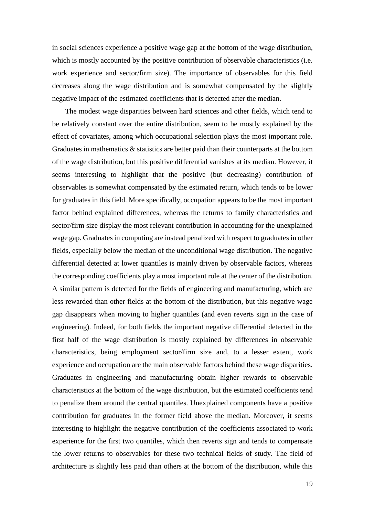in social sciences experience a positive wage gap at the bottom of the wage distribution, which is mostly accounted by the positive contribution of observable characteristics (i.e. work experience and sector/firm size). The importance of observables for this field decreases along the wage distribution and is somewhat compensated by the slightly negative impact of the estimated coefficients that is detected after the median.

The modest wage disparities between hard sciences and other fields, which tend to be relatively constant over the entire distribution, seem to be mostly explained by the effect of covariates, among which occupational selection plays the most important role. Graduates in mathematics & statistics are better paid than their counterparts at the bottom of the wage distribution, but this positive differential vanishes at its median. However, it seems interesting to highlight that the positive (but decreasing) contribution of observables is somewhat compensated by the estimated return, which tends to be lower for graduates in this field. More specifically, occupation appears to be the most important factor behind explained differences, whereas the returns to family characteristics and sector/firm size display the most relevant contribution in accounting for the unexplained wage gap. Graduates in computing are instead penalized with respect to graduates in other fields, especially below the median of the unconditional wage distribution. The negative differential detected at lower quantiles is mainly driven by observable factors, whereas the corresponding coefficients play a most important role at the center of the distribution. A similar pattern is detected for the fields of engineering and manufacturing, which are less rewarded than other fields at the bottom of the distribution, but this negative wage gap disappears when moving to higher quantiles (and even reverts sign in the case of engineering). Indeed, for both fields the important negative differential detected in the first half of the wage distribution is mostly explained by differences in observable characteristics, being employment sector/firm size and, to a lesser extent, work experience and occupation are the main observable factors behind these wage disparities. Graduates in engineering and manufacturing obtain higher rewards to observable characteristics at the bottom of the wage distribution, but the estimated coefficients tend to penalize them around the central quantiles. Unexplained components have a positive contribution for graduates in the former field above the median. Moreover, it seems interesting to highlight the negative contribution of the coefficients associated to work experience for the first two quantiles, which then reverts sign and tends to compensate the lower returns to observables for these two technical fields of study. The field of architecture is slightly less paid than others at the bottom of the distribution, while this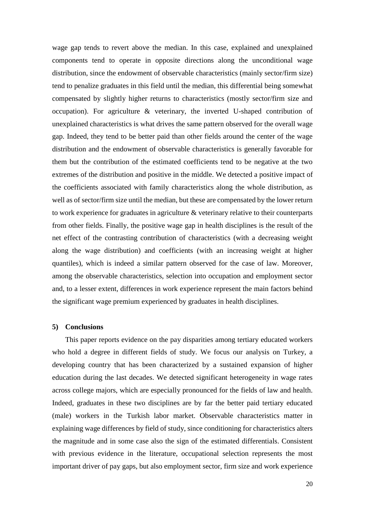wage gap tends to revert above the median. In this case, explained and unexplained components tend to operate in opposite directions along the unconditional wage distribution, since the endowment of observable characteristics (mainly sector/firm size) tend to penalize graduates in this field until the median, this differential being somewhat compensated by slightly higher returns to characteristics (mostly sector/firm size and occupation). For agriculture & veterinary, the inverted U-shaped contribution of unexplained characteristics is what drives the same pattern observed for the overall wage gap. Indeed, they tend to be better paid than other fields around the center of the wage distribution and the endowment of observable characteristics is generally favorable for them but the contribution of the estimated coefficients tend to be negative at the two extremes of the distribution and positive in the middle. We detected a positive impact of the coefficients associated with family characteristics along the whole distribution, as well as of sector/firm size until the median, but these are compensated by the lower return to work experience for graduates in agriculture & veterinary relative to their counterparts from other fields. Finally, the positive wage gap in health disciplines is the result of the net effect of the contrasting contribution of characteristics (with a decreasing weight along the wage distribution) and coefficients (with an increasing weight at higher quantiles), which is indeed a similar pattern observed for the case of law. Moreover, among the observable characteristics, selection into occupation and employment sector and, to a lesser extent, differences in work experience represent the main factors behind the significant wage premium experienced by graduates in health disciplines.

#### **5) Conclusions**

This paper reports evidence on the pay disparities among tertiary educated workers who hold a degree in different fields of study. We focus our analysis on Turkey, a developing country that has been characterized by a sustained expansion of higher education during the last decades. We detected significant heterogeneity in wage rates across college majors, which are especially pronounced for the fields of law and health. Indeed, graduates in these two disciplines are by far the better paid tertiary educated (male) workers in the Turkish labor market. Observable characteristics matter in explaining wage differences by field of study, since conditioning for characteristics alters the magnitude and in some case also the sign of the estimated differentials. Consistent with previous evidence in the literature, occupational selection represents the most important driver of pay gaps, but also employment sector, firm size and work experience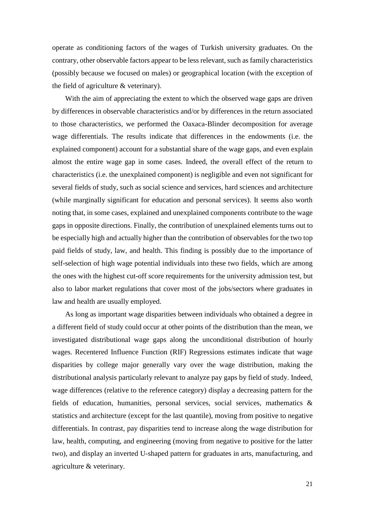operate as conditioning factors of the wages of Turkish university graduates. On the contrary, other observable factors appear to be less relevant, such as family characteristics (possibly because we focused on males) or geographical location (with the exception of the field of agriculture & veterinary).

With the aim of appreciating the extent to which the observed wage gaps are driven by differences in observable characteristics and/or by differences in the return associated to those characteristics, we performed the Oaxaca-Blinder decomposition for average wage differentials. The results indicate that differences in the endowments (i.e. the explained component) account for a substantial share of the wage gaps, and even explain almost the entire wage gap in some cases. Indeed, the overall effect of the return to characteristics (i.e. the unexplained component) is negligible and even not significant for several fields of study, such as social science and services, hard sciences and architecture (while marginally significant for education and personal services). It seems also worth noting that, in some cases, explained and unexplained components contribute to the wage gaps in opposite directions. Finally, the contribution of unexplained elements turns out to be especially high and actually higher than the contribution of observables for the two top paid fields of study, law, and health. This finding is possibly due to the importance of self-selection of high wage potential individuals into these two fields, which are among the ones with the highest cut-off score requirements for the university admission test, but also to labor market regulations that cover most of the jobs/sectors where graduates in law and health are usually employed.

As long as important wage disparities between individuals who obtained a degree in a different field of study could occur at other points of the distribution than the mean, we investigated distributional wage gaps along the unconditional distribution of hourly wages. Recentered Influence Function (RIF) Regressions estimates indicate that wage disparities by college major generally vary over the wage distribution, making the distributional analysis particularly relevant to analyze pay gaps by field of study. Indeed, wage differences (relative to the reference category) display a decreasing pattern for the fields of education, humanities, personal services, social services, mathematics & statistics and architecture (except for the last quantile), moving from positive to negative differentials. In contrast, pay disparities tend to increase along the wage distribution for law, health, computing, and engineering (moving from negative to positive for the latter two), and display an inverted U-shaped pattern for graduates in arts, manufacturing, and agriculture & veterinary.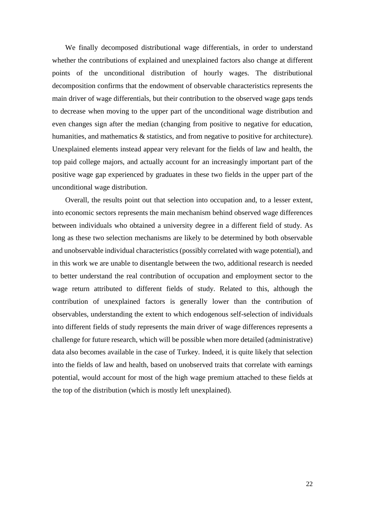We finally decomposed distributional wage differentials, in order to understand whether the contributions of explained and unexplained factors also change at different points of the unconditional distribution of hourly wages. The distributional decomposition confirms that the endowment of observable characteristics represents the main driver of wage differentials, but their contribution to the observed wage gaps tends to decrease when moving to the upper part of the unconditional wage distribution and even changes sign after the median (changing from positive to negative for education, humanities, and mathematics & statistics, and from negative to positive for architecture). Unexplained elements instead appear very relevant for the fields of law and health, the top paid college majors, and actually account for an increasingly important part of the positive wage gap experienced by graduates in these two fields in the upper part of the unconditional wage distribution.

Overall, the results point out that selection into occupation and, to a lesser extent, into economic sectors represents the main mechanism behind observed wage differences between individuals who obtained a university degree in a different field of study. As long as these two selection mechanisms are likely to be determined by both observable and unobservable individual characteristics (possibly correlated with wage potential), and in this work we are unable to disentangle between the two, additional research is needed to better understand the real contribution of occupation and employment sector to the wage return attributed to different fields of study. Related to this, although the contribution of unexplained factors is generally lower than the contribution of observables, understanding the extent to which endogenous self-selection of individuals into different fields of study represents the main driver of wage differences represents a challenge for future research, which will be possible when more detailed (administrative) data also becomes available in the case of Turkey. Indeed, it is quite likely that selection into the fields of law and health, based on unobserved traits that correlate with earnings potential, would account for most of the high wage premium attached to these fields at the top of the distribution (which is mostly left unexplained).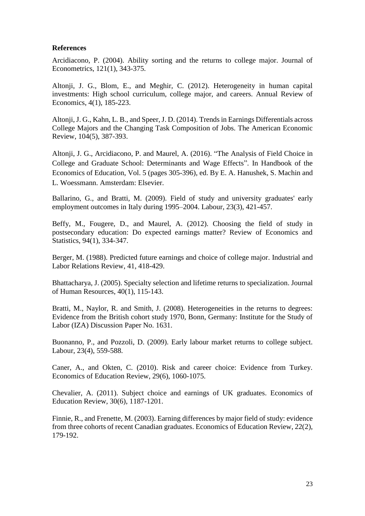### **References**

Arcidiacono, P. (2004). Ability sorting and the returns to college major. Journal of Econometrics, 121(1), 343-375.

Altonji, J. G., Blom, E., and Meghir, C. (2012). Heterogeneity in human capital investments: High school curriculum, college major, and careers. Annual Review of Economics, 4(1), 185-223.

Altonji, J. G., Kahn, L. B., and Speer, J. D. (2014). Trends in Earnings Differentials across College Majors and the Changing Task Composition of Jobs. The American Economic Review, 104(5), 387-393.

Altonji, J. G., Arcidiacono, P. and Maurel, A. (2016). "The Analysis of Field Choice in College and Graduate School: Determinants and Wage Effects". In Handbook of the Economics of Education, Vol. 5 (pages 305-396), ed. By E. A. Hanushek, S. Machin and L. Woessmann. Amsterdam: Elsevier.

Ballarino, G., and Bratti, M. (2009). Field of study and university graduates' early employment outcomes in Italy during 1995–2004. Labour, 23(3), 421-457.

Beffy, M., Fougere, D., and Maurel, A. (2012). Choosing the field of study in postsecondary education: Do expected earnings matter? Review of Economics and Statistics, 94(1), 334-347.

Berger, M. (1988). Predicted future earnings and choice of college major. Industrial and Labor Relations Review, 41, 418-429.

Bhattacharya, J. (2005). Specialty selection and lifetime returns to specialization. Journal of Human Resources, 40(1), 115-143.

Bratti, M., Naylor, R. and Smith, J. (2008). Heterogeneities in the returns to degrees: Evidence from the British cohort study 1970, Bonn, Germany: Institute for the Study of Labor (IZA) Discussion Paper No. 1631.

Buonanno, P., and Pozzoli, D. (2009). Early labour market returns to college subject. Labour, 23(4), 559-588.

Caner, A., and Okten, C. (2010). Risk and career choice: Evidence from Turkey. Economics of Education Review, 29(6), 1060-1075.

Chevalier, A. (2011). Subject choice and earnings of UK graduates. Economics of Education Review, 30(6), 1187-1201.

Finnie, R., and Frenette, M. (2003). Earning differences by major field of study: evidence from three cohorts of recent Canadian graduates. Economics of Education Review, 22(2), 179-192.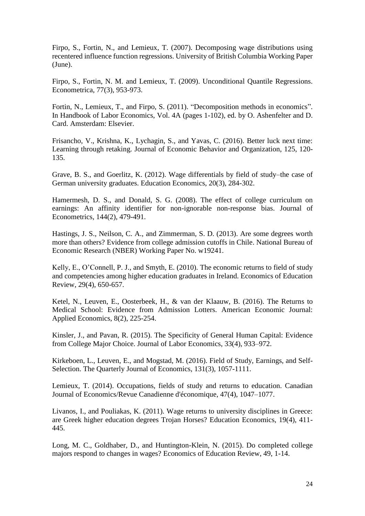Firpo, S., Fortin, N., and Lemieux, T. (2007). Decomposing wage distributions using recentered influence function regressions. University of British Columbia Working Paper (June).

Firpo, S., Fortin, N. M. and Lemieux, T. (2009). Unconditional Quantile Regressions. Econometrica, 77(3), 953-973.

Fortin, N., Lemieux, T., and Firpo, S. (2011). "Decomposition methods in economics". In Handbook of Labor Economics, Vol. 4A (pages 1-102), ed. by O. Ashenfelter and D. Card. Amsterdam: Elsevier.

Frisancho, V., Krishna, K., Lychagin, S., and Yavas, C. (2016). Better luck next time: Learning through retaking. Journal of Economic Behavior and Organization, 125, 120- 135.

Grave, B. S., and Goerlitz, K. (2012). Wage differentials by field of study–the case of German university graduates. Education Economics, 20(3), 284-302.

Hamermesh, D. S., and Donald, S. G. (2008). The effect of college curriculum on earnings: An affinity identifier for non-ignorable non-response bias. Journal of Econometrics, 144(2), 479-491.

Hastings, J. S., Neilson, C. A., and Zimmerman, S. D. (2013). Are some degrees worth more than others? Evidence from college admission cutoffs in Chile. National Bureau of Economic Research (NBER) Working Paper No. w19241.

Kelly, E., O'Connell, P. J., and Smyth, E. (2010). The economic returns to field of study and competencies among higher education graduates in Ireland. Economics of Education Review, 29(4), 650-657.

Ketel, N., Leuven, E., Oosterbeek, H., & van der Klaauw, B. (2016). The Returns to Medical School: Evidence from Admission Lotters. American Economic Journal: Applied Economics, 8(2), 225-254.

Kinsler, J., and Pavan, R. (2015). The Specificity of General Human Capital: Evidence from College Major Choice. Journal of Labor Economics, 33(4), 933–972.

Kirkeboen, L., Leuven, E., and Mogstad, M. (2016). Field of Study, Earnings, and Self-Selection. The Quarterly Journal of Economics, 131(3), 1057-1111.

Lemieux, T. (2014). Occupations, fields of study and returns to education. Canadian Journal of Economics/Revue Canadienne d'économique, 47(4), 1047–1077.

Livanos, I., and Pouliakas, K. (2011). Wage returns to university disciplines in Greece: are Greek higher education degrees Trojan Horses? Education Economics, 19(4), 411- 445.

Long, M. C., Goldhaber, D., and Huntington-Klein, N. (2015). Do completed college majors respond to changes in wages? Economics of Education Review, 49, 1-14.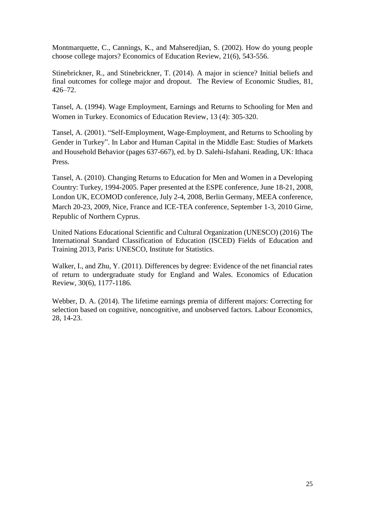Montmarquette, C., Cannings, K., and Mahseredjian, S. (2002). How do young people choose college majors? Economics of Education Review, 21(6), 543-556.

Stinebrickner, R., and Stinebrickner, T. (2014). A major in science? Initial beliefs and final outcomes for college major and dropout. The Review of Economic Studies*,* 81, 426–72.

Tansel, A. (1994). Wage Employment, Earnings and Returns to Schooling for Men and Women in Turkey. Economics of Education Review, 13 (4): 305-320.

Tansel, A. (2001). "Self-Employment, Wage-Employment, and Returns to Schooling by Gender in Turkey". In Labor and Human Capital in the Middle East: Studies of Markets and Household Behavior (pages 637-667), ed. by D. Salehi-Isfahani. Reading, UK: Ithaca Press.

Tansel, A. (2010). Changing Returns to Education for Men and Women in a Developing Country: Turkey, 1994-2005. Paper presented at the ESPE conference, June 18-21, 2008, London UK, ECOMOD conference, July 2-4, 2008, Berlin Germany, MEEA conference, March 20-23, 2009, Nice, France and ICE-TEA conference, September 1-3, 2010 Girne, Republic of Northern Cyprus.

United Nations Educational Scientific and Cultural Organization (UNESCO) (2016) The International Standard Classification of Education (ISCED) Fields of Education and Training 2013, Paris: UNESCO, Institute for Statistics.

Walker, I., and Zhu, Y. (2011). Differences by degree: Evidence of the net financial rates of return to undergraduate study for England and Wales. Economics of Education Review, 30(6), 1177-1186.

Webber, D. A. (2014). The lifetime earnings premia of different majors: Correcting for selection based on cognitive, noncognitive, and unobserved factors. Labour Economics, 28, 14-23.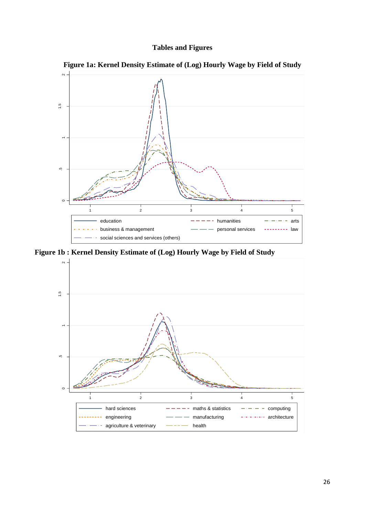



**Figure 1a: Kernel Density Estimate of (Log) Hourly Wage by Field of Study**

**Figure 1b : Kernel Density Estimate of (Log) Hourly Wage by Field of Study**

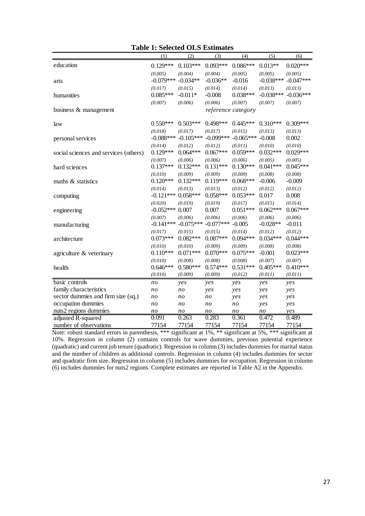|                                       | (1)         | (2)                     | (3)         | (4)                | (5)         | (6)         |
|---------------------------------------|-------------|-------------------------|-------------|--------------------|-------------|-------------|
| education                             | $0.129***$  | $0.103***$              | $0.093***$  | $0.086***$         | $0.013**$   | $0.020***$  |
|                                       | (0.005)     | (0.004)                 | (0.004)     | (0.005)            | (0.005)     | (0.005)     |
| arts                                  | $-0.079***$ | $-0.034**$              | $-0.036**$  | $-0.016$           | $-0.038***$ | $-0.047***$ |
|                                       | (0.017)     | (0.015)                 | (0.014)     | (0.014)            | (0.013)     | (0.013)     |
| humanities                            | $0.085***$  | $-0.011*$               | $-0.008$    | $0.038***$         | $-0.038***$ | $-0.036***$ |
|                                       | (0.007)     | (0.006)                 | (0.006)     | (0.007)            | (0.007)     | (0.007)     |
| business & management                 |             |                         |             | reference category |             |             |
| law                                   | $0.550***$  | $0.503***$              | $0.498***$  | $0.445***$         | $0.310***$  | $0.309***$  |
|                                       | (0.018)     | (0.017)                 | (0.017)     | (0.015)            | (0.013)     | (0.013)     |
| personal services                     | $-0.088***$ | $-0.105***$             | $-0.099***$ | $-0.065***$        | $-0.008$    | 0.002       |
|                                       | (0.014)     | (0.012)                 | (0.012)     | (0.011)            | (0.010)     | (0.010)     |
| social sciences and services (others) | $0.129***$  | $0.064***$              | $0.067***$  | $0.059***$         | $0.032***$  | $0.029***$  |
|                                       | (0.007)     | (0.006)                 | (0.006)     | (0.006)            | (0.005)     | (0.005)     |
| hard sciences                         | $0.137***$  | $0.132***$              | $0.131***$  | $0.130***$         | $0.041***$  | $0.045***$  |
|                                       | (0.010)     | (0.009)                 | (0.009)     | (0.009)            | (0.008)     | (0.008)     |
| maths & statistics                    | $0.120***$  | $0.132***$              | $0.119***$  | $0.068***$         | $-0.006$    | $-0.009$    |
|                                       | (0.014)     | (0.013)                 | (0.013)     | (0.012)            | (0.012)     | (0.012)     |
| computing                             | $-0.121***$ | $0.058***$              | $0.058***$  | $0.053***$         | 0.017       | 0.008       |
|                                       | (0.020)     | (0.019)                 | (0.019)     | (0.017)            | (0.015)     | (0.014)     |
| engineering                           | $-0.052***$ | 0.007                   | 0.007       | $0.051***$         | $0.062***$  | $0.067***$  |
|                                       | (0.007)     | (0.006)                 | (0.006)     | (0.006)            | (0.006)     | (0.006)     |
| manufacturing                         |             | $-0.141***$ $-0.075***$ | $-0.077***$ | $-0.005$           | $-0.028**$  | $-0.011$    |
|                                       | (0.017)     | (0.015)                 | (0.015)     | (0.014)            | (0.012)     | (0.012)     |
| architecture                          | $0.073***$  | $0.082***$              | $0.087***$  | $0.094***$         | $0.034***$  | $0.044***$  |
|                                       | (0.010)     | (0.010)                 | (0.009)     | (0.009)            | (0.008)     | (0.008)     |
| agriculture & veterinary              | $0.110***$  | $0.071***$              | $0.070***$  | $0.075***$         | $-0.001$    | $0.023***$  |
|                                       | (0.010)     | (0.008)                 | (0.008)     | (0.008)            | (0.007)     | (0.007)     |
| health                                | $0.646***$  | $0.580***$              | $0.574***$  | $0.531***$         | $0.405***$  | $0.410***$  |
|                                       | (0.010)     | (0.009)                 | (0.009)     | (0.012)            | (0.011)     | (0.011)     |
| basic controls                        | no          | yes                     | yes         | yes                | yes         | yes         |
| family characteristics                | no          | $n$ o                   | yes         | yes                | yes         | yes         |
| sector dummies and firm size (sq.)    | no          | $n$ o                   | no          | yes                | yes         | yes         |
| occupation dummies                    | no          | no                      | no          | $n$ o              | yes         | yes         |
| nuts2 regions dummies                 | no          | $n$ o                   | no          | $n$ o              | $n$ o       | yes         |
| adjusted R-squared                    | 0.091       | 0.263                   | 0.283       | 0.361              | 0.472       | 0.489       |
| number of observations                | 77154       | 77154                   | 77154       | 77154              | 77154       | 77154       |

## **Table 1: Selected OLS Estimates**

Note: robust standard errors in parenthesis, \*\*\* significant at 1%, \*\* significant at 5%, \*\*\* significant at 10%. Regression in column (2) contains controls for wave dummies, previous potential experience (quadratic) and current job tenure (quadratic). Regression in column (3) includes dummies for marital status and the number of children as additional controls. Regression in column (4) includes dummies for sector and quadratic firm size. Regression in column (5) includes dummies for occupation. Regression in column (6) includes dummies for nuts2 regions. Complete estimates are reported in Table A2 in the Appendix.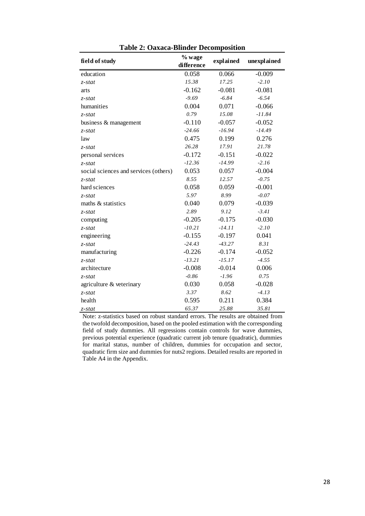|                                       | % wage     | explained |             |
|---------------------------------------|------------|-----------|-------------|
| field of study                        | difference |           | unexplained |
| education                             | 0.058      | 0.066     | $-0.009$    |
| $z$ -stat                             | 15.38      | 17.25     | $-2.10$     |
| arts                                  | $-0.162$   | $-0.081$  | $-0.081$    |
| z-stat                                | $-9.69$    | $-6.84$   | $-6.54$     |
| humanities                            | 0.004      | 0.071     | $-0.066$    |
| $z$ -stat                             | 0.79       | 15.08     | $-11.84$    |
| business & management                 | $-0.110$   | $-0.057$  | $-0.052$    |
| $z$ -stat                             | $-24.66$   | $-16.94$  | $-14.49$    |
| law                                   | 0.475      | 0.199     | 0.276       |
| $z$ -stat                             | 26.28      | 17.91     | 21.78       |
| personal services                     | $-0.172$   | $-0.151$  | $-0.022$    |
| $z$ -stat                             | $-12.36$   | $-14.99$  | $-2.16$     |
| social sciences and services (others) | 0.053      | 0.057     | $-0.004$    |
| $z$ -stat                             | 8.55       | 12.57     | $-0.75$     |
| hard sciences                         | 0.058      | 0.059     | $-0.001$    |
| $z$ -stat                             | 5.97       | 8.99      | $-0.07$     |
| maths & statistics                    | 0.040      | 0.079     | $-0.039$    |
| $z$ -stat                             | 2.89       | 9.12      | $-3.41$     |
| computing                             | $-0.205$   | $-0.175$  | $-0.030$    |
| $z$ -stat                             | $-10.21$   | $-14.11$  | $-2.10$     |
| engineering                           | $-0.155$   | $-0.197$  | 0.041       |
| z-stat                                | $-24.43$   | $-43.27$  | 8.31        |
| manufacturing                         | $-0.226$   | $-0.174$  | $-0.052$    |
| $z$ -stat                             | $-13.21$   | $-15.17$  | $-4.55$     |
| architecture                          | $-0.008$   | $-0.014$  | 0.006       |
| $z$ -stat                             | $-0.86$    | $-1.96$   | 0.75        |
| agriculture & veterinary              | 0.030      | 0.058     | $-0.028$    |
| $z$ -stat                             | 3.37       | 8.62      | $-4.13$     |
| health                                | 0.595      | 0.211     | 0.384       |
| $z$ -stat                             | 65.37      | 25.88     | 35.81       |

**Table 2: Oaxaca-Blinder Decomposition**

Note: z-statistics based on robust standard errors. The results are obtained from the twofold decomposition, based on the pooled estimation with the corresponding field of study dummies. All regressions contain controls for wave dummies, previous potential experience (quadratic current job tenure (quadratic), dummies for marital status, number of children, dummies for occupation and sector, quadratic firm size and dummies for nuts2 regions. Detailed results are reported in Table A4 in the Appendix.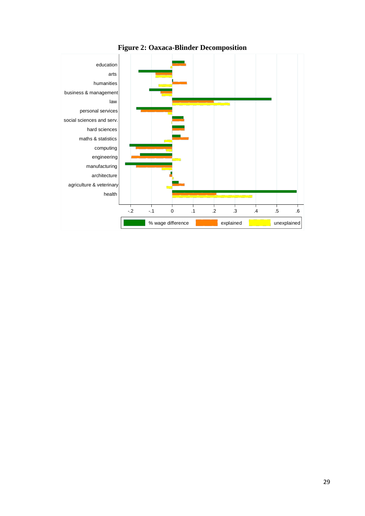

**Figure 2: Oaxaca-Blinder Decomposition**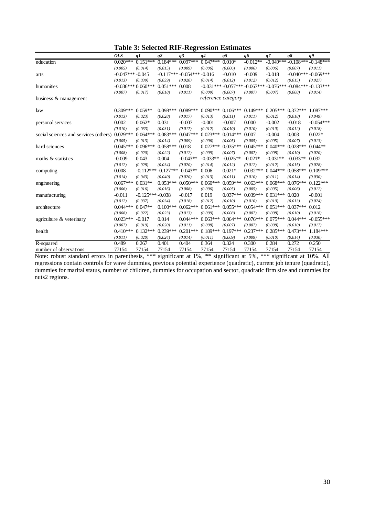|  | <b>Table 3: Selected RIF-Regression Estimates</b> |
|--|---------------------------------------------------|
|--|---------------------------------------------------|

|                                       |                   |                     |                              | o                          |            |                               |            |             |             |                               |
|---------------------------------------|-------------------|---------------------|------------------------------|----------------------------|------------|-------------------------------|------------|-------------|-------------|-------------------------------|
|                                       | <b>OLS</b>        | q1                  | q2                           | q3                         | q4         | q <sub>5</sub>                | q6         | q7          | $q\delta$   | q9                            |
| education                             | $0.020***$        | $0.151***$          | $0.184***$                   | $0.097***$                 | $0.047***$ | $0.010*$                      | $-0.012**$ |             |             | $-0.049***-0.108***-0.148***$ |
|                                       | (0.005)           | (0.014)             | (0.015)                      | (0.009)                    | (0.006)    | (0.006)                       | (0.006)    | (0.006)     | (0.007)     | (0.011)                       |
| arts                                  | $-0.047***-0.045$ |                     |                              | $-0.117***-0.054***-0.016$ |            | $-0.010$                      | $-0.009$   | $-0.018$    |             | $-0.040***-0.069***$          |
|                                       | (0.013)           | (0.039)             | (0.039)                      | (0.020)                    | (0.014)    | (0.012)                       | (0.012)    | (0.012)     | (0.015)     | (0.027)                       |
| humanities                            |                   | $-0.036***0.060***$ | $0.051***$                   | 0.008                      |            | $-0.031***-0.057***-0.067***$ |            | $-0.076***$ | $-0.084***$ | $-0.133***$                   |
|                                       | (0.007)           | (0.017)             | (0.018)                      | (0.011)                    | (0.009)    | (0.007)                       | (0.007)    | (0.007)     | (0.008)     | (0.014)                       |
| business & management                 |                   |                     |                              |                            |            | reference category            |            |             |             |                               |
| law                                   | $0.309***$        | $0.059**$           | $0.098***$                   | $0.089***$                 | $0.090***$ | $0.106***$                    | $0.149***$ | $0.205***$  | $0.372***$  | $1.087***$                    |
|                                       | (0.013)           | (0.023)             | (0.028)                      | (0.017)                    | (0.013)    | (0.011)                       | (0.011)    | (0.012)     | (0.018)     | (0.049)                       |
| personal services                     | 0.002             | $0.062*$            | 0.031                        | $-0.007$                   | $-0.001$   | $-0.007$                      | 0.000      | $-0.002$    | $-0.018$    | $-0.054***$                   |
|                                       | (0.010)           | (0.033)             | (0.031)                      | (0.017)                    | (0.012)    | (0.010)                       | (0.010)    | (0.010)     | (0.012)     | (0.018)                       |
| social sciences and services (others) | $0.029***$        | $0.064***$          | $0.083***$                   | $0.047***$                 | $0.023***$ | $0.014***$                    | 0.007      | $-0.004$    | 0.003       | $0.022*$                      |
|                                       | (0.005)           | (0.013)             | (0.014)                      | (0.009)                    | (0.006)    | (0.005)                       | (0.005)    | (0.005)     | (0.007)     | (0.013)                       |
| hard sciences                         | $0.045***$        | $0.096***$          | $0.058***$                   | 0.018                      | $0.027***$ | $0.035***$                    | $0.045***$ | $0.040***$  | $0.028***$  | $0.044**$                     |
|                                       | (0.008)           | (0.020)             | (0.022)                      | (0.012)                    | (0.009)    | (0.007)                       | (0.007)    | (0.008)     | (0.010)     | (0.020)                       |
| maths & statistics                    | $-0.009$          | 0.043               | 0.004                        | $-0.043**$                 | $-0.033**$ | $-0.025**$                    | $-0.021*$  | $-0.031**$  | $-0.033**$  | 0.032                         |
|                                       | (0.012)           | (0.028)             | (0.034)                      | (0.020)                    | (0.014)    | (0.012)                       | (0.012)    | (0.012)     | (0.015)     | (0.028)                       |
| computing                             | 0.008             |                     | $-0.112***-0.127***-0.043**$ |                            | 0.006      | $0.021*$                      | $0.032***$ | $0.044***$  | $0.058***$  | $0.109***$                    |
|                                       | (0.014)           | (0.043)             | (0.040)                      | (0.020)                    | (0.013)    | (0.011)                       | (0.010)    | (0.011)     | (0.014)     | (0.030)                       |
| engineering                           | $0.067***$        | $0.031**$           | $0.053***$                   | $0.050***$                 | $0.060***$ | $0.059***$                    | $0.063***$ | $0.068***$  | $0.076***$  | $0.122***$                    |
|                                       | (0.006)           | (0.016)             | (0.016)                      | (0.008)                    | (0.006)    | (0.005)                       | (0.005)    | (0.005)     | (0.006)     | (0.012)                       |
| manufacturing                         | $-0.011$          | $-0.125***-0.038$   |                              | $-0.017$                   | 0.019      | $0.037***$                    | $0.039***$ | $0.031***$  | 0.020       | $-0.001$                      |
|                                       | (0.012)           | (0.037)             | (0.034)                      | (0.018)                    | (0.012)    | (0.010)                       | (0.010)    | (0.010)     | (0.013)     | (0.024)                       |
| architecture                          | $0.044***$        | $0.047**$           | $0.100***$                   | $0.062***$                 | $0.061***$ | $0.055***$                    | $0.054***$ | $0.051***$  | $0.037***$  | 0.012                         |
|                                       | (0.008)           | (0.022)             | (0.023)                      | (0.013)                    | (0.009)    | (0.008)                       | (0.007)    | (0.008)     | (0.010)     | (0.018)                       |
| agriculture & veterinary              | $0.023***$        | $-0.017$            | 0.014                        | $0.044***$                 | $0.063***$ | $0.064***$                    | $0.076***$ | $0.075***$  | $0.044***$  | $-0.055***$                   |
|                                       | (0.007)           | (0.019)             | (0.020)                      | (0.011)                    | (0.008)    | (0.007)                       | (0.007)    | (0.008)     | (0.010)     | (0.017)                       |
| health                                | $0.410***$        | $0.132***$          | $0.239***$                   | $0.201***$                 | $0.189***$ | $0.197***$                    | $0.237***$ | $0.285***$  | $0.473***$  | $1.184***$                    |
|                                       | (0.011)           | (0.020)             | (0.024)                      | (0.014)                    | (0.011)    | (0.009)                       | (0.009)    | (0.010)     | (0.014)     | (0.030)                       |
| R-squared                             | 0.489             | 0.267               | 0.401                        | 0.404                      | 0.364      | 0.324                         | 0.300      | 0.284       | 0.272       | 0.250                         |
| number of observations                | 77154             | 77154               | 77154                        | 77154                      | 77154      | 77154                         | 77154      | 77154       | 77154       | 77154                         |

Note: robust standard errors in parenthesis, \*\*\* significant at 1%, \*\* significant at 5%, \*\*\* significant at 10%. All regressions contain controls for wave dummies, previous potential experience (quadratic), current job tenure (quadratic), dummies for marital status, number of children, dummies for occupation and sector, quadratic firm size and dummies for nuts2 regions.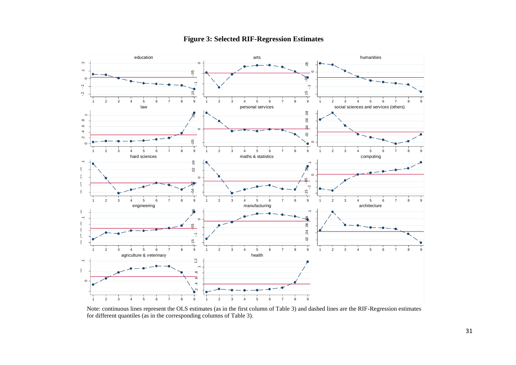

## **Figure 3: Selected RIF-Regression Estimates**

Note: continuous lines represent the OLS estimates (as in the first column of Table 3) and dashed lines are the RIF-Regression estimates for different quantiles (as in the corresponding columns of Table 3).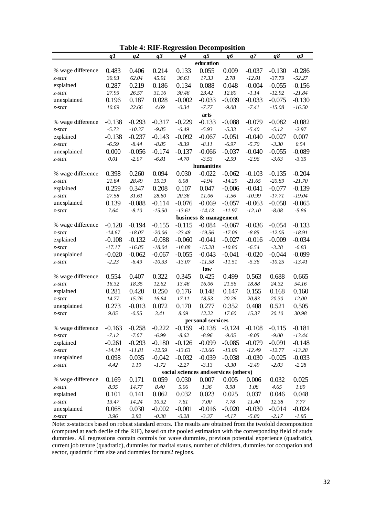|                   |          |          |          | <b>Table 4: RIF-Regression Decomposition</b> |                       |          |          |           |                 |
|-------------------|----------|----------|----------|----------------------------------------------|-----------------------|----------|----------|-----------|-----------------|
|                   | q1       | q2       | q3       | q4                                           | $q\overline{5}$       | q6       | q7       | $q\delta$ | $q\overline{q}$ |
|                   |          |          |          |                                              | education             |          |          |           |                 |
| % wage difference | 0.483    | 0.406    | 0.214    | 0.133                                        | 0.055                 | 0.009    | $-0.037$ | $-0.130$  | $-0.286$        |
| z-stat            | 30.93    | 62.04    | 45.91    | 36.61                                        | 17.33                 | 2.78     | $-12.01$ | $-37.79$  | $-52.27$        |
| explained         | 0.287    | 0.219    | 0.186    | 0.134                                        | 0.088                 | 0.048    | $-0.004$ | $-0.055$  | $-0.156$        |
| z-stat            | 27.95    | 26.57    | 31.16    | 30.46                                        | 23.42                 | 12.80    | $-1.14$  | $-12.92$  | $-21.84$        |
| unexplained       | 0.196    | 0.187    | 0.028    | $-0.002$                                     | $-0.033$              | $-0.039$ | $-0.033$ | $-0.075$  | $-0.130$        |
| z-stat            | 10.69    | 22.66    | 4.69     | $-0.34$                                      | $-7.77$               | $-9.08$  | $-7.41$  | $-15.08$  | $-16.50$        |
|                   |          |          |          |                                              | arts                  |          |          |           |                 |
| % wage difference | $-0.138$ | $-0.293$ | $-0.317$ | $-0.229$                                     | $-0.133$              | $-0.088$ | $-0.079$ | $-0.082$  | $-0.082$        |
| z-stat            | $-5.73$  | $-10.37$ | $-9.85$  | $-6.49$                                      | $-5.93$               | $-5.33$  | $-5.40$  | $-5.12$   | $-2.97$         |
| explained         | $-0.138$ | $-0.237$ | $-0.143$ | $-0.092$                                     | $-0.067$              | $-0.051$ | $-0.040$ | $-0.027$  | 0.007           |
| z-stat            | $-6.59$  | $-8.44$  | $-8.85$  | $-8.39$                                      | $-8.11$               | $-6.97$  | $-5.70$  | $-3.30$   | 0.54            |
| unexplained       | 0.000    | $-0.056$ | $-0.174$ | $-0.137$                                     | $-0.066$              | $-0.037$ | $-0.040$ | $-0.055$  | $-0.089$        |
| z-stat            | 0.01     | $-2.07$  | $-6.81$  | $-4.70$                                      | $-3.53$               | $-2.59$  | $-2.96$  | $-3.63$   | $-3.35$         |
|                   |          |          |          |                                              | humanities            |          |          |           |                 |
| % wage difference | 0.398    | 0.260    | 0.094    | 0.030                                        | $-0.022$              | $-0.062$ | $-0.103$ | $-0.135$  | $-0.204$        |
| z-stat            | 21.84    | 28.49    | 15.19    | 6.08                                         | $-4.94$               | $-14.29$ | $-21.65$ | $-20.89$  | $-21.70$        |
| explained         | 0.259    | 0.347    | 0.208    | 0.107                                        | 0.047                 | $-0.006$ | $-0.041$ | $-0.077$  | $-0.139$        |
| z-stat            | 27.58    | 31.61    | 28.60    | 20.36                                        | 11.06                 | $-1.56$  | $-10.99$ | $-17.71$  | $-19.04$        |
| unexplained       | 0.139    | $-0.088$ | $-0.114$ | $-0.076$                                     | $-0.069$              | $-0.057$ | $-0.063$ | $-0.058$  | $-0.065$        |
| z-stat            | 7.64     | $-8.10$  | $-15.50$ | $-13.61$                                     | $-14.13$              | $-11.97$ | $-12.10$ | $-8.08$   | $-5.86$         |
|                   |          |          |          |                                              | business & management |          |          |           |                 |
| % wage difference | $-0.128$ | $-0.194$ | $-0.155$ | $-0.115$                                     | $-0.084$              | $-0.067$ | $-0.036$ | $-0.054$  | $-0.133$        |
| z-stat            | $-14.67$ | $-18.07$ | $-20.06$ | $-23.48$                                     | $-19.56$              | $-17.06$ | $-8.85$  | $-12.05$  | $-18.91$        |
| explained         | $-0.108$ | $-0.132$ | $-0.088$ | $-0.060$                                     | $-0.041$              | $-0.027$ | $-0.016$ | $-0.009$  | $-0.034$        |
| z-stat            | $-17.17$ | $-16.85$ | $-18.04$ | $-18.88$                                     | $-15.28$              | $-10.86$ | $-6.54$  | $-3.28$   | $-6.83$         |
| unexplained       | $-0.020$ | $-0.062$ | $-0.067$ | $-0.055$                                     | $-0.043$              | $-0.041$ | $-0.020$ | $-0.044$  | $-0.099$        |
| z-stat            | $-2.23$  | $-6.49$  | $-10.33$ | $-13.07$                                     | $-11.58$              | $-11.51$ | $-5.36$  | $-10.25$  | $-13.41$        |
|                   |          |          |          |                                              | law                   |          |          |           |                 |
| % wage difference | 0.554    | 0.407    | 0.322    | 0.345                                        | 0.425                 | 0.499    | 0.563    | 0.688     | 0.665           |
| z-stat            | 16.32    | 18.35    | 12.62    | 13.46                                        | 16.06                 | 21.56    | 18.88    | 24.32     | 54.16           |
| explained         | 0.281    | 0.420    | 0.250    | 0.176                                        | 0.148                 | 0.147    | 0.155    | 0.168     | 0.160           |
| z-stat            | 14.77    | 15.76    | 16.64    | 17.11                                        | 18.53                 | 20.26    | 20.83    | 20.30     | 12.00           |
| unexplained       | 0.273    | $-0.013$ | 0.072    | 0.170                                        | 0.277                 | 0.352    | 0.408    | 0.521     | 0.505           |
| z-stat            | 9.05     | $-0.55$  | 3.41     | 8.09                                         | 12.22                 | 17.60    | 15.37    | 20.10     | 30.98           |
|                   |          |          |          |                                              | personal services     |          |          |           |                 |
| % wage difference | $-0.163$ | $-0.258$ | $-0.222$ | $-0.159$                                     | $-0.138$              | $-0.124$ | $-0.108$ | $-0.115$  | $-0.181$        |
| $z$ -stat         | $-7.12$  | $-7.07$  | $-6.99$  | $-8.62$                                      | $-8.96$               | $-9.05$  | $-8.05$  | $-9.00$   | $-13.44$        |
| explained         | $-0.261$ | $-0.293$ | $-0.180$ | $-0.126$                                     | $-0.099$              | $-0.085$ | $-0.079$ | $-0.091$  | $-0.148$        |
| $z$ -stat         | $-14.14$ | $-11.81$ | $-12.59$ | $-13.63$                                     | $-13.66$              | $-13.09$ | $-12.49$ | $-12.77$  | $-13.28$        |
| unexplained       | 0.098    | 0.035    | $-0.042$ | $-0.032$                                     | $-0.039$              | $-0.038$ | $-0.030$ | $-0.025$  | $-0.033$        |
| $z$ -stat         | 4.42     | 1.19     | $-1.72$  | $-2.27$                                      | $-3.13$               | $-3.30$  | $-2.49$  | $-2.03$   | $-2.28$         |
|                   |          |          |          | social sciences and services (others)        |                       |          |          |           |                 |
| % wage difference | 0.169    | 0.171    | 0.059    | 0.030                                        | 0.007                 | 0.005    | 0.006    | 0.032     | 0.025           |
| $z$ -stat         | 8.95     | 14.77    | $8.40\,$ | 5.06                                         | 1.36                  | 0.98     | 1.08     | 4.65      | 1.89            |
| explained         | 0.101    | 0.141    | 0.062    | 0.032                                        | 0.023                 | 0.025    | 0.037    | 0.046     | 0.048           |
| $z$ -stat         | 13.47    | 14.24    | 10.32    | 7.61                                         | 7.00                  | 7.78     | 11.40    | 12.38     | 7.77            |
| unexplained       | 0.068    | 0.030    | $-0.002$ | $-0.001$                                     | $-0.016$              | $-0.020$ | $-0.030$ | $-0.014$  | $-0.024$        |
| $z$ -stat         | 3.96     | 2.92     | $-0.38$  | $-0.28$                                      | $-3.37$               | $-4.17$  | $-5.80$  | $-2.17$   | $-1.95$         |
|                   |          |          |          |                                              |                       |          |          |           |                 |

Note: z-statistics based on robust standard errors. The results are obtained from the twofold decomposition (computed at each decile of the RIF), based on the pooled estimation with the corresponding field of study dummies. All regressions contain controls for wave dummies, previous potential experience (quadratic), current job tenure (quadratic), dummies for marital status, number of children, dummies for occupation and sector, quadratic firm size and dummies for nuts2 regions.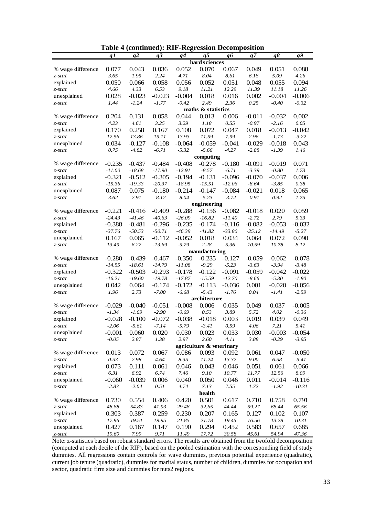|                   | <u>q1</u> | <u>q2</u> | q3       | q <sub>4</sub> | <u>q5</u>                | q6       | <u>q7</u> | <u>q8</u> | $q\overline{q}$ |
|-------------------|-----------|-----------|----------|----------------|--------------------------|----------|-----------|-----------|-----------------|
|                   |           |           |          |                | hard sciences            |          |           |           |                 |
| % wage difference | 0.077     | 0.043     | 0.036    | 0.052          | 0.070                    | 0.067    | 0.049     | 0.051     | 0.088           |
| $z$ -stat         | 3.65      | 1.95      | 2.24     | 4.71           | 8.04                     | 8.61     | 6.18      | 5.09      | 4.26            |
| explained         | 0.050     | 0.066     | 0.058    | 0.056          | 0.052                    | 0.051    | 0.048     | 0.055     | 0.094           |
| $z$ -stat         | 4.66      | 4.33      | 6.53     | 9.18           | 11.21                    | 12.29    | 11.39     | 11.18     | 11.26           |
| unexplained       | 0.028     | $-0.023$  | $-0.023$ | $-0.004$       | 0.018                    | 0.016    | 0.002     | $-0.004$  | $-0.006$        |
| $z$ -stat         | 1.44      | $-1.24$   | $-1.77$  | $-0.42$        | 2.49                     | 2.36     | 0.25      | $-0.40$   | $-0.32$         |
|                   |           |           |          |                | maths & statistics       |          |           |           |                 |
| % wage difference | 0.204     | 0.131     | 0.058    | 0.044          | 0.013                    | 0.006    | $-0.011$  | $-0.032$  | 0.002           |
| $z$ -stat         | 4.23      | 4.61      | 3.25     | 3.29           | 1.18                     | 0.55     | $-0.97$   | $-2.16$   | 0.05            |
| explained         | 0.170     | 0.258     | 0.167    | 0.108          | 0.072                    | 0.047    | 0.018     | $-0.013$  | $-0.042$        |
| $z$ -stat         | 12.56     | 13.86     | 15.11    | 13.93          | 11.59                    | 7.99     | 2.96      | $-1.73$   | $-3.22$         |
| unexplained       | 0.034     | $-0.127$  | $-0.108$ | $-0.064$       | $-0.059$                 | $-0.041$ | $-0.029$  | $-0.018$  | 0.043           |
| z-stat            | 0.75      | $-4.82$   | $-6.71$  | $-5.32$        | $-5.66$                  | $-4.27$  | $-2.88$   | $-1.39$   | 1.46            |
|                   |           |           |          |                | computing                |          |           |           |                 |
| % wage difference | $-0.235$  | $-0.437$  | $-0.484$ | $-0.408$       | $-0.278$                 | $-0.180$ | $-0.091$  | $-0.019$  | 0.071           |
| $z$ -stat         | $-11.00$  | $-18.68$  | $-17.90$ | $-12.91$       | $-8.57$                  | $-6.71$  | $-3.39$   | $-0.80$   | 1.73            |
| explained         | $-0.321$  | $-0.512$  | $-0.305$ | $-0.194$       | $-0.131$                 | $-0.096$ | $-0.070$  | $-0.037$  | 0.006           |
| $z$ -stat         | $-15.36$  | $-19.33$  | $-20.37$ | $-18.95$       | $-15.51$                 | $-12.06$ | $-8.64$   | $-3.85$   | 0.38            |
|                   |           |           |          |                |                          |          |           |           |                 |
| unexplained       | 0.087     | 0.075     | $-0.180$ | $-0.214$       | $-0.147$                 | $-0.084$ | $-0.021$  | 0.018     | 0.065           |
| $z$ -stat         | 3.62      | 2.91      | $-8.12$  | $-8.04$        | $-5.23$                  | $-3.72$  | $-0.91$   | 0.92      | 1.75            |
|                   |           |           |          |                | engineering              |          |           |           |                 |
| % wage difference | $-0.221$  | $-0.416$  | $-0.409$ | $-0.288$       | $-0.156$                 | $-0.082$ | $-0.018$  | 0.020     | 0.059           |
| $z$ -stat         | $-24.43$  | $-41.46$  | $-40.63$ | $-26.09$       | $-16.82$                 | $-11.40$ | $-2.72$   | 2.79      | 5.33            |
| explained         | $-0.388$  | $-0.481$  | $-0.296$ | $-0.235$       | $-0.174$                 | $-0.116$ | $-0.082$  | $-0.053$  | $-0.032$        |
| $z$ -stat         | $-37.76$  | $-50.53$  | $-50.71$ | $-46.39$       | $-41.82$                 | $-33.80$ | $-25.12$  | $-14.49$  | $-5.27$         |
| unexplained       | 0.167     | 0.065     | $-0.112$ | $-0.052$       | 0.018                    | 0.034    | 0.064     | 0.072     | 0.090           |
| z-stat            | 13.49     | 6.22      | $-13.69$ | $-5.79$        | 2.28                     | 5.36     | 10.59     | 10.78     | 8.12            |
|                   |           |           |          |                | manufacturing            |          |           |           |                 |
| % wage difference | $-0.280$  | $-0.439$  | $-0.467$ | $-0.350$       | $-0.235$                 | $-0.127$ | $-0.059$  | $-0.062$  | $-0.078$        |
| $z$ -stat         | $-14.55$  | $-18.61$  | $-14.79$ | $-11.08$       | $-9.29$                  | $-5.23$  | $-3.63$   | $-3.94$   | $-3.48$         |
| explained         | $-0.322$  | $-0.503$  | $-0.293$ | $-0.178$       | $-0.122$                 | $-0.091$ | $-0.059$  | $-0.042$  | $-0.022$        |
| $z$ -stat         | $-16.21$  | $-19.60$  | $-19.78$ | $-17.87$       | $-15.59$                 | $-12.70$ | $-8.66$   | $-5.30$   | $-1.80$         |
| unexplained       | 0.042     | 0.064     | $-0.174$ | $-0.172$       | $-0.113$                 | $-0.036$ | 0.001     | $-0.020$  | $-0.056$        |
| $z$ -stat         | 1.96      | 2.73      | $-7.00$  | $-6.68$        | $-5.43$                  | $-1.76$  | 0.04      | $-1.41$   | $-2.59$         |
|                   |           |           |          |                | architecture             |          |           |           |                 |
| % wage difference | $-0.029$  | $-0.040$  | $-0.051$ | $-0.008$       | 0.006                    | 0.035    | 0.049     | 0.037     | $-0.005$        |
| $z$ -stat         | $-1.34$   | $-1.69$   | $-2.90$  | $-0.69$        | 0.53                     | 3.89     | 5.72      | 4.02      | $-0.36$         |
| explained         | $-0.028$  | $-0.100$  | $-0.072$ | $-0.038$       | $-0.018$                 | 0.003    | 0.019     | 0.039     | 0.049           |
| $z$ -stat         | $-2.06$   | $-5.61$   | $-7.14$  | $-5.79$        | $-3.41$                  | 0.59     | 4.06      | 7.21      | 5.41            |
| unexplained       | $-0.001$  | 0.060     | 0.020    | 0.030          | 0.023                    | 0.033    | 0.030     | $-0.003$  | $-0.054$        |
| $z$ -stat         | $-0.05$   | 2.87      | 1.38     | 2.97           | 2.60                     | 4.11     | 3.88      | $-0.29$   | $-3.95$         |
|                   |           |           |          |                | agriculture & veterinary |          |           |           |                 |
| % wage difference | 0.013     | 0.072     | 0.067    | 0.086          | 0.093                    | 0.092    | 0.061     | 0.047     | $-0.050$        |
| $z$ -stat         | 0.53      | 2.98      | 4.64     | 8.35           | 11.24                    | 13.32    | $9.00\,$  | 6.58      | $-5.41$         |
| explained         | 0.073     | 0.111     | 0.061    | 0.046          | 0.043                    | 0.046    | 0.051     | 0.061     | 0.066           |
| $z$ -stat         | 6.31      | 6.92      | 6.74     | 7.46           | 9.10                     | 10.77    | 11.77     | 12.56     | $8.09\,$        |
| unexplained       | $-0.060$  | $-0.039$  | 0.006    | 0.040          | 0.050                    | 0.046    | 0.011     | $-0.014$  | $-0.116$        |
| $z$ -stat         | $-2.83$   | $-2.04$   | 0.51     | 4.74           | 7.13                     | 7.55     | 1.72      | $-1.92$   | $-10.31$        |
|                   |           |           |          |                | health                   |          |           |           |                 |
| % wage difference | 0.730     | 0.554     | 0.406    | 0.420          | 0.501                    | 0.617    | 0.710     | 0.758     | 0.791           |
| $z$ -stat         | 48.88     | 54.83     | 41.93    | 29.48          | 32.65                    | 44.44    | 59.27     | 68.44     | 65.56           |
| explained         | 0.303     | 0.387     | 0.259    | 0.230          | 0.207                    | 0.165    | 0.127     | 0.102     | 0.107           |
| $z$ -stat         | 17.96     | 19.51     | 19.95    | 21.85          | 21.78                    | 19.45    | 16.56     | 13.28     | 10.31           |
| unexplained       | 0.427     | 0.167     | 0.147    | 0.190          | 0.294                    | 0.452    | 0.583     | 0.657     | 0.685           |
| $z$ -stat         | 19.60     | 7.99      | 9.71     | 11.49          | 17.72                    | 30.58    | 45.61     | 54.94     | 47.36           |

| Table 4 (continued): RIF-Regression Decomposition |  |  |
|---------------------------------------------------|--|--|
|---------------------------------------------------|--|--|

Note: z-statistics based on robust standard errors. The results are obtained from the twofold decomposition (computed at each decile of the RIF), based on the pooled estimation with the corresponding field of study dummies. All regressions contain controls for wave dummies, previous potential experience (quadratic), current job tenure (quadratic), dummies for marital status, number of children, dummies for occupation and sector, quadratic firm size and dummies for nuts2 regions.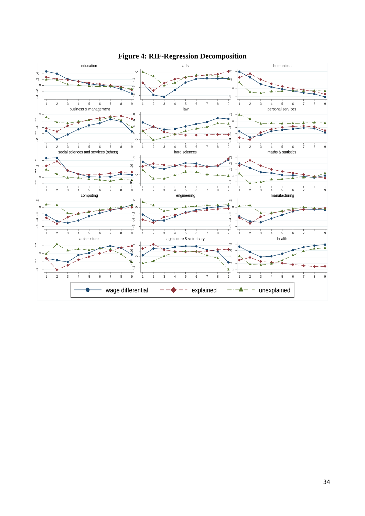

**Figure 4: RIF-Regression Decomposition**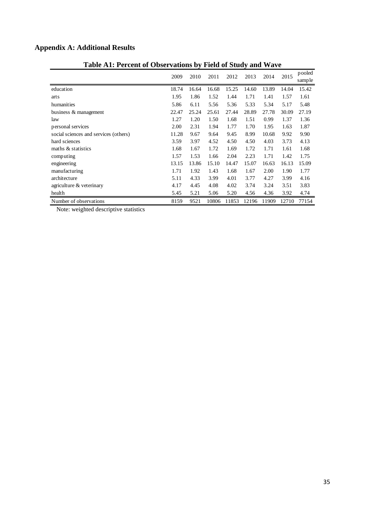## **Appendix A: Additional Results**

|                                       | 2009  | 2010  | 2011  | 2012  | 2013  | 2014  | 2015  | pooled<br>sample |
|---------------------------------------|-------|-------|-------|-------|-------|-------|-------|------------------|
| education                             | 18.74 | 16.64 | 16.68 | 15.25 | 14.60 | 13.89 | 14.04 | 15.42            |
| arts                                  | 1.95  | 1.86  | 1.52  | 1.44  | 1.71  | 1.41  | 1.57  | 1.61             |
| humanities                            | 5.86  | 6.11  | 5.56  | 5.36  | 5.33  | 5.34  | 5.17  | 5.48             |
| business & management                 | 22.47 | 25.24 | 25.61 | 27.44 | 28.89 | 27.78 | 30.09 | 27.19            |
| law                                   | 1.27  | 1.20  | 1.50  | 1.68  | 1.51  | 0.99  | 1.37  | 1.36             |
| personal services                     | 2.00  | 2.31  | 1.94  | 1.77  | 1.70  | 1.95  | 1.63  | 1.87             |
| social sciences and services (others) | 11.28 | 9.67  | 9.64  | 9.45  | 8.99  | 10.68 | 9.92  | 9.90             |
| hard sciences                         | 3.59  | 3.97  | 4.52  | 4.50  | 4.50  | 4.03  | 3.73  | 4.13             |
| maths & statistics                    | 1.68  | 1.67  | 1.72  | 1.69  | 1.72  | 1.71  | 1.61  | 1.68             |
| computing                             | 1.57  | 1.53  | 1.66  | 2.04  | 2.23  | 1.71  | 1.42  | 1.75             |
| engineering                           | 13.15 | 13.86 | 15.10 | 14.47 | 15.07 | 16.63 | 16.13 | 15.09            |
| manufacturing                         | 1.71  | 1.92  | 1.43  | 1.68  | 1.67  | 2.00  | 1.90  | 1.77             |
| architecture                          | 5.11  | 4.33  | 3.99  | 4.01  | 3.77  | 4.27  | 3.99  | 4.16             |
| agriculture $&$ veterinary            | 4.17  | 4.45  | 4.08  | 4.02  | 3.74  | 3.24  | 3.51  | 3.83             |
| health                                | 5.45  | 5.21  | 5.06  | 5.20  | 4.56  | 4.36  | 3.92  | 4.74             |
| Number of observations                | 8159  | 9521  | 10806 | 11853 | 12196 | 11909 | 12710 | 77154            |

## **Table A1: Percent of Observations by Field of Study and Wave**

Note: weighted descriptive statistics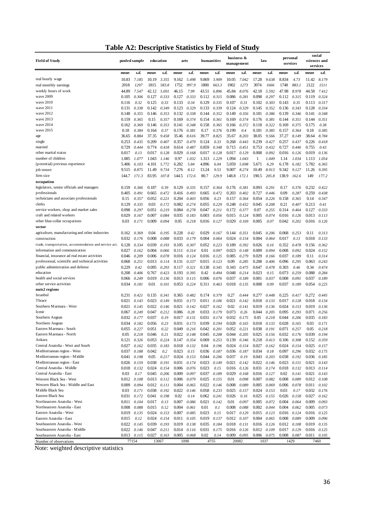| business &<br>personal<br><b>Field of Study</b><br>pooled sample<br>education<br>humanities<br>law<br>sciences and<br>arts<br>management<br>services<br>services<br>s.d.<br>s.d.<br>s.d.<br>s.d.<br>s.d.<br>mean<br>s.d.<br>mean<br>s.d.<br>s.d.<br>mean<br>mean<br>mean<br>mean<br>mean<br>mean<br>real hourly wage<br>9.869<br>17.28<br>8.834<br>11.42<br>8.179<br>10.83<br>7.185<br>10.19<br>3.355<br>9.162<br>5.498<br>3.909<br>10.05<br>7.042<br>9.638<br>4.73<br>1752<br>3074<br>1748<br>2122<br>2018<br>1297<br>1815<br>583.8<br>997.9<br>1800<br>663.3<br>1902<br>883.1<br>1511<br>real monthly earnings<br>1273<br>1666<br>weekly hours of work<br>44.89<br>42.12<br>46.15<br>7.99<br>43.51<br>45.84<br>42.18<br>47.98<br>44.58<br>7.547<br>5.691<br>6.896<br>8.076<br>5.592<br>8.978<br>7.412<br>wave 2009<br>0.306<br>0.333<br>0.127<br>0.333<br>0.112<br>0.324<br>0.105<br>0.127<br>0.112<br>0.315<br>0.086<br>0.281<br>0.098<br>0.297<br>0.315<br>0.119<br>wave 2010<br>0.133<br>0.34<br>0.129<br>0.143<br>0.317<br>0.116<br>0.32<br>0.125<br>0.33<br>0.335<br>0.107<br>0.31<br>0.102<br>0.303<br>0.35<br>0.113<br>wave 2011<br>0.123<br>0.329<br>0.334<br>0.131<br>0.338<br>0.142<br>0.349<br>0.133<br>0.339<br>0.124<br>0.329<br>0.145<br>0.352<br>0.136<br>0.343<br>0.128<br>wave 2012<br>0.132<br>0.144<br>0.149<br>0.139<br>0.148<br>0.355<br>0.146<br>0.353<br>0.338<br>0.352<br>0.356<br>0.181<br>0.386<br>0.346<br>0.141<br>0.348<br>wave 2013<br>0.159<br>0.365<br>0.15<br>0.357<br>0.169<br>0.374<br>0.154<br>0.361<br>0.169<br>0.374<br>0.381<br>0.144<br>0.351<br>0.144<br>0.351<br>0.176<br>wave 2014<br>0.369<br>0.348<br>0.158<br>0.365<br>0.322<br>0.169<br>0.375<br>0.38<br>0.162<br>0.146<br>0.353<br>0.141<br>0.166<br>0.372<br>0.118<br>0.175<br>wave 2015<br>0.384<br>0.164<br>0.176<br>0.381<br>0.17<br>0.376<br>0.199<br>0.4<br>0.181<br>0.385<br>0.157<br>0.364<br>0.18<br>0.385<br>0.18<br>0.37<br>8.884<br>37.35<br>9.458<br>35.46<br>39.77<br>35.67<br>8.203<br>38.05<br>37.27<br>8.149<br>38.64<br>8.784<br>36.65<br>8.616<br>8.825<br>9.566<br>age<br>0.253<br>0.209<br>0.407<br>0.357<br>0.124<br>0.33<br>0.268<br>0.443<br>0.239<br>0.257<br>0.226<br>single<br>0.435<br>0.479<br>0.427<br>0.437<br>0.418<br>married<br>0.729<br>0.774<br>0.418<br>0.614<br>0.859<br>0.715<br>0.753<br>0.727<br>0.755<br>0.43<br>0.444<br>0.487<br>0.348<br>0.451<br>0.432<br>0.446<br>0.017<br>0.13<br>0.017<br>0.128<br>0.029<br>0.168<br>0.017<br>0.128<br>0.017<br>0.129<br>0.008<br>0.126<br>0.019<br>0.136<br>other marital status<br>0.092<br>0.016<br>0.97<br>1.313<br>1.113<br>1.054<br>number of children<br>1.085<br>1.043<br>1.146<br>1.032<br>1.229<br>1.094<br>1.043<br>1<br>1.049<br>1.14<br>1.077<br>1.034<br>(potential) previous experience<br>5.772<br>6.282<br>5.84<br>4.896<br>5.698<br>5.671<br>5.782<br>5.406<br>6.103<br>4.101<br>6.04<br>5.059<br>6.29<br>6.178<br>6.182<br>6.365<br>11.49<br>9.734<br>7.276<br>8.12<br>10.49<br>9.342<br>job tenure<br>9.515<br>8.875<br>13.24<br>9.53<br>9.007<br>8.274<br>8.913<br>9.127<br>11.26<br>9.395<br>80.7<br>148.8<br>138.9<br>firm size<br>144.7<br>171.3<br>83.95<br>144.5<br>129.9<br>190.5<br>205.8<br>162.6<br>149<br>177.2<br>107.8<br>172.6<br>172.1<br>occupation<br>legislators, senior officials and managers<br>0.39<br>0.129<br>0.093<br>0.291<br>0.17<br>0.376<br>0.232<br>0.422<br>0.159<br>0.366<br>0.187<br>0.335<br>0.157<br>0.364<br>0.176<br>0.381<br>0.405<br>0.665<br>0.416<br>0.665<br>0.203<br>0.402<br>0.727<br>0.09<br>0.287<br>0.259<br>0.438<br>professionals<br>0.491<br>0.472<br>0.493<br>0.472<br>0.446<br>technicians and associate professionals<br>0.357<br>0.052<br>0.204<br>0.23<br>0.364<br>0.054<br>0.158<br>0.365<br>0.14<br>0.347<br>0.15<br>0.221<br>0.056<br>0.157<br>0.226<br>0.403<br>clerks<br>0.129<br>0.335<br>0.03<br>0.172<br>0.082<br>0.274<br>0.229<br>0.248<br>0.432<br>0.045<br>0.208<br>0.21<br>0.213<br>0.41<br>0.055<br>0.407<br>0.051<br>0.219<br>0.084<br>0.278<br>0.047<br>0.07<br>0.314<br>0.127<br>0.333<br>service workers, shop and market sales<br>0.098<br>0.297<br>0.211<br>0.172<br>0.377<br>0.255<br>0.464<br>craft and related workers<br>0.084<br>0.035<br>0.003<br>0.005<br>0.013<br>0.029<br>0.167<br>0.007<br>0.183<br>0.056<br>0.015<br>0.124<br>0.074<br>0.016<br>0.126<br>0.113<br>other blue-collar occupations<br>0.03<br>0.042<br>0.171<br>0.009<br>0.094<br>0.05<br>0.218<br>0.016<br>0.127<br>0.029<br>0.169<br>0.005<br>0.07<br>0.202<br>0.016<br>0.126<br>sector<br>agriculture, manufacturing and other industries<br>0.04<br>0.228<br>0.029<br>0.11<br>0.162<br>0.369<br>0.195<br>0.42<br>0.167<br>0.144<br>0.351<br>0.045<br>0.206<br>0.068<br>0.253<br>0.313<br>0.032<br>0.004<br>0.13<br>0.018<br>0.176<br>0.008<br>0.088<br>0.033<br>0.179<br>0.064<br>0.024<br>0.154<br>0.004<br>0.064<br>0.017<br>0.133<br>construction<br>trade, transportation, accommodation and service act.<br>0.128<br>0.039<br>0.193<br>0.105<br>0.392<br>0.026<br>0.352<br>0.362<br>0.334<br>0.307<br>0.052<br>0.223<br>0.189<br>0.16<br>0.478<br>0.156<br>information and communication<br>0.111<br>0.01<br>0.023<br>0.009<br>0.008<br>0.024<br>0.152<br>0.027<br>0.162<br>0.004<br>0.066<br>0.314<br>0.097<br>0.148<br>0.094<br>0.092<br>0.016<br>0.016<br>0.279<br>0.029<br>0.11<br>0.314<br>financial, insurance ad real estate activities<br>0.046<br>0.209<br>0.006<br>0.078<br>0.124<br>0.125<br>0.085<br>0.166<br>0.037<br>0.189<br>0.015<br>professional, scientific and technical activities<br>0.068<br>0.251<br>0.013<br>0.114<br>0.131<br>0.337<br>0.123<br>0.09<br>0.285<br>0.208<br>0.406<br>0.096<br>0.295<br>0.063<br>0.243<br>public administration and defense<br>0.229<br>0.42<br>0.293<br>0.345<br>0.343<br>0.475<br>0.647<br>0.303<br>0.46<br>0.34<br>0.474<br>0.095<br>0.117<br>0.321<br>0.138<br>0.478<br>0.208<br>0.048<br>0.023<br>0.15<br>education<br>0.406<br>0.767<br>0.423<br>0.193<br>0.395<br>0.42<br>0.494<br>0.214<br>0.073<br>0.259<br>0.088<br>0.284<br>health and social services<br>0.249<br>0.019<br>0.136<br>0.037<br>0.189<br>0.066<br>0.013<br>0.115<br>0.006<br>0.076<br>0.001<br>0.037<br>0.008<br>0.091<br>0.037<br>0.189<br>other service activities<br>0.01<br>0.101<br>0.224<br>0.018<br>0.135<br>0.09<br>0.225<br>0.034<br>0.181<br>0.053<br>0.311<br>0.463<br>0.008<br>0.037<br>0.189<br>0.054<br>nuts2 regions<br>Istanbul<br>0.231<br>0.27<br>0.225<br>0.135<br>0.341<br>0.365<br>0.482<br>0.174<br>0.379<br>0.444<br>0.277<br>0.272<br>0.421<br>0.448<br>0.417<br>0.445<br>0.023<br>0.149<br>0.011<br>0.021<br>0.142<br>0.018<br>0.021<br>0.143<br>0.031<br>0.173<br>0.106<br>0.018<br>0.133<br>0.017<br>0.128<br>0.134<br>Thrace<br>Southern Marmara - West<br>0.022<br>0.146<br>0.02<br>0.141<br>0.136<br>0.021<br>0.145<br>0.021<br>0.142<br>0.027<br>0.162<br>0.019<br>0.136<br>0.024<br>0.153<br>0.019<br>0.033<br>Izmir<br>0.067<br>0.249<br>0.047<br>0.212<br>0.086<br>0.28<br>0.179<br>0.073<br>0.26<br>0.044<br>0.205<br>0.095<br>0.293<br>0.071<br>0.256<br>Southern Aegean<br>0.032<br>0.177<br>0.037<br>0.19<br>0.017<br>0.131<br>0.031<br>0.174<br>0.032<br>0.175<br>0.05<br>0.218<br>0.044<br>0.206<br>0.035<br>0.183<br>Northern Aegean<br>0.034<br>0.182<br>0.056<br>0.23<br>0.031<br>0.173<br>0.039<br>0.194<br>0.028<br>0.165<br>0.018<br>0.133<br>0.028<br>0.165<br>0.03<br>0.171<br>Eastern Marmara - South<br>0.042<br>0.055<br>0.227<br>0.051<br>0.22<br>0.049<br>0.216<br>0.201<br>0.052<br>0.221<br>0.038<br>0.191<br>0.071<br>0.257<br>0.05<br>0.218<br>Eastern Marmara - North<br>0.05<br>0.218<br>0.046<br>0.21<br>0.022<br>0.148<br>0.045<br>0.208<br>0.044<br>0.205<br>0.025<br>0.156<br>0.032<br>0.176<br>0.039<br>0.194<br>Ankara<br>0.121<br>0.326<br>0.053<br>0.147<br>0.354<br>0.253<br>0.139<br>0.218<br>0.106<br>0.308<br>0.152<br>0.224<br>0.069<br>0.346<br>0.413<br>0.359<br>0.035<br>0.024<br>0.027<br>0.024<br>0.025<br>Central Anatolia - West and South<br>0.027<br>0.162<br>0.183<br>0.018<br>0.132<br>0.04<br>0.196<br>0.154<br>0.162<br>0.154<br>0.157<br>Mediterranean region - West<br>0.042<br>0.023<br>0.15<br>0.036<br>0.036<br>0.034<br>0.18<br>0.097<br>0.032<br>0.037<br>0.188<br>0.2<br>0.187<br>0.187<br>0.296<br>0.175<br>0.024<br>0.044<br>0.037<br>0.038<br>Mediterranean region - Middle<br>0.041<br>0.198<br>0.05<br>0.217<br>0.153<br>0.206<br>0.19<br>0.043<br>0.203<br>0.192<br>0.036<br>0.185<br>0.038<br>0.191<br>0.031<br>0.023<br>0.021<br>0.142<br>0.022<br>0.023<br>Mediterranean region - East<br>0.026<br>0.159<br>0.174<br>0.149<br>0.146<br>0.151<br>0.021<br>0.143<br>Central Anatolia - Middle<br>0.024<br>0.023<br>0.016<br>0.018<br>0.132<br>0.154<br>0.006<br>0.076<br>0.15<br>0.126<br>0.031<br>0.174<br>0.018<br>0.132<br>0.013<br>0.114<br>0.045<br>0.206<br>0.037<br>0.189<br>0.168<br>Central Anatolia - East<br>0.03<br>0.17<br>0.009<br>0.097<br>0.029<br>0.016<br>0.127<br>0.02<br>0.141<br>0.021<br>0.143<br>Western Black Sea - West<br>0.025<br>0.012<br>0.108<br>$0.013$ $0.112$<br>0.006<br>0.155<br>0.01<br>0.098<br>0.007<br>0.082<br>0.008<br>0.089<br>0.012<br>0.108<br>0.079<br>Western Black Sea - Middle and East<br>$0.012$ $0.111$<br>0.022<br>0.009<br>0.094<br>0.004<br>0.065<br>0.146<br>0.008<br>0.089<br>0.005<br>0.069<br>0.006<br>0.078<br>0.011<br>0.102<br>Middle Black Sea<br>0.03<br>0.171<br>0.038<br>0.192<br>0.022<br>0.146<br>0.058<br>0.233<br>0.025<br>0.157<br>0.024<br>0.153<br>0.03<br>0.17<br>0.032<br>0.176<br>Eastern Black Sea<br>0.02<br>0.031<br>0.172<br>0.041<br>0.198<br>0.14<br>0.062<br>0.241<br>0.026<br>0.16<br>0.025<br>0.155<br>0.026<br>0.158<br>0.027<br>0.162<br>Northeastern Anatolia - West<br>0.011<br>0.104<br>0.017<br>0.13<br>0.007<br>0.086<br>0.021<br>0.142<br>0.01<br>0.097<br>0.005<br>0.072<br>0.004<br>0.064<br>0.009<br>0.093<br>Northeastern Anatolia - East<br>0.008<br>0.088<br>0.015<br>0.12<br>0.004<br>0.061<br>0.01<br>0.1<br>0.008<br>0.088<br>0.002<br>0.044<br>0.004<br>0.062<br>0.005<br>0.073<br>Eastern Anatolia - West<br>0.023<br>0.019<br>0.135<br>0.024<br>0.153<br>0.007<br>0.085<br>0.15<br>0.017<br>0.129<br>0.015<br>0.123<br>0.016<br>0.016<br>0.124<br>0.125<br>0.024<br>0.009<br>Eastern Anatolia - East<br>0.015<br>0.12<br>0.154<br>0.011<br>0.105<br>0.019<br>0.137<br>0.012<br>0.107<br>0.004<br>0.065<br>0.008<br>0.089<br>0.096<br>Southeastern Anatolia - West<br>0.022<br>0.039<br>0.145<br>0.193<br>0.019<br>0.138<br>0.035<br>0.184<br>0.018<br>0.131<br>0.016<br>0.126<br>0.012<br>0.019<br>0.135<br>0.108<br>0.022<br>0.047<br>0.031<br>0.016<br>0.017<br>0.016<br>Southeastern Anatolia - Middle<br>0.146<br>0.211<br>0.014<br>0.116<br>0.175<br>0.126<br>0.012<br>0.109<br>0.129<br>0.125<br>0.013 0.115<br>0.027<br>0.163<br>0.005<br>0.068<br>0.02<br>0.14<br>0.009<br>0.095<br>$0.008$ $0.087$<br>$0.011$ $0.105$<br>Southeastern Anatolia - East<br>0.006<br>0.075<br>77154<br>13067<br>1098<br>4755<br>20082<br>1037<br>1429<br>7460<br>Number of observations |  |  |  |  |  |  |  |  | social |
|---------------------------------------------------------------------------------------------------------------------------------------------------------------------------------------------------------------------------------------------------------------------------------------------------------------------------------------------------------------------------------------------------------------------------------------------------------------------------------------------------------------------------------------------------------------------------------------------------------------------------------------------------------------------------------------------------------------------------------------------------------------------------------------------------------------------------------------------------------------------------------------------------------------------------------------------------------------------------------------------------------------------------------------------------------------------------------------------------------------------------------------------------------------------------------------------------------------------------------------------------------------------------------------------------------------------------------------------------------------------------------------------------------------------------------------------------------------------------------------------------------------------------------------------------------------------------------------------------------------------------------------------------------------------------------------------------------------------------------------------------------------------------------------------------------------------------------------------------------------------------------------------------------------------------------------------------------------------------------------------------------------------------------------------------------------------------------------------------------------------------------------------------------------------------------------------------------------------------------------------------------------------------------------------------------------------------------------------------------------------------------------------------------------------------------------------------------------------------------------------------------------------------------------------------------------------------------------------------------------------------------------------------------------------------------------------------------------------------------------------------------------------------------------------------------------------------------------------------------------------------------------------------------------------------------------------------------------------------------------------------------------------------------------------------------------------------------------------------------------------------------------------------------------------------------------------------------------------------------------------------------------------------------------------------------------------------------------------------------------------------------------------------------------------------------------------------------------------------------------------------------------------------------------------------------------------------------------------------------------------------------------------------------------------------------------------------------------------------------------------------------------------------------------------------------------------------------------------------------------------------------------------------------------------------------------------------------------------------------------------------------------------------------------------------------------------------------------------------------------------------------------------------------------------------------------------------------------------------------------------------------------------------------------------------------------------------------------------------------------------------------------------------------------------------------------------------------------------------------------------------------------------------------------------------------------------------------------------------------------------------------------------------------------------------------------------------------------------------------------------------------------------------------------------------------------------------------------------------------------------------------------------------------------------------------------------------------------------------------------------------------------------------------------------------------------------------------------------------------------------------------------------------------------------------------------------------------------------------------------------------------------------------------------------------------------------------------------------------------------------------------------------------------------------------------------------------------------------------------------------------------------------------------------------------------------------------------------------------------------------------------------------------------------------------------------------------------------------------------------------------------------------------------------------------------------------------------------------------------------------------------------------------------------------------------------------------------------------------------------------------------------------------------------------------------------------------------------------------------------------------------------------------------------------------------------------------------------------------------------------------------------------------------------------------------------------------------------------------------------------------------------------------------------------------------------------------------------------------------------------------------------------------------------------------------------------------------------------------------------------------------------------------------------------------------------------------------------------------------------------------------------------------------------------------------------------------------------------------------------------------------------------------------------------------------------------------------------------------------------------------------------------------------------------------------------------------------------------------------------------------------------------------------------------------------------------------------------------------------------------------------------------------------------------------------------------------------------------------------------------------------------------------------------------------------------------------------------------------------------------------------------------------------------------------------------------------------------------------------------------------------------------------------------------------------------------------------------------------------------------------------------------------------------------------------------------------------------------------------------------------------------------------------------------------------------------------------------------------------------------------------------------------------------------------------------------------------------------------------------------------------------------------------------------------------------------------------------------------------------------------------------------------------------------------------------------------------------------------------------------------------------------------------------------------------------------------------------------------------------------------------------------------------------------------------------------------------------------------------------------------------------------------------------------------------------------------------------------------------------------------------------------------------------------------------------------------------------------------------------------------------------------------------------------------------------------------------------------------------------------------------------------------------------------------------------------------------------------------------------------------------------------------------------------------------------------------------------------------------------------------------------------------------------------------------------------------------------------------------------------------------------------------------------------------------------------------------------------------------------------------------------------------------------------------------------------------------------------------------------------------------------------------------------------------------------------------------------------------------------------------------------------------------------------------------------------------------------------------------------------------------------------------------------------------------------------------------------------------------------------------------------------------------------------------------------------------------------------------------------------------------------------------------------------------------------------------------------------------------------------------------------------------------------------------------------------------------------------------------------------------------------------------------------------------------------------------------------------------------------------------------------------------------------------------------------------------------------------------------------------------------------------------------------------------------------------------------------------------------------------------------------------------------------------------------------------------------------------------------------------------------------------------------------------------------------------------------------------------------------------------------------------------------------------------------------------------------------------|--|--|--|--|--|--|--|--|--------|
|                                                                                                                                                                                                                                                                                                                                                                                                                                                                                                                                                                                                                                                                                                                                                                                                                                                                                                                                                                                                                                                                                                                                                                                                                                                                                                                                                                                                                                                                                                                                                                                                                                                                                                                                                                                                                                                                                                                                                                                                                                                                                                                                                                                                                                                                                                                                                                                                                                                                                                                                                                                                                                                                                                                                                                                                                                                                                                                                                                                                                                                                                                                                                                                                                                                                                                                                                                                                                                                                                                                                                                                                                                                                                                                                                                                                                                                                                                                                                                                                                                                                                                                                                                                                                                                                                                                                                                                                                                                                                                                                                                                                                                                                                                                                                                                                                                                                                                                                                                                                                                                                                                                                                                                                                                                                                                                                                                                                                                                                                                                                                                                                                                                                                                                                                                                                                                                                                                                                                                                                                                                                                                                                                                                                                                                                                                                                                                                                                                                                                                                                                                                                                                                                                                                                                                                                                                                                                                                                                                                                                                                                                                                                                                                                                                                                                                                                                                                                                                                                                                                                                                                                                                                                                                                                                                                                                                                                                                                                                                                                                                                                                                                                                                                                                                                                                                                                                                                                                                                                                                                                                                                                                                                                                                                                                                                                                                                                                                                                                                                                                                                                                                                                                                                                                                                                                                                                                                                                                                                                                                                                                                                                                                                                                                                                                                                                                                                                                                                                                                                                                                                                                                                                                                                                                                                                                                                                                                                                                                                                                                                                                                                                                                                                                                                                                                                                                                                                                                                                                                                                                                                                                             |  |  |  |  |  |  |  |  |        |
|                                                                                                                                                                                                                                                                                                                                                                                                                                                                                                                                                                                                                                                                                                                                                                                                                                                                                                                                                                                                                                                                                                                                                                                                                                                                                                                                                                                                                                                                                                                                                                                                                                                                                                                                                                                                                                                                                                                                                                                                                                                                                                                                                                                                                                                                                                                                                                                                                                                                                                                                                                                                                                                                                                                                                                                                                                                                                                                                                                                                                                                                                                                                                                                                                                                                                                                                                                                                                                                                                                                                                                                                                                                                                                                                                                                                                                                                                                                                                                                                                                                                                                                                                                                                                                                                                                                                                                                                                                                                                                                                                                                                                                                                                                                                                                                                                                                                                                                                                                                                                                                                                                                                                                                                                                                                                                                                                                                                                                                                                                                                                                                                                                                                                                                                                                                                                                                                                                                                                                                                                                                                                                                                                                                                                                                                                                                                                                                                                                                                                                                                                                                                                                                                                                                                                                                                                                                                                                                                                                                                                                                                                                                                                                                                                                                                                                                                                                                                                                                                                                                                                                                                                                                                                                                                                                                                                                                                                                                                                                                                                                                                                                                                                                                                                                                                                                                                                                                                                                                                                                                                                                                                                                                                                                                                                                                                                                                                                                                                                                                                                                                                                                                                                                                                                                                                                                                                                                                                                                                                                                                                                                                                                                                                                                                                                                                                                                                                                                                                                                                                                                                                                                                                                                                                                                                                                                                                                                                                                                                                                                                                                                                                                                                                                                                                                                                                                                                                                                                                                                                                                                                                                             |  |  |  |  |  |  |  |  |        |
|                                                                                                                                                                                                                                                                                                                                                                                                                                                                                                                                                                                                                                                                                                                                                                                                                                                                                                                                                                                                                                                                                                                                                                                                                                                                                                                                                                                                                                                                                                                                                                                                                                                                                                                                                                                                                                                                                                                                                                                                                                                                                                                                                                                                                                                                                                                                                                                                                                                                                                                                                                                                                                                                                                                                                                                                                                                                                                                                                                                                                                                                                                                                                                                                                                                                                                                                                                                                                                                                                                                                                                                                                                                                                                                                                                                                                                                                                                                                                                                                                                                                                                                                                                                                                                                                                                                                                                                                                                                                                                                                                                                                                                                                                                                                                                                                                                                                                                                                                                                                                                                                                                                                                                                                                                                                                                                                                                                                                                                                                                                                                                                                                                                                                                                                                                                                                                                                                                                                                                                                                                                                                                                                                                                                                                                                                                                                                                                                                                                                                                                                                                                                                                                                                                                                                                                                                                                                                                                                                                                                                                                                                                                                                                                                                                                                                                                                                                                                                                                                                                                                                                                                                                                                                                                                                                                                                                                                                                                                                                                                                                                                                                                                                                                                                                                                                                                                                                                                                                                                                                                                                                                                                                                                                                                                                                                                                                                                                                                                                                                                                                                                                                                                                                                                                                                                                                                                                                                                                                                                                                                                                                                                                                                                                                                                                                                                                                                                                                                                                                                                                                                                                                                                                                                                                                                                                                                                                                                                                                                                                                                                                                                                                                                                                                                                                                                                                                                                                                                                                                                                                                                                                             |  |  |  |  |  |  |  |  |        |
|                                                                                                                                                                                                                                                                                                                                                                                                                                                                                                                                                                                                                                                                                                                                                                                                                                                                                                                                                                                                                                                                                                                                                                                                                                                                                                                                                                                                                                                                                                                                                                                                                                                                                                                                                                                                                                                                                                                                                                                                                                                                                                                                                                                                                                                                                                                                                                                                                                                                                                                                                                                                                                                                                                                                                                                                                                                                                                                                                                                                                                                                                                                                                                                                                                                                                                                                                                                                                                                                                                                                                                                                                                                                                                                                                                                                                                                                                                                                                                                                                                                                                                                                                                                                                                                                                                                                                                                                                                                                                                                                                                                                                                                                                                                                                                                                                                                                                                                                                                                                                                                                                                                                                                                                                                                                                                                                                                                                                                                                                                                                                                                                                                                                                                                                                                                                                                                                                                                                                                                                                                                                                                                                                                                                                                                                                                                                                                                                                                                                                                                                                                                                                                                                                                                                                                                                                                                                                                                                                                                                                                                                                                                                                                                                                                                                                                                                                                                                                                                                                                                                                                                                                                                                                                                                                                                                                                                                                                                                                                                                                                                                                                                                                                                                                                                                                                                                                                                                                                                                                                                                                                                                                                                                                                                                                                                                                                                                                                                                                                                                                                                                                                                                                                                                                                                                                                                                                                                                                                                                                                                                                                                                                                                                                                                                                                                                                                                                                                                                                                                                                                                                                                                                                                                                                                                                                                                                                                                                                                                                                                                                                                                                                                                                                                                                                                                                                                                                                                                                                                                                                                                                                             |  |  |  |  |  |  |  |  |        |
|                                                                                                                                                                                                                                                                                                                                                                                                                                                                                                                                                                                                                                                                                                                                                                                                                                                                                                                                                                                                                                                                                                                                                                                                                                                                                                                                                                                                                                                                                                                                                                                                                                                                                                                                                                                                                                                                                                                                                                                                                                                                                                                                                                                                                                                                                                                                                                                                                                                                                                                                                                                                                                                                                                                                                                                                                                                                                                                                                                                                                                                                                                                                                                                                                                                                                                                                                                                                                                                                                                                                                                                                                                                                                                                                                                                                                                                                                                                                                                                                                                                                                                                                                                                                                                                                                                                                                                                                                                                                                                                                                                                                                                                                                                                                                                                                                                                                                                                                                                                                                                                                                                                                                                                                                                                                                                                                                                                                                                                                                                                                                                                                                                                                                                                                                                                                                                                                                                                                                                                                                                                                                                                                                                                                                                                                                                                                                                                                                                                                                                                                                                                                                                                                                                                                                                                                                                                                                                                                                                                                                                                                                                                                                                                                                                                                                                                                                                                                                                                                                                                                                                                                                                                                                                                                                                                                                                                                                                                                                                                                                                                                                                                                                                                                                                                                                                                                                                                                                                                                                                                                                                                                                                                                                                                                                                                                                                                                                                                                                                                                                                                                                                                                                                                                                                                                                                                                                                                                                                                                                                                                                                                                                                                                                                                                                                                                                                                                                                                                                                                                                                                                                                                                                                                                                                                                                                                                                                                                                                                                                                                                                                                                                                                                                                                                                                                                                                                                                                                                                                                                                                                                                             |  |  |  |  |  |  |  |  |        |
|                                                                                                                                                                                                                                                                                                                                                                                                                                                                                                                                                                                                                                                                                                                                                                                                                                                                                                                                                                                                                                                                                                                                                                                                                                                                                                                                                                                                                                                                                                                                                                                                                                                                                                                                                                                                                                                                                                                                                                                                                                                                                                                                                                                                                                                                                                                                                                                                                                                                                                                                                                                                                                                                                                                                                                                                                                                                                                                                                                                                                                                                                                                                                                                                                                                                                                                                                                                                                                                                                                                                                                                                                                                                                                                                                                                                                                                                                                                                                                                                                                                                                                                                                                                                                                                                                                                                                                                                                                                                                                                                                                                                                                                                                                                                                                                                                                                                                                                                                                                                                                                                                                                                                                                                                                                                                                                                                                                                                                                                                                                                                                                                                                                                                                                                                                                                                                                                                                                                                                                                                                                                                                                                                                                                                                                                                                                                                                                                                                                                                                                                                                                                                                                                                                                                                                                                                                                                                                                                                                                                                                                                                                                                                                                                                                                                                                                                                                                                                                                                                                                                                                                                                                                                                                                                                                                                                                                                                                                                                                                                                                                                                                                                                                                                                                                                                                                                                                                                                                                                                                                                                                                                                                                                                                                                                                                                                                                                                                                                                                                                                                                                                                                                                                                                                                                                                                                                                                                                                                                                                                                                                                                                                                                                                                                                                                                                                                                                                                                                                                                                                                                                                                                                                                                                                                                                                                                                                                                                                                                                                                                                                                                                                                                                                                                                                                                                                                                                                                                                                                                                                                                                                             |  |  |  |  |  |  |  |  |        |
|                                                                                                                                                                                                                                                                                                                                                                                                                                                                                                                                                                                                                                                                                                                                                                                                                                                                                                                                                                                                                                                                                                                                                                                                                                                                                                                                                                                                                                                                                                                                                                                                                                                                                                                                                                                                                                                                                                                                                                                                                                                                                                                                                                                                                                                                                                                                                                                                                                                                                                                                                                                                                                                                                                                                                                                                                                                                                                                                                                                                                                                                                                                                                                                                                                                                                                                                                                                                                                                                                                                                                                                                                                                                                                                                                                                                                                                                                                                                                                                                                                                                                                                                                                                                                                                                                                                                                                                                                                                                                                                                                                                                                                                                                                                                                                                                                                                                                                                                                                                                                                                                                                                                                                                                                                                                                                                                                                                                                                                                                                                                                                                                                                                                                                                                                                                                                                                                                                                                                                                                                                                                                                                                                                                                                                                                                                                                                                                                                                                                                                                                                                                                                                                                                                                                                                                                                                                                                                                                                                                                                                                                                                                                                                                                                                                                                                                                                                                                                                                                                                                                                                                                                                                                                                                                                                                                                                                                                                                                                                                                                                                                                                                                                                                                                                                                                                                                                                                                                                                                                                                                                                                                                                                                                                                                                                                                                                                                                                                                                                                                                                                                                                                                                                                                                                                                                                                                                                                                                                                                                                                                                                                                                                                                                                                                                                                                                                                                                                                                                                                                                                                                                                                                                                                                                                                                                                                                                                                                                                                                                                                                                                                                                                                                                                                                                                                                                                                                                                                                                                                                                                                                                             |  |  |  |  |  |  |  |  |        |
|                                                                                                                                                                                                                                                                                                                                                                                                                                                                                                                                                                                                                                                                                                                                                                                                                                                                                                                                                                                                                                                                                                                                                                                                                                                                                                                                                                                                                                                                                                                                                                                                                                                                                                                                                                                                                                                                                                                                                                                                                                                                                                                                                                                                                                                                                                                                                                                                                                                                                                                                                                                                                                                                                                                                                                                                                                                                                                                                                                                                                                                                                                                                                                                                                                                                                                                                                                                                                                                                                                                                                                                                                                                                                                                                                                                                                                                                                                                                                                                                                                                                                                                                                                                                                                                                                                                                                                                                                                                                                                                                                                                                                                                                                                                                                                                                                                                                                                                                                                                                                                                                                                                                                                                                                                                                                                                                                                                                                                                                                                                                                                                                                                                                                                                                                                                                                                                                                                                                                                                                                                                                                                                                                                                                                                                                                                                                                                                                                                                                                                                                                                                                                                                                                                                                                                                                                                                                                                                                                                                                                                                                                                                                                                                                                                                                                                                                                                                                                                                                                                                                                                                                                                                                                                                                                                                                                                                                                                                                                                                                                                                                                                                                                                                                                                                                                                                                                                                                                                                                                                                                                                                                                                                                                                                                                                                                                                                                                                                                                                                                                                                                                                                                                                                                                                                                                                                                                                                                                                                                                                                                                                                                                                                                                                                                                                                                                                                                                                                                                                                                                                                                                                                                                                                                                                                                                                                                                                                                                                                                                                                                                                                                                                                                                                                                                                                                                                                                                                                                                                                                                                                                                             |  |  |  |  |  |  |  |  |        |
|                                                                                                                                                                                                                                                                                                                                                                                                                                                                                                                                                                                                                                                                                                                                                                                                                                                                                                                                                                                                                                                                                                                                                                                                                                                                                                                                                                                                                                                                                                                                                                                                                                                                                                                                                                                                                                                                                                                                                                                                                                                                                                                                                                                                                                                                                                                                                                                                                                                                                                                                                                                                                                                                                                                                                                                                                                                                                                                                                                                                                                                                                                                                                                                                                                                                                                                                                                                                                                                                                                                                                                                                                                                                                                                                                                                                                                                                                                                                                                                                                                                                                                                                                                                                                                                                                                                                                                                                                                                                                                                                                                                                                                                                                                                                                                                                                                                                                                                                                                                                                                                                                                                                                                                                                                                                                                                                                                                                                                                                                                                                                                                                                                                                                                                                                                                                                                                                                                                                                                                                                                                                                                                                                                                                                                                                                                                                                                                                                                                                                                                                                                                                                                                                                                                                                                                                                                                                                                                                                                                                                                                                                                                                                                                                                                                                                                                                                                                                                                                                                                                                                                                                                                                                                                                                                                                                                                                                                                                                                                                                                                                                                                                                                                                                                                                                                                                                                                                                                                                                                                                                                                                                                                                                                                                                                                                                                                                                                                                                                                                                                                                                                                                                                                                                                                                                                                                                                                                                                                                                                                                                                                                                                                                                                                                                                                                                                                                                                                                                                                                                                                                                                                                                                                                                                                                                                                                                                                                                                                                                                                                                                                                                                                                                                                                                                                                                                                                                                                                                                                                                                                                                                             |  |  |  |  |  |  |  |  |        |
|                                                                                                                                                                                                                                                                                                                                                                                                                                                                                                                                                                                                                                                                                                                                                                                                                                                                                                                                                                                                                                                                                                                                                                                                                                                                                                                                                                                                                                                                                                                                                                                                                                                                                                                                                                                                                                                                                                                                                                                                                                                                                                                                                                                                                                                                                                                                                                                                                                                                                                                                                                                                                                                                                                                                                                                                                                                                                                                                                                                                                                                                                                                                                                                                                                                                                                                                                                                                                                                                                                                                                                                                                                                                                                                                                                                                                                                                                                                                                                                                                                                                                                                                                                                                                                                                                                                                                                                                                                                                                                                                                                                                                                                                                                                                                                                                                                                                                                                                                                                                                                                                                                                                                                                                                                                                                                                                                                                                                                                                                                                                                                                                                                                                                                                                                                                                                                                                                                                                                                                                                                                                                                                                                                                                                                                                                                                                                                                                                                                                                                                                                                                                                                                                                                                                                                                                                                                                                                                                                                                                                                                                                                                                                                                                                                                                                                                                                                                                                                                                                                                                                                                                                                                                                                                                                                                                                                                                                                                                                                                                                                                                                                                                                                                                                                                                                                                                                                                                                                                                                                                                                                                                                                                                                                                                                                                                                                                                                                                                                                                                                                                                                                                                                                                                                                                                                                                                                                                                                                                                                                                                                                                                                                                                                                                                                                                                                                                                                                                                                                                                                                                                                                                                                                                                                                                                                                                                                                                                                                                                                                                                                                                                                                                                                                                                                                                                                                                                                                                                                                                                                                                                                             |  |  |  |  |  |  |  |  |        |
|                                                                                                                                                                                                                                                                                                                                                                                                                                                                                                                                                                                                                                                                                                                                                                                                                                                                                                                                                                                                                                                                                                                                                                                                                                                                                                                                                                                                                                                                                                                                                                                                                                                                                                                                                                                                                                                                                                                                                                                                                                                                                                                                                                                                                                                                                                                                                                                                                                                                                                                                                                                                                                                                                                                                                                                                                                                                                                                                                                                                                                                                                                                                                                                                                                                                                                                                                                                                                                                                                                                                                                                                                                                                                                                                                                                                                                                                                                                                                                                                                                                                                                                                                                                                                                                                                                                                                                                                                                                                                                                                                                                                                                                                                                                                                                                                                                                                                                                                                                                                                                                                                                                                                                                                                                                                                                                                                                                                                                                                                                                                                                                                                                                                                                                                                                                                                                                                                                                                                                                                                                                                                                                                                                                                                                                                                                                                                                                                                                                                                                                                                                                                                                                                                                                                                                                                                                                                                                                                                                                                                                                                                                                                                                                                                                                                                                                                                                                                                                                                                                                                                                                                                                                                                                                                                                                                                                                                                                                                                                                                                                                                                                                                                                                                                                                                                                                                                                                                                                                                                                                                                                                                                                                                                                                                                                                                                                                                                                                                                                                                                                                                                                                                                                                                                                                                                                                                                                                                                                                                                                                                                                                                                                                                                                                                                                                                                                                                                                                                                                                                                                                                                                                                                                                                                                                                                                                                                                                                                                                                                                                                                                                                                                                                                                                                                                                                                                                                                                                                                                                                                                                                                             |  |  |  |  |  |  |  |  |        |
|                                                                                                                                                                                                                                                                                                                                                                                                                                                                                                                                                                                                                                                                                                                                                                                                                                                                                                                                                                                                                                                                                                                                                                                                                                                                                                                                                                                                                                                                                                                                                                                                                                                                                                                                                                                                                                                                                                                                                                                                                                                                                                                                                                                                                                                                                                                                                                                                                                                                                                                                                                                                                                                                                                                                                                                                                                                                                                                                                                                                                                                                                                                                                                                                                                                                                                                                                                                                                                                                                                                                                                                                                                                                                                                                                                                                                                                                                                                                                                                                                                                                                                                                                                                                                                                                                                                                                                                                                                                                                                                                                                                                                                                                                                                                                                                                                                                                                                                                                                                                                                                                                                                                                                                                                                                                                                                                                                                                                                                                                                                                                                                                                                                                                                                                                                                                                                                                                                                                                                                                                                                                                                                                                                                                                                                                                                                                                                                                                                                                                                                                                                                                                                                                                                                                                                                                                                                                                                                                                                                                                                                                                                                                                                                                                                                                                                                                                                                                                                                                                                                                                                                                                                                                                                                                                                                                                                                                                                                                                                                                                                                                                                                                                                                                                                                                                                                                                                                                                                                                                                                                                                                                                                                                                                                                                                                                                                                                                                                                                                                                                                                                                                                                                                                                                                                                                                                                                                                                                                                                                                                                                                                                                                                                                                                                                                                                                                                                                                                                                                                                                                                                                                                                                                                                                                                                                                                                                                                                                                                                                                                                                                                                                                                                                                                                                                                                                                                                                                                                                                                                                                                                                             |  |  |  |  |  |  |  |  |        |
|                                                                                                                                                                                                                                                                                                                                                                                                                                                                                                                                                                                                                                                                                                                                                                                                                                                                                                                                                                                                                                                                                                                                                                                                                                                                                                                                                                                                                                                                                                                                                                                                                                                                                                                                                                                                                                                                                                                                                                                                                                                                                                                                                                                                                                                                                                                                                                                                                                                                                                                                                                                                                                                                                                                                                                                                                                                                                                                                                                                                                                                                                                                                                                                                                                                                                                                                                                                                                                                                                                                                                                                                                                                                                                                                                                                                                                                                                                                                                                                                                                                                                                                                                                                                                                                                                                                                                                                                                                                                                                                                                                                                                                                                                                                                                                                                                                                                                                                                                                                                                                                                                                                                                                                                                                                                                                                                                                                                                                                                                                                                                                                                                                                                                                                                                                                                                                                                                                                                                                                                                                                                                                                                                                                                                                                                                                                                                                                                                                                                                                                                                                                                                                                                                                                                                                                                                                                                                                                                                                                                                                                                                                                                                                                                                                                                                                                                                                                                                                                                                                                                                                                                                                                                                                                                                                                                                                                                                                                                                                                                                                                                                                                                                                                                                                                                                                                                                                                                                                                                                                                                                                                                                                                                                                                                                                                                                                                                                                                                                                                                                                                                                                                                                                                                                                                                                                                                                                                                                                                                                                                                                                                                                                                                                                                                                                                                                                                                                                                                                                                                                                                                                                                                                                                                                                                                                                                                                                                                                                                                                                                                                                                                                                                                                                                                                                                                                                                                                                                                                                                                                                                                                             |  |  |  |  |  |  |  |  |        |
|                                                                                                                                                                                                                                                                                                                                                                                                                                                                                                                                                                                                                                                                                                                                                                                                                                                                                                                                                                                                                                                                                                                                                                                                                                                                                                                                                                                                                                                                                                                                                                                                                                                                                                                                                                                                                                                                                                                                                                                                                                                                                                                                                                                                                                                                                                                                                                                                                                                                                                                                                                                                                                                                                                                                                                                                                                                                                                                                                                                                                                                                                                                                                                                                                                                                                                                                                                                                                                                                                                                                                                                                                                                                                                                                                                                                                                                                                                                                                                                                                                                                                                                                                                                                                                                                                                                                                                                                                                                                                                                                                                                                                                                                                                                                                                                                                                                                                                                                                                                                                                                                                                                                                                                                                                                                                                                                                                                                                                                                                                                                                                                                                                                                                                                                                                                                                                                                                                                                                                                                                                                                                                                                                                                                                                                                                                                                                                                                                                                                                                                                                                                                                                                                                                                                                                                                                                                                                                                                                                                                                                                                                                                                                                                                                                                                                                                                                                                                                                                                                                                                                                                                                                                                                                                                                                                                                                                                                                                                                                                                                                                                                                                                                                                                                                                                                                                                                                                                                                                                                                                                                                                                                                                                                                                                                                                                                                                                                                                                                                                                                                                                                                                                                                                                                                                                                                                                                                                                                                                                                                                                                                                                                                                                                                                                                                                                                                                                                                                                                                                                                                                                                                                                                                                                                                                                                                                                                                                                                                                                                                                                                                                                                                                                                                                                                                                                                                                                                                                                                                                                                                                                                             |  |  |  |  |  |  |  |  |        |
|                                                                                                                                                                                                                                                                                                                                                                                                                                                                                                                                                                                                                                                                                                                                                                                                                                                                                                                                                                                                                                                                                                                                                                                                                                                                                                                                                                                                                                                                                                                                                                                                                                                                                                                                                                                                                                                                                                                                                                                                                                                                                                                                                                                                                                                                                                                                                                                                                                                                                                                                                                                                                                                                                                                                                                                                                                                                                                                                                                                                                                                                                                                                                                                                                                                                                                                                                                                                                                                                                                                                                                                                                                                                                                                                                                                                                                                                                                                                                                                                                                                                                                                                                                                                                                                                                                                                                                                                                                                                                                                                                                                                                                                                                                                                                                                                                                                                                                                                                                                                                                                                                                                                                                                                                                                                                                                                                                                                                                                                                                                                                                                                                                                                                                                                                                                                                                                                                                                                                                                                                                                                                                                                                                                                                                                                                                                                                                                                                                                                                                                                                                                                                                                                                                                                                                                                                                                                                                                                                                                                                                                                                                                                                                                                                                                                                                                                                                                                                                                                                                                                                                                                                                                                                                                                                                                                                                                                                                                                                                                                                                                                                                                                                                                                                                                                                                                                                                                                                                                                                                                                                                                                                                                                                                                                                                                                                                                                                                                                                                                                                                                                                                                                                                                                                                                                                                                                                                                                                                                                                                                                                                                                                                                                                                                                                                                                                                                                                                                                                                                                                                                                                                                                                                                                                                                                                                                                                                                                                                                                                                                                                                                                                                                                                                                                                                                                                                                                                                                                                                                                                                                                                             |  |  |  |  |  |  |  |  |        |
|                                                                                                                                                                                                                                                                                                                                                                                                                                                                                                                                                                                                                                                                                                                                                                                                                                                                                                                                                                                                                                                                                                                                                                                                                                                                                                                                                                                                                                                                                                                                                                                                                                                                                                                                                                                                                                                                                                                                                                                                                                                                                                                                                                                                                                                                                                                                                                                                                                                                                                                                                                                                                                                                                                                                                                                                                                                                                                                                                                                                                                                                                                                                                                                                                                                                                                                                                                                                                                                                                                                                                                                                                                                                                                                                                                                                                                                                                                                                                                                                                                                                                                                                                                                                                                                                                                                                                                                                                                                                                                                                                                                                                                                                                                                                                                                                                                                                                                                                                                                                                                                                                                                                                                                                                                                                                                                                                                                                                                                                                                                                                                                                                                                                                                                                                                                                                                                                                                                                                                                                                                                                                                                                                                                                                                                                                                                                                                                                                                                                                                                                                                                                                                                                                                                                                                                                                                                                                                                                                                                                                                                                                                                                                                                                                                                                                                                                                                                                                                                                                                                                                                                                                                                                                                                                                                                                                                                                                                                                                                                                                                                                                                                                                                                                                                                                                                                                                                                                                                                                                                                                                                                                                                                                                                                                                                                                                                                                                                                                                                                                                                                                                                                                                                                                                                                                                                                                                                                                                                                                                                                                                                                                                                                                                                                                                                                                                                                                                                                                                                                                                                                                                                                                                                                                                                                                                                                                                                                                                                                                                                                                                                                                                                                                                                                                                                                                                                                                                                                                                                                                                                                                                             |  |  |  |  |  |  |  |  |        |
|                                                                                                                                                                                                                                                                                                                                                                                                                                                                                                                                                                                                                                                                                                                                                                                                                                                                                                                                                                                                                                                                                                                                                                                                                                                                                                                                                                                                                                                                                                                                                                                                                                                                                                                                                                                                                                                                                                                                                                                                                                                                                                                                                                                                                                                                                                                                                                                                                                                                                                                                                                                                                                                                                                                                                                                                                                                                                                                                                                                                                                                                                                                                                                                                                                                                                                                                                                                                                                                                                                                                                                                                                                                                                                                                                                                                                                                                                                                                                                                                                                                                                                                                                                                                                                                                                                                                                                                                                                                                                                                                                                                                                                                                                                                                                                                                                                                                                                                                                                                                                                                                                                                                                                                                                                                                                                                                                                                                                                                                                                                                                                                                                                                                                                                                                                                                                                                                                                                                                                                                                                                                                                                                                                                                                                                                                                                                                                                                                                                                                                                                                                                                                                                                                                                                                                                                                                                                                                                                                                                                                                                                                                                                                                                                                                                                                                                                                                                                                                                                                                                                                                                                                                                                                                                                                                                                                                                                                                                                                                                                                                                                                                                                                                                                                                                                                                                                                                                                                                                                                                                                                                                                                                                                                                                                                                                                                                                                                                                                                                                                                                                                                                                                                                                                                                                                                                                                                                                                                                                                                                                                                                                                                                                                                                                                                                                                                                                                                                                                                                                                                                                                                                                                                                                                                                                                                                                                                                                                                                                                                                                                                                                                                                                                                                                                                                                                                                                                                                                                                                                                                                                                                             |  |  |  |  |  |  |  |  |        |
|                                                                                                                                                                                                                                                                                                                                                                                                                                                                                                                                                                                                                                                                                                                                                                                                                                                                                                                                                                                                                                                                                                                                                                                                                                                                                                                                                                                                                                                                                                                                                                                                                                                                                                                                                                                                                                                                                                                                                                                                                                                                                                                                                                                                                                                                                                                                                                                                                                                                                                                                                                                                                                                                                                                                                                                                                                                                                                                                                                                                                                                                                                                                                                                                                                                                                                                                                                                                                                                                                                                                                                                                                                                                                                                                                                                                                                                                                                                                                                                                                                                                                                                                                                                                                                                                                                                                                                                                                                                                                                                                                                                                                                                                                                                                                                                                                                                                                                                                                                                                                                                                                                                                                                                                                                                                                                                                                                                                                                                                                                                                                                                                                                                                                                                                                                                                                                                                                                                                                                                                                                                                                                                                                                                                                                                                                                                                                                                                                                                                                                                                                                                                                                                                                                                                                                                                                                                                                                                                                                                                                                                                                                                                                                                                                                                                                                                                                                                                                                                                                                                                                                                                                                                                                                                                                                                                                                                                                                                                                                                                                                                                                                                                                                                                                                                                                                                                                                                                                                                                                                                                                                                                                                                                                                                                                                                                                                                                                                                                                                                                                                                                                                                                                                                                                                                                                                                                                                                                                                                                                                                                                                                                                                                                                                                                                                                                                                                                                                                                                                                                                                                                                                                                                                                                                                                                                                                                                                                                                                                                                                                                                                                                                                                                                                                                                                                                                                                                                                                                                                                                                                                                                             |  |  |  |  |  |  |  |  |        |
|                                                                                                                                                                                                                                                                                                                                                                                                                                                                                                                                                                                                                                                                                                                                                                                                                                                                                                                                                                                                                                                                                                                                                                                                                                                                                                                                                                                                                                                                                                                                                                                                                                                                                                                                                                                                                                                                                                                                                                                                                                                                                                                                                                                                                                                                                                                                                                                                                                                                                                                                                                                                                                                                                                                                                                                                                                                                                                                                                                                                                                                                                                                                                                                                                                                                                                                                                                                                                                                                                                                                                                                                                                                                                                                                                                                                                                                                                                                                                                                                                                                                                                                                                                                                                                                                                                                                                                                                                                                                                                                                                                                                                                                                                                                                                                                                                                                                                                                                                                                                                                                                                                                                                                                                                                                                                                                                                                                                                                                                                                                                                                                                                                                                                                                                                                                                                                                                                                                                                                                                                                                                                                                                                                                                                                                                                                                                                                                                                                                                                                                                                                                                                                                                                                                                                                                                                                                                                                                                                                                                                                                                                                                                                                                                                                                                                                                                                                                                                                                                                                                                                                                                                                                                                                                                                                                                                                                                                                                                                                                                                                                                                                                                                                                                                                                                                                                                                                                                                                                                                                                                                                                                                                                                                                                                                                                                                                                                                                                                                                                                                                                                                                                                                                                                                                                                                                                                                                                                                                                                                                                                                                                                                                                                                                                                                                                                                                                                                                                                                                                                                                                                                                                                                                                                                                                                                                                                                                                                                                                                                                                                                                                                                                                                                                                                                                                                                                                                                                                                                                                                                                                                                             |  |  |  |  |  |  |  |  |        |
|                                                                                                                                                                                                                                                                                                                                                                                                                                                                                                                                                                                                                                                                                                                                                                                                                                                                                                                                                                                                                                                                                                                                                                                                                                                                                                                                                                                                                                                                                                                                                                                                                                                                                                                                                                                                                                                                                                                                                                                                                                                                                                                                                                                                                                                                                                                                                                                                                                                                                                                                                                                                                                                                                                                                                                                                                                                                                                                                                                                                                                                                                                                                                                                                                                                                                                                                                                                                                                                                                                                                                                                                                                                                                                                                                                                                                                                                                                                                                                                                                                                                                                                                                                                                                                                                                                                                                                                                                                                                                                                                                                                                                                                                                                                                                                                                                                                                                                                                                                                                                                                                                                                                                                                                                                                                                                                                                                                                                                                                                                                                                                                                                                                                                                                                                                                                                                                                                                                                                                                                                                                                                                                                                                                                                                                                                                                                                                                                                                                                                                                                                                                                                                                                                                                                                                                                                                                                                                                                                                                                                                                                                                                                                                                                                                                                                                                                                                                                                                                                                                                                                                                                                                                                                                                                                                                                                                                                                                                                                                                                                                                                                                                                                                                                                                                                                                                                                                                                                                                                                                                                                                                                                                                                                                                                                                                                                                                                                                                                                                                                                                                                                                                                                                                                                                                                                                                                                                                                                                                                                                                                                                                                                                                                                                                                                                                                                                                                                                                                                                                                                                                                                                                                                                                                                                                                                                                                                                                                                                                                                                                                                                                                                                                                                                                                                                                                                                                                                                                                                                                                                                                                                             |  |  |  |  |  |  |  |  |        |
|                                                                                                                                                                                                                                                                                                                                                                                                                                                                                                                                                                                                                                                                                                                                                                                                                                                                                                                                                                                                                                                                                                                                                                                                                                                                                                                                                                                                                                                                                                                                                                                                                                                                                                                                                                                                                                                                                                                                                                                                                                                                                                                                                                                                                                                                                                                                                                                                                                                                                                                                                                                                                                                                                                                                                                                                                                                                                                                                                                                                                                                                                                                                                                                                                                                                                                                                                                                                                                                                                                                                                                                                                                                                                                                                                                                                                                                                                                                                                                                                                                                                                                                                                                                                                                                                                                                                                                                                                                                                                                                                                                                                                                                                                                                                                                                                                                                                                                                                                                                                                                                                                                                                                                                                                                                                                                                                                                                                                                                                                                                                                                                                                                                                                                                                                                                                                                                                                                                                                                                                                                                                                                                                                                                                                                                                                                                                                                                                                                                                                                                                                                                                                                                                                                                                                                                                                                                                                                                                                                                                                                                                                                                                                                                                                                                                                                                                                                                                                                                                                                                                                                                                                                                                                                                                                                                                                                                                                                                                                                                                                                                                                                                                                                                                                                                                                                                                                                                                                                                                                                                                                                                                                                                                                                                                                                                                                                                                                                                                                                                                                                                                                                                                                                                                                                                                                                                                                                                                                                                                                                                                                                                                                                                                                                                                                                                                                                                                                                                                                                                                                                                                                                                                                                                                                                                                                                                                                                                                                                                                                                                                                                                                                                                                                                                                                                                                                                                                                                                                                                                                                                                                                             |  |  |  |  |  |  |  |  |        |
|                                                                                                                                                                                                                                                                                                                                                                                                                                                                                                                                                                                                                                                                                                                                                                                                                                                                                                                                                                                                                                                                                                                                                                                                                                                                                                                                                                                                                                                                                                                                                                                                                                                                                                                                                                                                                                                                                                                                                                                                                                                                                                                                                                                                                                                                                                                                                                                                                                                                                                                                                                                                                                                                                                                                                                                                                                                                                                                                                                                                                                                                                                                                                                                                                                                                                                                                                                                                                                                                                                                                                                                                                                                                                                                                                                                                                                                                                                                                                                                                                                                                                                                                                                                                                                                                                                                                                                                                                                                                                                                                                                                                                                                                                                                                                                                                                                                                                                                                                                                                                                                                                                                                                                                                                                                                                                                                                                                                                                                                                                                                                                                                                                                                                                                                                                                                                                                                                                                                                                                                                                                                                                                                                                                                                                                                                                                                                                                                                                                                                                                                                                                                                                                                                                                                                                                                                                                                                                                                                                                                                                                                                                                                                                                                                                                                                                                                                                                                                                                                                                                                                                                                                                                                                                                                                                                                                                                                                                                                                                                                                                                                                                                                                                                                                                                                                                                                                                                                                                                                                                                                                                                                                                                                                                                                                                                                                                                                                                                                                                                                                                                                                                                                                                                                                                                                                                                                                                                                                                                                                                                                                                                                                                                                                                                                                                                                                                                                                                                                                                                                                                                                                                                                                                                                                                                                                                                                                                                                                                                                                                                                                                                                                                                                                                                                                                                                                                                                                                                                                                                                                                                                                             |  |  |  |  |  |  |  |  |        |
|                                                                                                                                                                                                                                                                                                                                                                                                                                                                                                                                                                                                                                                                                                                                                                                                                                                                                                                                                                                                                                                                                                                                                                                                                                                                                                                                                                                                                                                                                                                                                                                                                                                                                                                                                                                                                                                                                                                                                                                                                                                                                                                                                                                                                                                                                                                                                                                                                                                                                                                                                                                                                                                                                                                                                                                                                                                                                                                                                                                                                                                                                                                                                                                                                                                                                                                                                                                                                                                                                                                                                                                                                                                                                                                                                                                                                                                                                                                                                                                                                                                                                                                                                                                                                                                                                                                                                                                                                                                                                                                                                                                                                                                                                                                                                                                                                                                                                                                                                                                                                                                                                                                                                                                                                                                                                                                                                                                                                                                                                                                                                                                                                                                                                                                                                                                                                                                                                                                                                                                                                                                                                                                                                                                                                                                                                                                                                                                                                                                                                                                                                                                                                                                                                                                                                                                                                                                                                                                                                                                                                                                                                                                                                                                                                                                                                                                                                                                                                                                                                                                                                                                                                                                                                                                                                                                                                                                                                                                                                                                                                                                                                                                                                                                                                                                                                                                                                                                                                                                                                                                                                                                                                                                                                                                                                                                                                                                                                                                                                                                                                                                                                                                                                                                                                                                                                                                                                                                                                                                                                                                                                                                                                                                                                                                                                                                                                                                                                                                                                                                                                                                                                                                                                                                                                                                                                                                                                                                                                                                                                                                                                                                                                                                                                                                                                                                                                                                                                                                                                                                                                                                                                             |  |  |  |  |  |  |  |  |        |
|                                                                                                                                                                                                                                                                                                                                                                                                                                                                                                                                                                                                                                                                                                                                                                                                                                                                                                                                                                                                                                                                                                                                                                                                                                                                                                                                                                                                                                                                                                                                                                                                                                                                                                                                                                                                                                                                                                                                                                                                                                                                                                                                                                                                                                                                                                                                                                                                                                                                                                                                                                                                                                                                                                                                                                                                                                                                                                                                                                                                                                                                                                                                                                                                                                                                                                                                                                                                                                                                                                                                                                                                                                                                                                                                                                                                                                                                                                                                                                                                                                                                                                                                                                                                                                                                                                                                                                                                                                                                                                                                                                                                                                                                                                                                                                                                                                                                                                                                                                                                                                                                                                                                                                                                                                                                                                                                                                                                                                                                                                                                                                                                                                                                                                                                                                                                                                                                                                                                                                                                                                                                                                                                                                                                                                                                                                                                                                                                                                                                                                                                                                                                                                                                                                                                                                                                                                                                                                                                                                                                                                                                                                                                                                                                                                                                                                                                                                                                                                                                                                                                                                                                                                                                                                                                                                                                                                                                                                                                                                                                                                                                                                                                                                                                                                                                                                                                                                                                                                                                                                                                                                                                                                                                                                                                                                                                                                                                                                                                                                                                                                                                                                                                                                                                                                                                                                                                                                                                                                                                                                                                                                                                                                                                                                                                                                                                                                                                                                                                                                                                                                                                                                                                                                                                                                                                                                                                                                                                                                                                                                                                                                                                                                                                                                                                                                                                                                                                                                                                                                                                                                                                                             |  |  |  |  |  |  |  |  |        |
|                                                                                                                                                                                                                                                                                                                                                                                                                                                                                                                                                                                                                                                                                                                                                                                                                                                                                                                                                                                                                                                                                                                                                                                                                                                                                                                                                                                                                                                                                                                                                                                                                                                                                                                                                                                                                                                                                                                                                                                                                                                                                                                                                                                                                                                                                                                                                                                                                                                                                                                                                                                                                                                                                                                                                                                                                                                                                                                                                                                                                                                                                                                                                                                                                                                                                                                                                                                                                                                                                                                                                                                                                                                                                                                                                                                                                                                                                                                                                                                                                                                                                                                                                                                                                                                                                                                                                                                                                                                                                                                                                                                                                                                                                                                                                                                                                                                                                                                                                                                                                                                                                                                                                                                                                                                                                                                                                                                                                                                                                                                                                                                                                                                                                                                                                                                                                                                                                                                                                                                                                                                                                                                                                                                                                                                                                                                                                                                                                                                                                                                                                                                                                                                                                                                                                                                                                                                                                                                                                                                                                                                                                                                                                                                                                                                                                                                                                                                                                                                                                                                                                                                                                                                                                                                                                                                                                                                                                                                                                                                                                                                                                                                                                                                                                                                                                                                                                                                                                                                                                                                                                                                                                                                                                                                                                                                                                                                                                                                                                                                                                                                                                                                                                                                                                                                                                                                                                                                                                                                                                                                                                                                                                                                                                                                                                                                                                                                                                                                                                                                                                                                                                                                                                                                                                                                                                                                                                                                                                                                                                                                                                                                                                                                                                                                                                                                                                                                                                                                                                                                                                                                                                             |  |  |  |  |  |  |  |  |        |
|                                                                                                                                                                                                                                                                                                                                                                                                                                                                                                                                                                                                                                                                                                                                                                                                                                                                                                                                                                                                                                                                                                                                                                                                                                                                                                                                                                                                                                                                                                                                                                                                                                                                                                                                                                                                                                                                                                                                                                                                                                                                                                                                                                                                                                                                                                                                                                                                                                                                                                                                                                                                                                                                                                                                                                                                                                                                                                                                                                                                                                                                                                                                                                                                                                                                                                                                                                                                                                                                                                                                                                                                                                                                                                                                                                                                                                                                                                                                                                                                                                                                                                                                                                                                                                                                                                                                                                                                                                                                                                                                                                                                                                                                                                                                                                                                                                                                                                                                                                                                                                                                                                                                                                                                                                                                                                                                                                                                                                                                                                                                                                                                                                                                                                                                                                                                                                                                                                                                                                                                                                                                                                                                                                                                                                                                                                                                                                                                                                                                                                                                                                                                                                                                                                                                                                                                                                                                                                                                                                                                                                                                                                                                                                                                                                                                                                                                                                                                                                                                                                                                                                                                                                                                                                                                                                                                                                                                                                                                                                                                                                                                                                                                                                                                                                                                                                                                                                                                                                                                                                                                                                                                                                                                                                                                                                                                                                                                                                                                                                                                                                                                                                                                                                                                                                                                                                                                                                                                                                                                                                                                                                                                                                                                                                                                                                                                                                                                                                                                                                                                                                                                                                                                                                                                                                                                                                                                                                                                                                                                                                                                                                                                                                                                                                                                                                                                                                                                                                                                                                                                                                                                                             |  |  |  |  |  |  |  |  |        |
|                                                                                                                                                                                                                                                                                                                                                                                                                                                                                                                                                                                                                                                                                                                                                                                                                                                                                                                                                                                                                                                                                                                                                                                                                                                                                                                                                                                                                                                                                                                                                                                                                                                                                                                                                                                                                                                                                                                                                                                                                                                                                                                                                                                                                                                                                                                                                                                                                                                                                                                                                                                                                                                                                                                                                                                                                                                                                                                                                                                                                                                                                                                                                                                                                                                                                                                                                                                                                                                                                                                                                                                                                                                                                                                                                                                                                                                                                                                                                                                                                                                                                                                                                                                                                                                                                                                                                                                                                                                                                                                                                                                                                                                                                                                                                                                                                                                                                                                                                                                                                                                                                                                                                                                                                                                                                                                                                                                                                                                                                                                                                                                                                                                                                                                                                                                                                                                                                                                                                                                                                                                                                                                                                                                                                                                                                                                                                                                                                                                                                                                                                                                                                                                                                                                                                                                                                                                                                                                                                                                                                                                                                                                                                                                                                                                                                                                                                                                                                                                                                                                                                                                                                                                                                                                                                                                                                                                                                                                                                                                                                                                                                                                                                                                                                                                                                                                                                                                                                                                                                                                                                                                                                                                                                                                                                                                                                                                                                                                                                                                                                                                                                                                                                                                                                                                                                                                                                                                                                                                                                                                                                                                                                                                                                                                                                                                                                                                                                                                                                                                                                                                                                                                                                                                                                                                                                                                                                                                                                                                                                                                                                                                                                                                                                                                                                                                                                                                                                                                                                                                                                                                                                             |  |  |  |  |  |  |  |  |        |
|                                                                                                                                                                                                                                                                                                                                                                                                                                                                                                                                                                                                                                                                                                                                                                                                                                                                                                                                                                                                                                                                                                                                                                                                                                                                                                                                                                                                                                                                                                                                                                                                                                                                                                                                                                                                                                                                                                                                                                                                                                                                                                                                                                                                                                                                                                                                                                                                                                                                                                                                                                                                                                                                                                                                                                                                                                                                                                                                                                                                                                                                                                                                                                                                                                                                                                                                                                                                                                                                                                                                                                                                                                                                                                                                                                                                                                                                                                                                                                                                                                                                                                                                                                                                                                                                                                                                                                                                                                                                                                                                                                                                                                                                                                                                                                                                                                                                                                                                                                                                                                                                                                                                                                                                                                                                                                                                                                                                                                                                                                                                                                                                                                                                                                                                                                                                                                                                                                                                                                                                                                                                                                                                                                                                                                                                                                                                                                                                                                                                                                                                                                                                                                                                                                                                                                                                                                                                                                                                                                                                                                                                                                                                                                                                                                                                                                                                                                                                                                                                                                                                                                                                                                                                                                                                                                                                                                                                                                                                                                                                                                                                                                                                                                                                                                                                                                                                                                                                                                                                                                                                                                                                                                                                                                                                                                                                                                                                                                                                                                                                                                                                                                                                                                                                                                                                                                                                                                                                                                                                                                                                                                                                                                                                                                                                                                                                                                                                                                                                                                                                                                                                                                                                                                                                                                                                                                                                                                                                                                                                                                                                                                                                                                                                                                                                                                                                                                                                                                                                                                                                                                                                                             |  |  |  |  |  |  |  |  |        |
|                                                                                                                                                                                                                                                                                                                                                                                                                                                                                                                                                                                                                                                                                                                                                                                                                                                                                                                                                                                                                                                                                                                                                                                                                                                                                                                                                                                                                                                                                                                                                                                                                                                                                                                                                                                                                                                                                                                                                                                                                                                                                                                                                                                                                                                                                                                                                                                                                                                                                                                                                                                                                                                                                                                                                                                                                                                                                                                                                                                                                                                                                                                                                                                                                                                                                                                                                                                                                                                                                                                                                                                                                                                                                                                                                                                                                                                                                                                                                                                                                                                                                                                                                                                                                                                                                                                                                                                                                                                                                                                                                                                                                                                                                                                                                                                                                                                                                                                                                                                                                                                                                                                                                                                                                                                                                                                                                                                                                                                                                                                                                                                                                                                                                                                                                                                                                                                                                                                                                                                                                                                                                                                                                                                                                                                                                                                                                                                                                                                                                                                                                                                                                                                                                                                                                                                                                                                                                                                                                                                                                                                                                                                                                                                                                                                                                                                                                                                                                                                                                                                                                                                                                                                                                                                                                                                                                                                                                                                                                                                                                                                                                                                                                                                                                                                                                                                                                                                                                                                                                                                                                                                                                                                                                                                                                                                                                                                                                                                                                                                                                                                                                                                                                                                                                                                                                                                                                                                                                                                                                                                                                                                                                                                                                                                                                                                                                                                                                                                                                                                                                                                                                                                                                                                                                                                                                                                                                                                                                                                                                                                                                                                                                                                                                                                                                                                                                                                                                                                                                                                                                                                                                             |  |  |  |  |  |  |  |  |        |
|                                                                                                                                                                                                                                                                                                                                                                                                                                                                                                                                                                                                                                                                                                                                                                                                                                                                                                                                                                                                                                                                                                                                                                                                                                                                                                                                                                                                                                                                                                                                                                                                                                                                                                                                                                                                                                                                                                                                                                                                                                                                                                                                                                                                                                                                                                                                                                                                                                                                                                                                                                                                                                                                                                                                                                                                                                                                                                                                                                                                                                                                                                                                                                                                                                                                                                                                                                                                                                                                                                                                                                                                                                                                                                                                                                                                                                                                                                                                                                                                                                                                                                                                                                                                                                                                                                                                                                                                                                                                                                                                                                                                                                                                                                                                                                                                                                                                                                                                                                                                                                                                                                                                                                                                                                                                                                                                                                                                                                                                                                                                                                                                                                                                                                                                                                                                                                                                                                                                                                                                                                                                                                                                                                                                                                                                                                                                                                                                                                                                                                                                                                                                                                                                                                                                                                                                                                                                                                                                                                                                                                                                                                                                                                                                                                                                                                                                                                                                                                                                                                                                                                                                                                                                                                                                                                                                                                                                                                                                                                                                                                                                                                                                                                                                                                                                                                                                                                                                                                                                                                                                                                                                                                                                                                                                                                                                                                                                                                                                                                                                                                                                                                                                                                                                                                                                                                                                                                                                                                                                                                                                                                                                                                                                                                                                                                                                                                                                                                                                                                                                                                                                                                                                                                                                                                                                                                                                                                                                                                                                                                                                                                                                                                                                                                                                                                                                                                                                                                                                                                                                                                                                                             |  |  |  |  |  |  |  |  |        |
|                                                                                                                                                                                                                                                                                                                                                                                                                                                                                                                                                                                                                                                                                                                                                                                                                                                                                                                                                                                                                                                                                                                                                                                                                                                                                                                                                                                                                                                                                                                                                                                                                                                                                                                                                                                                                                                                                                                                                                                                                                                                                                                                                                                                                                                                                                                                                                                                                                                                                                                                                                                                                                                                                                                                                                                                                                                                                                                                                                                                                                                                                                                                                                                                                                                                                                                                                                                                                                                                                                                                                                                                                                                                                                                                                                                                                                                                                                                                                                                                                                                                                                                                                                                                                                                                                                                                                                                                                                                                                                                                                                                                                                                                                                                                                                                                                                                                                                                                                                                                                                                                                                                                                                                                                                                                                                                                                                                                                                                                                                                                                                                                                                                                                                                                                                                                                                                                                                                                                                                                                                                                                                                                                                                                                                                                                                                                                                                                                                                                                                                                                                                                                                                                                                                                                                                                                                                                                                                                                                                                                                                                                                                                                                                                                                                                                                                                                                                                                                                                                                                                                                                                                                                                                                                                                                                                                                                                                                                                                                                                                                                                                                                                                                                                                                                                                                                                                                                                                                                                                                                                                                                                                                                                                                                                                                                                                                                                                                                                                                                                                                                                                                                                                                                                                                                                                                                                                                                                                                                                                                                                                                                                                                                                                                                                                                                                                                                                                                                                                                                                                                                                                                                                                                                                                                                                                                                                                                                                                                                                                                                                                                                                                                                                                                                                                                                                                                                                                                                                                                                                                                                                                             |  |  |  |  |  |  |  |  |        |
|                                                                                                                                                                                                                                                                                                                                                                                                                                                                                                                                                                                                                                                                                                                                                                                                                                                                                                                                                                                                                                                                                                                                                                                                                                                                                                                                                                                                                                                                                                                                                                                                                                                                                                                                                                                                                                                                                                                                                                                                                                                                                                                                                                                                                                                                                                                                                                                                                                                                                                                                                                                                                                                                                                                                                                                                                                                                                                                                                                                                                                                                                                                                                                                                                                                                                                                                                                                                                                                                                                                                                                                                                                                                                                                                                                                                                                                                                                                                                                                                                                                                                                                                                                                                                                                                                                                                                                                                                                                                                                                                                                                                                                                                                                                                                                                                                                                                                                                                                                                                                                                                                                                                                                                                                                                                                                                                                                                                                                                                                                                                                                                                                                                                                                                                                                                                                                                                                                                                                                                                                                                                                                                                                                                                                                                                                                                                                                                                                                                                                                                                                                                                                                                                                                                                                                                                                                                                                                                                                                                                                                                                                                                                                                                                                                                                                                                                                                                                                                                                                                                                                                                                                                                                                                                                                                                                                                                                                                                                                                                                                                                                                                                                                                                                                                                                                                                                                                                                                                                                                                                                                                                                                                                                                                                                                                                                                                                                                                                                                                                                                                                                                                                                                                                                                                                                                                                                                                                                                                                                                                                                                                                                                                                                                                                                                                                                                                                                                                                                                                                                                                                                                                                                                                                                                                                                                                                                                                                                                                                                                                                                                                                                                                                                                                                                                                                                                                                                                                                                                                                                                                                                                             |  |  |  |  |  |  |  |  |        |
|                                                                                                                                                                                                                                                                                                                                                                                                                                                                                                                                                                                                                                                                                                                                                                                                                                                                                                                                                                                                                                                                                                                                                                                                                                                                                                                                                                                                                                                                                                                                                                                                                                                                                                                                                                                                                                                                                                                                                                                                                                                                                                                                                                                                                                                                                                                                                                                                                                                                                                                                                                                                                                                                                                                                                                                                                                                                                                                                                                                                                                                                                                                                                                                                                                                                                                                                                                                                                                                                                                                                                                                                                                                                                                                                                                                                                                                                                                                                                                                                                                                                                                                                                                                                                                                                                                                                                                                                                                                                                                                                                                                                                                                                                                                                                                                                                                                                                                                                                                                                                                                                                                                                                                                                                                                                                                                                                                                                                                                                                                                                                                                                                                                                                                                                                                                                                                                                                                                                                                                                                                                                                                                                                                                                                                                                                                                                                                                                                                                                                                                                                                                                                                                                                                                                                                                                                                                                                                                                                                                                                                                                                                                                                                                                                                                                                                                                                                                                                                                                                                                                                                                                                                                                                                                                                                                                                                                                                                                                                                                                                                                                                                                                                                                                                                                                                                                                                                                                                                                                                                                                                                                                                                                                                                                                                                                                                                                                                                                                                                                                                                                                                                                                                                                                                                                                                                                                                                                                                                                                                                                                                                                                                                                                                                                                                                                                                                                                                                                                                                                                                                                                                                                                                                                                                                                                                                                                                                                                                                                                                                                                                                                                                                                                                                                                                                                                                                                                                                                                                                                                                                                                                             |  |  |  |  |  |  |  |  |        |
|                                                                                                                                                                                                                                                                                                                                                                                                                                                                                                                                                                                                                                                                                                                                                                                                                                                                                                                                                                                                                                                                                                                                                                                                                                                                                                                                                                                                                                                                                                                                                                                                                                                                                                                                                                                                                                                                                                                                                                                                                                                                                                                                                                                                                                                                                                                                                                                                                                                                                                                                                                                                                                                                                                                                                                                                                                                                                                                                                                                                                                                                                                                                                                                                                                                                                                                                                                                                                                                                                                                                                                                                                                                                                                                                                                                                                                                                                                                                                                                                                                                                                                                                                                                                                                                                                                                                                                                                                                                                                                                                                                                                                                                                                                                                                                                                                                                                                                                                                                                                                                                                                                                                                                                                                                                                                                                                                                                                                                                                                                                                                                                                                                                                                                                                                                                                                                                                                                                                                                                                                                                                                                                                                                                                                                                                                                                                                                                                                                                                                                                                                                                                                                                                                                                                                                                                                                                                                                                                                                                                                                                                                                                                                                                                                                                                                                                                                                                                                                                                                                                                                                                                                                                                                                                                                                                                                                                                                                                                                                                                                                                                                                                                                                                                                                                                                                                                                                                                                                                                                                                                                                                                                                                                                                                                                                                                                                                                                                                                                                                                                                                                                                                                                                                                                                                                                                                                                                                                                                                                                                                                                                                                                                                                                                                                                                                                                                                                                                                                                                                                                                                                                                                                                                                                                                                                                                                                                                                                                                                                                                                                                                                                                                                                                                                                                                                                                                                                                                                                                                                                                                                                                             |  |  |  |  |  |  |  |  |        |
|                                                                                                                                                                                                                                                                                                                                                                                                                                                                                                                                                                                                                                                                                                                                                                                                                                                                                                                                                                                                                                                                                                                                                                                                                                                                                                                                                                                                                                                                                                                                                                                                                                                                                                                                                                                                                                                                                                                                                                                                                                                                                                                                                                                                                                                                                                                                                                                                                                                                                                                                                                                                                                                                                                                                                                                                                                                                                                                                                                                                                                                                                                                                                                                                                                                                                                                                                                                                                                                                                                                                                                                                                                                                                                                                                                                                                                                                                                                                                                                                                                                                                                                                                                                                                                                                                                                                                                                                                                                                                                                                                                                                                                                                                                                                                                                                                                                                                                                                                                                                                                                                                                                                                                                                                                                                                                                                                                                                                                                                                                                                                                                                                                                                                                                                                                                                                                                                                                                                                                                                                                                                                                                                                                                                                                                                                                                                                                                                                                                                                                                                                                                                                                                                                                                                                                                                                                                                                                                                                                                                                                                                                                                                                                                                                                                                                                                                                                                                                                                                                                                                                                                                                                                                                                                                                                                                                                                                                                                                                                                                                                                                                                                                                                                                                                                                                                                                                                                                                                                                                                                                                                                                                                                                                                                                                                                                                                                                                                                                                                                                                                                                                                                                                                                                                                                                                                                                                                                                                                                                                                                                                                                                                                                                                                                                                                                                                                                                                                                                                                                                                                                                                                                                                                                                                                                                                                                                                                                                                                                                                                                                                                                                                                                                                                                                                                                                                                                                                                                                                                                                                                                                                             |  |  |  |  |  |  |  |  |        |
|                                                                                                                                                                                                                                                                                                                                                                                                                                                                                                                                                                                                                                                                                                                                                                                                                                                                                                                                                                                                                                                                                                                                                                                                                                                                                                                                                                                                                                                                                                                                                                                                                                                                                                                                                                                                                                                                                                                                                                                                                                                                                                                                                                                                                                                                                                                                                                                                                                                                                                                                                                                                                                                                                                                                                                                                                                                                                                                                                                                                                                                                                                                                                                                                                                                                                                                                                                                                                                                                                                                                                                                                                                                                                                                                                                                                                                                                                                                                                                                                                                                                                                                                                                                                                                                                                                                                                                                                                                                                                                                                                                                                                                                                                                                                                                                                                                                                                                                                                                                                                                                                                                                                                                                                                                                                                                                                                                                                                                                                                                                                                                                                                                                                                                                                                                                                                                                                                                                                                                                                                                                                                                                                                                                                                                                                                                                                                                                                                                                                                                                                                                                                                                                                                                                                                                                                                                                                                                                                                                                                                                                                                                                                                                                                                                                                                                                                                                                                                                                                                                                                                                                                                                                                                                                                                                                                                                                                                                                                                                                                                                                                                                                                                                                                                                                                                                                                                                                                                                                                                                                                                                                                                                                                                                                                                                                                                                                                                                                                                                                                                                                                                                                                                                                                                                                                                                                                                                                                                                                                                                                                                                                                                                                                                                                                                                                                                                                                                                                                                                                                                                                                                                                                                                                                                                                                                                                                                                                                                                                                                                                                                                                                                                                                                                                                                                                                                                                                                                                                                                                                                                                                                             |  |  |  |  |  |  |  |  |        |
|                                                                                                                                                                                                                                                                                                                                                                                                                                                                                                                                                                                                                                                                                                                                                                                                                                                                                                                                                                                                                                                                                                                                                                                                                                                                                                                                                                                                                                                                                                                                                                                                                                                                                                                                                                                                                                                                                                                                                                                                                                                                                                                                                                                                                                                                                                                                                                                                                                                                                                                                                                                                                                                                                                                                                                                                                                                                                                                                                                                                                                                                                                                                                                                                                                                                                                                                                                                                                                                                                                                                                                                                                                                                                                                                                                                                                                                                                                                                                                                                                                                                                                                                                                                                                                                                                                                                                                                                                                                                                                                                                                                                                                                                                                                                                                                                                                                                                                                                                                                                                                                                                                                                                                                                                                                                                                                                                                                                                                                                                                                                                                                                                                                                                                                                                                                                                                                                                                                                                                                                                                                                                                                                                                                                                                                                                                                                                                                                                                                                                                                                                                                                                                                                                                                                                                                                                                                                                                                                                                                                                                                                                                                                                                                                                                                                                                                                                                                                                                                                                                                                                                                                                                                                                                                                                                                                                                                                                                                                                                                                                                                                                                                                                                                                                                                                                                                                                                                                                                                                                                                                                                                                                                                                                                                                                                                                                                                                                                                                                                                                                                                                                                                                                                                                                                                                                                                                                                                                                                                                                                                                                                                                                                                                                                                                                                                                                                                                                                                                                                                                                                                                                                                                                                                                                                                                                                                                                                                                                                                                                                                                                                                                                                                                                                                                                                                                                                                                                                                                                                                                                                                                                             |  |  |  |  |  |  |  |  |        |
|                                                                                                                                                                                                                                                                                                                                                                                                                                                                                                                                                                                                                                                                                                                                                                                                                                                                                                                                                                                                                                                                                                                                                                                                                                                                                                                                                                                                                                                                                                                                                                                                                                                                                                                                                                                                                                                                                                                                                                                                                                                                                                                                                                                                                                                                                                                                                                                                                                                                                                                                                                                                                                                                                                                                                                                                                                                                                                                                                                                                                                                                                                                                                                                                                                                                                                                                                                                                                                                                                                                                                                                                                                                                                                                                                                                                                                                                                                                                                                                                                                                                                                                                                                                                                                                                                                                                                                                                                                                                                                                                                                                                                                                                                                                                                                                                                                                                                                                                                                                                                                                                                                                                                                                                                                                                                                                                                                                                                                                                                                                                                                                                                                                                                                                                                                                                                                                                                                                                                                                                                                                                                                                                                                                                                                                                                                                                                                                                                                                                                                                                                                                                                                                                                                                                                                                                                                                                                                                                                                                                                                                                                                                                                                                                                                                                                                                                                                                                                                                                                                                                                                                                                                                                                                                                                                                                                                                                                                                                                                                                                                                                                                                                                                                                                                                                                                                                                                                                                                                                                                                                                                                                                                                                                                                                                                                                                                                                                                                                                                                                                                                                                                                                                                                                                                                                                                                                                                                                                                                                                                                                                                                                                                                                                                                                                                                                                                                                                                                                                                                                                                                                                                                                                                                                                                                                                                                                                                                                                                                                                                                                                                                                                                                                                                                                                                                                                                                                                                                                                                                                                                                                                             |  |  |  |  |  |  |  |  |        |
|                                                                                                                                                                                                                                                                                                                                                                                                                                                                                                                                                                                                                                                                                                                                                                                                                                                                                                                                                                                                                                                                                                                                                                                                                                                                                                                                                                                                                                                                                                                                                                                                                                                                                                                                                                                                                                                                                                                                                                                                                                                                                                                                                                                                                                                                                                                                                                                                                                                                                                                                                                                                                                                                                                                                                                                                                                                                                                                                                                                                                                                                                                                                                                                                                                                                                                                                                                                                                                                                                                                                                                                                                                                                                                                                                                                                                                                                                                                                                                                                                                                                                                                                                                                                                                                                                                                                                                                                                                                                                                                                                                                                                                                                                                                                                                                                                                                                                                                                                                                                                                                                                                                                                                                                                                                                                                                                                                                                                                                                                                                                                                                                                                                                                                                                                                                                                                                                                                                                                                                                                                                                                                                                                                                                                                                                                                                                                                                                                                                                                                                                                                                                                                                                                                                                                                                                                                                                                                                                                                                                                                                                                                                                                                                                                                                                                                                                                                                                                                                                                                                                                                                                                                                                                                                                                                                                                                                                                                                                                                                                                                                                                                                                                                                                                                                                                                                                                                                                                                                                                                                                                                                                                                                                                                                                                                                                                                                                                                                                                                                                                                                                                                                                                                                                                                                                                                                                                                                                                                                                                                                                                                                                                                                                                                                                                                                                                                                                                                                                                                                                                                                                                                                                                                                                                                                                                                                                                                                                                                                                                                                                                                                                                                                                                                                                                                                                                                                                                                                                                                                                                                                                                             |  |  |  |  |  |  |  |  |        |
|                                                                                                                                                                                                                                                                                                                                                                                                                                                                                                                                                                                                                                                                                                                                                                                                                                                                                                                                                                                                                                                                                                                                                                                                                                                                                                                                                                                                                                                                                                                                                                                                                                                                                                                                                                                                                                                                                                                                                                                                                                                                                                                                                                                                                                                                                                                                                                                                                                                                                                                                                                                                                                                                                                                                                                                                                                                                                                                                                                                                                                                                                                                                                                                                                                                                                                                                                                                                                                                                                                                                                                                                                                                                                                                                                                                                                                                                                                                                                                                                                                                                                                                                                                                                                                                                                                                                                                                                                                                                                                                                                                                                                                                                                                                                                                                                                                                                                                                                                                                                                                                                                                                                                                                                                                                                                                                                                                                                                                                                                                                                                                                                                                                                                                                                                                                                                                                                                                                                                                                                                                                                                                                                                                                                                                                                                                                                                                                                                                                                                                                                                                                                                                                                                                                                                                                                                                                                                                                                                                                                                                                                                                                                                                                                                                                                                                                                                                                                                                                                                                                                                                                                                                                                                                                                                                                                                                                                                                                                                                                                                                                                                                                                                                                                                                                                                                                                                                                                                                                                                                                                                                                                                                                                                                                                                                                                                                                                                                                                                                                                                                                                                                                                                                                                                                                                                                                                                                                                                                                                                                                                                                                                                                                                                                                                                                                                                                                                                                                                                                                                                                                                                                                                                                                                                                                                                                                                                                                                                                                                                                                                                                                                                                                                                                                                                                                                                                                                                                                                                                                                                                                                                             |  |  |  |  |  |  |  |  |        |
|                                                                                                                                                                                                                                                                                                                                                                                                                                                                                                                                                                                                                                                                                                                                                                                                                                                                                                                                                                                                                                                                                                                                                                                                                                                                                                                                                                                                                                                                                                                                                                                                                                                                                                                                                                                                                                                                                                                                                                                                                                                                                                                                                                                                                                                                                                                                                                                                                                                                                                                                                                                                                                                                                                                                                                                                                                                                                                                                                                                                                                                                                                                                                                                                                                                                                                                                                                                                                                                                                                                                                                                                                                                                                                                                                                                                                                                                                                                                                                                                                                                                                                                                                                                                                                                                                                                                                                                                                                                                                                                                                                                                                                                                                                                                                                                                                                                                                                                                                                                                                                                                                                                                                                                                                                                                                                                                                                                                                                                                                                                                                                                                                                                                                                                                                                                                                                                                                                                                                                                                                                                                                                                                                                                                                                                                                                                                                                                                                                                                                                                                                                                                                                                                                                                                                                                                                                                                                                                                                                                                                                                                                                                                                                                                                                                                                                                                                                                                                                                                                                                                                                                                                                                                                                                                                                                                                                                                                                                                                                                                                                                                                                                                                                                                                                                                                                                                                                                                                                                                                                                                                                                                                                                                                                                                                                                                                                                                                                                                                                                                                                                                                                                                                                                                                                                                                                                                                                                                                                                                                                                                                                                                                                                                                                                                                                                                                                                                                                                                                                                                                                                                                                                                                                                                                                                                                                                                                                                                                                                                                                                                                                                                                                                                                                                                                                                                                                                                                                                                                                                                                                                                                             |  |  |  |  |  |  |  |  |        |
|                                                                                                                                                                                                                                                                                                                                                                                                                                                                                                                                                                                                                                                                                                                                                                                                                                                                                                                                                                                                                                                                                                                                                                                                                                                                                                                                                                                                                                                                                                                                                                                                                                                                                                                                                                                                                                                                                                                                                                                                                                                                                                                                                                                                                                                                                                                                                                                                                                                                                                                                                                                                                                                                                                                                                                                                                                                                                                                                                                                                                                                                                                                                                                                                                                                                                                                                                                                                                                                                                                                                                                                                                                                                                                                                                                                                                                                                                                                                                                                                                                                                                                                                                                                                                                                                                                                                                                                                                                                                                                                                                                                                                                                                                                                                                                                                                                                                                                                                                                                                                                                                                                                                                                                                                                                                                                                                                                                                                                                                                                                                                                                                                                                                                                                                                                                                                                                                                                                                                                                                                                                                                                                                                                                                                                                                                                                                                                                                                                                                                                                                                                                                                                                                                                                                                                                                                                                                                                                                                                                                                                                                                                                                                                                                                                                                                                                                                                                                                                                                                                                                                                                                                                                                                                                                                                                                                                                                                                                                                                                                                                                                                                                                                                                                                                                                                                                                                                                                                                                                                                                                                                                                                                                                                                                                                                                                                                                                                                                                                                                                                                                                                                                                                                                                                                                                                                                                                                                                                                                                                                                                                                                                                                                                                                                                                                                                                                                                                                                                                                                                                                                                                                                                                                                                                                                                                                                                                                                                                                                                                                                                                                                                                                                                                                                                                                                                                                                                                                                                                                                                                                                                                             |  |  |  |  |  |  |  |  |        |
|                                                                                                                                                                                                                                                                                                                                                                                                                                                                                                                                                                                                                                                                                                                                                                                                                                                                                                                                                                                                                                                                                                                                                                                                                                                                                                                                                                                                                                                                                                                                                                                                                                                                                                                                                                                                                                                                                                                                                                                                                                                                                                                                                                                                                                                                                                                                                                                                                                                                                                                                                                                                                                                                                                                                                                                                                                                                                                                                                                                                                                                                                                                                                                                                                                                                                                                                                                                                                                                                                                                                                                                                                                                                                                                                                                                                                                                                                                                                                                                                                                                                                                                                                                                                                                                                                                                                                                                                                                                                                                                                                                                                                                                                                                                                                                                                                                                                                                                                                                                                                                                                                                                                                                                                                                                                                                                                                                                                                                                                                                                                                                                                                                                                                                                                                                                                                                                                                                                                                                                                                                                                                                                                                                                                                                                                                                                                                                                                                                                                                                                                                                                                                                                                                                                                                                                                                                                                                                                                                                                                                                                                                                                                                                                                                                                                                                                                                                                                                                                                                                                                                                                                                                                                                                                                                                                                                                                                                                                                                                                                                                                                                                                                                                                                                                                                                                                                                                                                                                                                                                                                                                                                                                                                                                                                                                                                                                                                                                                                                                                                                                                                                                                                                                                                                                                                                                                                                                                                                                                                                                                                                                                                                                                                                                                                                                                                                                                                                                                                                                                                                                                                                                                                                                                                                                                                                                                                                                                                                                                                                                                                                                                                                                                                                                                                                                                                                                                                                                                                                                                                                                                                                             |  |  |  |  |  |  |  |  |        |
|                                                                                                                                                                                                                                                                                                                                                                                                                                                                                                                                                                                                                                                                                                                                                                                                                                                                                                                                                                                                                                                                                                                                                                                                                                                                                                                                                                                                                                                                                                                                                                                                                                                                                                                                                                                                                                                                                                                                                                                                                                                                                                                                                                                                                                                                                                                                                                                                                                                                                                                                                                                                                                                                                                                                                                                                                                                                                                                                                                                                                                                                                                                                                                                                                                                                                                                                                                                                                                                                                                                                                                                                                                                                                                                                                                                                                                                                                                                                                                                                                                                                                                                                                                                                                                                                                                                                                                                                                                                                                                                                                                                                                                                                                                                                                                                                                                                                                                                                                                                                                                                                                                                                                                                                                                                                                                                                                                                                                                                                                                                                                                                                                                                                                                                                                                                                                                                                                                                                                                                                                                                                                                                                                                                                                                                                                                                                                                                                                                                                                                                                                                                                                                                                                                                                                                                                                                                                                                                                                                                                                                                                                                                                                                                                                                                                                                                                                                                                                                                                                                                                                                                                                                                                                                                                                                                                                                                                                                                                                                                                                                                                                                                                                                                                                                                                                                                                                                                                                                                                                                                                                                                                                                                                                                                                                                                                                                                                                                                                                                                                                                                                                                                                                                                                                                                                                                                                                                                                                                                                                                                                                                                                                                                                                                                                                                                                                                                                                                                                                                                                                                                                                                                                                                                                                                                                                                                                                                                                                                                                                                                                                                                                                                                                                                                                                                                                                                                                                                                                                                                                                                                                                             |  |  |  |  |  |  |  |  |        |
|                                                                                                                                                                                                                                                                                                                                                                                                                                                                                                                                                                                                                                                                                                                                                                                                                                                                                                                                                                                                                                                                                                                                                                                                                                                                                                                                                                                                                                                                                                                                                                                                                                                                                                                                                                                                                                                                                                                                                                                                                                                                                                                                                                                                                                                                                                                                                                                                                                                                                                                                                                                                                                                                                                                                                                                                                                                                                                                                                                                                                                                                                                                                                                                                                                                                                                                                                                                                                                                                                                                                                                                                                                                                                                                                                                                                                                                                                                                                                                                                                                                                                                                                                                                                                                                                                                                                                                                                                                                                                                                                                                                                                                                                                                                                                                                                                                                                                                                                                                                                                                                                                                                                                                                                                                                                                                                                                                                                                                                                                                                                                                                                                                                                                                                                                                                                                                                                                                                                                                                                                                                                                                                                                                                                                                                                                                                                                                                                                                                                                                                                                                                                                                                                                                                                                                                                                                                                                                                                                                                                                                                                                                                                                                                                                                                                                                                                                                                                                                                                                                                                                                                                                                                                                                                                                                                                                                                                                                                                                                                                                                                                                                                                                                                                                                                                                                                                                                                                                                                                                                                                                                                                                                                                                                                                                                                                                                                                                                                                                                                                                                                                                                                                                                                                                                                                                                                                                                                                                                                                                                                                                                                                                                                                                                                                                                                                                                                                                                                                                                                                                                                                                                                                                                                                                                                                                                                                                                                                                                                                                                                                                                                                                                                                                                                                                                                                                                                                                                                                                                                                                                                                                             |  |  |  |  |  |  |  |  |        |
|                                                                                                                                                                                                                                                                                                                                                                                                                                                                                                                                                                                                                                                                                                                                                                                                                                                                                                                                                                                                                                                                                                                                                                                                                                                                                                                                                                                                                                                                                                                                                                                                                                                                                                                                                                                                                                                                                                                                                                                                                                                                                                                                                                                                                                                                                                                                                                                                                                                                                                                                                                                                                                                                                                                                                                                                                                                                                                                                                                                                                                                                                                                                                                                                                                                                                                                                                                                                                                                                                                                                                                                                                                                                                                                                                                                                                                                                                                                                                                                                                                                                                                                                                                                                                                                                                                                                                                                                                                                                                                                                                                                                                                                                                                                                                                                                                                                                                                                                                                                                                                                                                                                                                                                                                                                                                                                                                                                                                                                                                                                                                                                                                                                                                                                                                                                                                                                                                                                                                                                                                                                                                                                                                                                                                                                                                                                                                                                                                                                                                                                                                                                                                                                                                                                                                                                                                                                                                                                                                                                                                                                                                                                                                                                                                                                                                                                                                                                                                                                                                                                                                                                                                                                                                                                                                                                                                                                                                                                                                                                                                                                                                                                                                                                                                                                                                                                                                                                                                                                                                                                                                                                                                                                                                                                                                                                                                                                                                                                                                                                                                                                                                                                                                                                                                                                                                                                                                                                                                                                                                                                                                                                                                                                                                                                                                                                                                                                                                                                                                                                                                                                                                                                                                                                                                                                                                                                                                                                                                                                                                                                                                                                                                                                                                                                                                                                                                                                                                                                                                                                                                                                                                             |  |  |  |  |  |  |  |  |        |
|                                                                                                                                                                                                                                                                                                                                                                                                                                                                                                                                                                                                                                                                                                                                                                                                                                                                                                                                                                                                                                                                                                                                                                                                                                                                                                                                                                                                                                                                                                                                                                                                                                                                                                                                                                                                                                                                                                                                                                                                                                                                                                                                                                                                                                                                                                                                                                                                                                                                                                                                                                                                                                                                                                                                                                                                                                                                                                                                                                                                                                                                                                                                                                                                                                                                                                                                                                                                                                                                                                                                                                                                                                                                                                                                                                                                                                                                                                                                                                                                                                                                                                                                                                                                                                                                                                                                                                                                                                                                                                                                                                                                                                                                                                                                                                                                                                                                                                                                                                                                                                                                                                                                                                                                                                                                                                                                                                                                                                                                                                                                                                                                                                                                                                                                                                                                                                                                                                                                                                                                                                                                                                                                                                                                                                                                                                                                                                                                                                                                                                                                                                                                                                                                                                                                                                                                                                                                                                                                                                                                                                                                                                                                                                                                                                                                                                                                                                                                                                                                                                                                                                                                                                                                                                                                                                                                                                                                                                                                                                                                                                                                                                                                                                                                                                                                                                                                                                                                                                                                                                                                                                                                                                                                                                                                                                                                                                                                                                                                                                                                                                                                                                                                                                                                                                                                                                                                                                                                                                                                                                                                                                                                                                                                                                                                                                                                                                                                                                                                                                                                                                                                                                                                                                                                                                                                                                                                                                                                                                                                                                                                                                                                                                                                                                                                                                                                                                                                                                                                                                                                                                                                                             |  |  |  |  |  |  |  |  |        |
|                                                                                                                                                                                                                                                                                                                                                                                                                                                                                                                                                                                                                                                                                                                                                                                                                                                                                                                                                                                                                                                                                                                                                                                                                                                                                                                                                                                                                                                                                                                                                                                                                                                                                                                                                                                                                                                                                                                                                                                                                                                                                                                                                                                                                                                                                                                                                                                                                                                                                                                                                                                                                                                                                                                                                                                                                                                                                                                                                                                                                                                                                                                                                                                                                                                                                                                                                                                                                                                                                                                                                                                                                                                                                                                                                                                                                                                                                                                                                                                                                                                                                                                                                                                                                                                                                                                                                                                                                                                                                                                                                                                                                                                                                                                                                                                                                                                                                                                                                                                                                                                                                                                                                                                                                                                                                                                                                                                                                                                                                                                                                                                                                                                                                                                                                                                                                                                                                                                                                                                                                                                                                                                                                                                                                                                                                                                                                                                                                                                                                                                                                                                                                                                                                                                                                                                                                                                                                                                                                                                                                                                                                                                                                                                                                                                                                                                                                                                                                                                                                                                                                                                                                                                                                                                                                                                                                                                                                                                                                                                                                                                                                                                                                                                                                                                                                                                                                                                                                                                                                                                                                                                                                                                                                                                                                                                                                                                                                                                                                                                                                                                                                                                                                                                                                                                                                                                                                                                                                                                                                                                                                                                                                                                                                                                                                                                                                                                                                                                                                                                                                                                                                                                                                                                                                                                                                                                                                                                                                                                                                                                                                                                                                                                                                                                                                                                                                                                                                                                                                                                                                                                                                             |  |  |  |  |  |  |  |  |        |
|                                                                                                                                                                                                                                                                                                                                                                                                                                                                                                                                                                                                                                                                                                                                                                                                                                                                                                                                                                                                                                                                                                                                                                                                                                                                                                                                                                                                                                                                                                                                                                                                                                                                                                                                                                                                                                                                                                                                                                                                                                                                                                                                                                                                                                                                                                                                                                                                                                                                                                                                                                                                                                                                                                                                                                                                                                                                                                                                                                                                                                                                                                                                                                                                                                                                                                                                                                                                                                                                                                                                                                                                                                                                                                                                                                                                                                                                                                                                                                                                                                                                                                                                                                                                                                                                                                                                                                                                                                                                                                                                                                                                                                                                                                                                                                                                                                                                                                                                                                                                                                                                                                                                                                                                                                                                                                                                                                                                                                                                                                                                                                                                                                                                                                                                                                                                                                                                                                                                                                                                                                                                                                                                                                                                                                                                                                                                                                                                                                                                                                                                                                                                                                                                                                                                                                                                                                                                                                                                                                                                                                                                                                                                                                                                                                                                                                                                                                                                                                                                                                                                                                                                                                                                                                                                                                                                                                                                                                                                                                                                                                                                                                                                                                                                                                                                                                                                                                                                                                                                                                                                                                                                                                                                                                                                                                                                                                                                                                                                                                                                                                                                                                                                                                                                                                                                                                                                                                                                                                                                                                                                                                                                                                                                                                                                                                                                                                                                                                                                                                                                                                                                                                                                                                                                                                                                                                                                                                                                                                                                                                                                                                                                                                                                                                                                                                                                                                                                                                                                                                                                                                                                                             |  |  |  |  |  |  |  |  |        |
|                                                                                                                                                                                                                                                                                                                                                                                                                                                                                                                                                                                                                                                                                                                                                                                                                                                                                                                                                                                                                                                                                                                                                                                                                                                                                                                                                                                                                                                                                                                                                                                                                                                                                                                                                                                                                                                                                                                                                                                                                                                                                                                                                                                                                                                                                                                                                                                                                                                                                                                                                                                                                                                                                                                                                                                                                                                                                                                                                                                                                                                                                                                                                                                                                                                                                                                                                                                                                                                                                                                                                                                                                                                                                                                                                                                                                                                                                                                                                                                                                                                                                                                                                                                                                                                                                                                                                                                                                                                                                                                                                                                                                                                                                                                                                                                                                                                                                                                                                                                                                                                                                                                                                                                                                                                                                                                                                                                                                                                                                                                                                                                                                                                                                                                                                                                                                                                                                                                                                                                                                                                                                                                                                                                                                                                                                                                                                                                                                                                                                                                                                                                                                                                                                                                                                                                                                                                                                                                                                                                                                                                                                                                                                                                                                                                                                                                                                                                                                                                                                                                                                                                                                                                                                                                                                                                                                                                                                                                                                                                                                                                                                                                                                                                                                                                                                                                                                                                                                                                                                                                                                                                                                                                                                                                                                                                                                                                                                                                                                                                                                                                                                                                                                                                                                                                                                                                                                                                                                                                                                                                                                                                                                                                                                                                                                                                                                                                                                                                                                                                                                                                                                                                                                                                                                                                                                                                                                                                                                                                                                                                                                                                                                                                                                                                                                                                                                                                                                                                                                                                                                                                                                             |  |  |  |  |  |  |  |  |        |
|                                                                                                                                                                                                                                                                                                                                                                                                                                                                                                                                                                                                                                                                                                                                                                                                                                                                                                                                                                                                                                                                                                                                                                                                                                                                                                                                                                                                                                                                                                                                                                                                                                                                                                                                                                                                                                                                                                                                                                                                                                                                                                                                                                                                                                                                                                                                                                                                                                                                                                                                                                                                                                                                                                                                                                                                                                                                                                                                                                                                                                                                                                                                                                                                                                                                                                                                                                                                                                                                                                                                                                                                                                                                                                                                                                                                                                                                                                                                                                                                                                                                                                                                                                                                                                                                                                                                                                                                                                                                                                                                                                                                                                                                                                                                                                                                                                                                                                                                                                                                                                                                                                                                                                                                                                                                                                                                                                                                                                                                                                                                                                                                                                                                                                                                                                                                                                                                                                                                                                                                                                                                                                                                                                                                                                                                                                                                                                                                                                                                                                                                                                                                                                                                                                                                                                                                                                                                                                                                                                                                                                                                                                                                                                                                                                                                                                                                                                                                                                                                                                                                                                                                                                                                                                                                                                                                                                                                                                                                                                                                                                                                                                                                                                                                                                                                                                                                                                                                                                                                                                                                                                                                                                                                                                                                                                                                                                                                                                                                                                                                                                                                                                                                                                                                                                                                                                                                                                                                                                                                                                                                                                                                                                                                                                                                                                                                                                                                                                                                                                                                                                                                                                                                                                                                                                                                                                                                                                                                                                                                                                                                                                                                                                                                                                                                                                                                                                                                                                                                                                                                                                                                                             |  |  |  |  |  |  |  |  |        |
|                                                                                                                                                                                                                                                                                                                                                                                                                                                                                                                                                                                                                                                                                                                                                                                                                                                                                                                                                                                                                                                                                                                                                                                                                                                                                                                                                                                                                                                                                                                                                                                                                                                                                                                                                                                                                                                                                                                                                                                                                                                                                                                                                                                                                                                                                                                                                                                                                                                                                                                                                                                                                                                                                                                                                                                                                                                                                                                                                                                                                                                                                                                                                                                                                                                                                                                                                                                                                                                                                                                                                                                                                                                                                                                                                                                                                                                                                                                                                                                                                                                                                                                                                                                                                                                                                                                                                                                                                                                                                                                                                                                                                                                                                                                                                                                                                                                                                                                                                                                                                                                                                                                                                                                                                                                                                                                                                                                                                                                                                                                                                                                                                                                                                                                                                                                                                                                                                                                                                                                                                                                                                                                                                                                                                                                                                                                                                                                                                                                                                                                                                                                                                                                                                                                                                                                                                                                                                                                                                                                                                                                                                                                                                                                                                                                                                                                                                                                                                                                                                                                                                                                                                                                                                                                                                                                                                                                                                                                                                                                                                                                                                                                                                                                                                                                                                                                                                                                                                                                                                                                                                                                                                                                                                                                                                                                                                                                                                                                                                                                                                                                                                                                                                                                                                                                                                                                                                                                                                                                                                                                                                                                                                                                                                                                                                                                                                                                                                                                                                                                                                                                                                                                                                                                                                                                                                                                                                                                                                                                                                                                                                                                                                                                                                                                                                                                                                                                                                                                                                                                                                                                                                             |  |  |  |  |  |  |  |  |        |
|                                                                                                                                                                                                                                                                                                                                                                                                                                                                                                                                                                                                                                                                                                                                                                                                                                                                                                                                                                                                                                                                                                                                                                                                                                                                                                                                                                                                                                                                                                                                                                                                                                                                                                                                                                                                                                                                                                                                                                                                                                                                                                                                                                                                                                                                                                                                                                                                                                                                                                                                                                                                                                                                                                                                                                                                                                                                                                                                                                                                                                                                                                                                                                                                                                                                                                                                                                                                                                                                                                                                                                                                                                                                                                                                                                                                                                                                                                                                                                                                                                                                                                                                                                                                                                                                                                                                                                                                                                                                                                                                                                                                                                                                                                                                                                                                                                                                                                                                                                                                                                                                                                                                                                                                                                                                                                                                                                                                                                                                                                                                                                                                                                                                                                                                                                                                                                                                                                                                                                                                                                                                                                                                                                                                                                                                                                                                                                                                                                                                                                                                                                                                                                                                                                                                                                                                                                                                                                                                                                                                                                                                                                                                                                                                                                                                                                                                                                                                                                                                                                                                                                                                                                                                                                                                                                                                                                                                                                                                                                                                                                                                                                                                                                                                                                                                                                                                                                                                                                                                                                                                                                                                                                                                                                                                                                                                                                                                                                                                                                                                                                                                                                                                                                                                                                                                                                                                                                                                                                                                                                                                                                                                                                                                                                                                                                                                                                                                                                                                                                                                                                                                                                                                                                                                                                                                                                                                                                                                                                                                                                                                                                                                                                                                                                                                                                                                                                                                                                                                                                                                                                                                                             |  |  |  |  |  |  |  |  |        |
|                                                                                                                                                                                                                                                                                                                                                                                                                                                                                                                                                                                                                                                                                                                                                                                                                                                                                                                                                                                                                                                                                                                                                                                                                                                                                                                                                                                                                                                                                                                                                                                                                                                                                                                                                                                                                                                                                                                                                                                                                                                                                                                                                                                                                                                                                                                                                                                                                                                                                                                                                                                                                                                                                                                                                                                                                                                                                                                                                                                                                                                                                                                                                                                                                                                                                                                                                                                                                                                                                                                                                                                                                                                                                                                                                                                                                                                                                                                                                                                                                                                                                                                                                                                                                                                                                                                                                                                                                                                                                                                                                                                                                                                                                                                                                                                                                                                                                                                                                                                                                                                                                                                                                                                                                                                                                                                                                                                                                                                                                                                                                                                                                                                                                                                                                                                                                                                                                                                                                                                                                                                                                                                                                                                                                                                                                                                                                                                                                                                                                                                                                                                                                                                                                                                                                                                                                                                                                                                                                                                                                                                                                                                                                                                                                                                                                                                                                                                                                                                                                                                                                                                                                                                                                                                                                                                                                                                                                                                                                                                                                                                                                                                                                                                                                                                                                                                                                                                                                                                                                                                                                                                                                                                                                                                                                                                                                                                                                                                                                                                                                                                                                                                                                                                                                                                                                                                                                                                                                                                                                                                                                                                                                                                                                                                                                                                                                                                                                                                                                                                                                                                                                                                                                                                                                                                                                                                                                                                                                                                                                                                                                                                                                                                                                                                                                                                                                                                                                                                                                                                                                                                                                             |  |  |  |  |  |  |  |  |        |
|                                                                                                                                                                                                                                                                                                                                                                                                                                                                                                                                                                                                                                                                                                                                                                                                                                                                                                                                                                                                                                                                                                                                                                                                                                                                                                                                                                                                                                                                                                                                                                                                                                                                                                                                                                                                                                                                                                                                                                                                                                                                                                                                                                                                                                                                                                                                                                                                                                                                                                                                                                                                                                                                                                                                                                                                                                                                                                                                                                                                                                                                                                                                                                                                                                                                                                                                                                                                                                                                                                                                                                                                                                                                                                                                                                                                                                                                                                                                                                                                                                                                                                                                                                                                                                                                                                                                                                                                                                                                                                                                                                                                                                                                                                                                                                                                                                                                                                                                                                                                                                                                                                                                                                                                                                                                                                                                                                                                                                                                                                                                                                                                                                                                                                                                                                                                                                                                                                                                                                                                                                                                                                                                                                                                                                                                                                                                                                                                                                                                                                                                                                                                                                                                                                                                                                                                                                                                                                                                                                                                                                                                                                                                                                                                                                                                                                                                                                                                                                                                                                                                                                                                                                                                                                                                                                                                                                                                                                                                                                                                                                                                                                                                                                                                                                                                                                                                                                                                                                                                                                                                                                                                                                                                                                                                                                                                                                                                                                                                                                                                                                                                                                                                                                                                                                                                                                                                                                                                                                                                                                                                                                                                                                                                                                                                                                                                                                                                                                                                                                                                                                                                                                                                                                                                                                                                                                                                                                                                                                                                                                                                                                                                                                                                                                                                                                                                                                                                                                                                                                                                                                                                                             |  |  |  |  |  |  |  |  |        |
|                                                                                                                                                                                                                                                                                                                                                                                                                                                                                                                                                                                                                                                                                                                                                                                                                                                                                                                                                                                                                                                                                                                                                                                                                                                                                                                                                                                                                                                                                                                                                                                                                                                                                                                                                                                                                                                                                                                                                                                                                                                                                                                                                                                                                                                                                                                                                                                                                                                                                                                                                                                                                                                                                                                                                                                                                                                                                                                                                                                                                                                                                                                                                                                                                                                                                                                                                                                                                                                                                                                                                                                                                                                                                                                                                                                                                                                                                                                                                                                                                                                                                                                                                                                                                                                                                                                                                                                                                                                                                                                                                                                                                                                                                                                                                                                                                                                                                                                                                                                                                                                                                                                                                                                                                                                                                                                                                                                                                                                                                                                                                                                                                                                                                                                                                                                                                                                                                                                                                                                                                                                                                                                                                                                                                                                                                                                                                                                                                                                                                                                                                                                                                                                                                                                                                                                                                                                                                                                                                                                                                                                                                                                                                                                                                                                                                                                                                                                                                                                                                                                                                                                                                                                                                                                                                                                                                                                                                                                                                                                                                                                                                                                                                                                                                                                                                                                                                                                                                                                                                                                                                                                                                                                                                                                                                                                                                                                                                                                                                                                                                                                                                                                                                                                                                                                                                                                                                                                                                                                                                                                                                                                                                                                                                                                                                                                                                                                                                                                                                                                                                                                                                                                                                                                                                                                                                                                                                                                                                                                                                                                                                                                                                                                                                                                                                                                                                                                                                                                                                                                                                                                                                             |  |  |  |  |  |  |  |  |        |
|                                                                                                                                                                                                                                                                                                                                                                                                                                                                                                                                                                                                                                                                                                                                                                                                                                                                                                                                                                                                                                                                                                                                                                                                                                                                                                                                                                                                                                                                                                                                                                                                                                                                                                                                                                                                                                                                                                                                                                                                                                                                                                                                                                                                                                                                                                                                                                                                                                                                                                                                                                                                                                                                                                                                                                                                                                                                                                                                                                                                                                                                                                                                                                                                                                                                                                                                                                                                                                                                                                                                                                                                                                                                                                                                                                                                                                                                                                                                                                                                                                                                                                                                                                                                                                                                                                                                                                                                                                                                                                                                                                                                                                                                                                                                                                                                                                                                                                                                                                                                                                                                                                                                                                                                                                                                                                                                                                                                                                                                                                                                                                                                                                                                                                                                                                                                                                                                                                                                                                                                                                                                                                                                                                                                                                                                                                                                                                                                                                                                                                                                                                                                                                                                                                                                                                                                                                                                                                                                                                                                                                                                                                                                                                                                                                                                                                                                                                                                                                                                                                                                                                                                                                                                                                                                                                                                                                                                                                                                                                                                                                                                                                                                                                                                                                                                                                                                                                                                                                                                                                                                                                                                                                                                                                                                                                                                                                                                                                                                                                                                                                                                                                                                                                                                                                                                                                                                                                                                                                                                                                                                                                                                                                                                                                                                                                                                                                                                                                                                                                                                                                                                                                                                                                                                                                                                                                                                                                                                                                                                                                                                                                                                                                                                                                                                                                                                                                                                                                                                                                                                                                                                                             |  |  |  |  |  |  |  |  |        |
|                                                                                                                                                                                                                                                                                                                                                                                                                                                                                                                                                                                                                                                                                                                                                                                                                                                                                                                                                                                                                                                                                                                                                                                                                                                                                                                                                                                                                                                                                                                                                                                                                                                                                                                                                                                                                                                                                                                                                                                                                                                                                                                                                                                                                                                                                                                                                                                                                                                                                                                                                                                                                                                                                                                                                                                                                                                                                                                                                                                                                                                                                                                                                                                                                                                                                                                                                                                                                                                                                                                                                                                                                                                                                                                                                                                                                                                                                                                                                                                                                                                                                                                                                                                                                                                                                                                                                                                                                                                                                                                                                                                                                                                                                                                                                                                                                                                                                                                                                                                                                                                                                                                                                                                                                                                                                                                                                                                                                                                                                                                                                                                                                                                                                                                                                                                                                                                                                                                                                                                                                                                                                                                                                                                                                                                                                                                                                                                                                                                                                                                                                                                                                                                                                                                                                                                                                                                                                                                                                                                                                                                                                                                                                                                                                                                                                                                                                                                                                                                                                                                                                                                                                                                                                                                                                                                                                                                                                                                                                                                                                                                                                                                                                                                                                                                                                                                                                                                                                                                                                                                                                                                                                                                                                                                                                                                                                                                                                                                                                                                                                                                                                                                                                                                                                                                                                                                                                                                                                                                                                                                                                                                                                                                                                                                                                                                                                                                                                                                                                                                                                                                                                                                                                                                                                                                                                                                                                                                                                                                                                                                                                                                                                                                                                                                                                                                                                                                                                                                                                                                                                                                                                             |  |  |  |  |  |  |  |  |        |
|                                                                                                                                                                                                                                                                                                                                                                                                                                                                                                                                                                                                                                                                                                                                                                                                                                                                                                                                                                                                                                                                                                                                                                                                                                                                                                                                                                                                                                                                                                                                                                                                                                                                                                                                                                                                                                                                                                                                                                                                                                                                                                                                                                                                                                                                                                                                                                                                                                                                                                                                                                                                                                                                                                                                                                                                                                                                                                                                                                                                                                                                                                                                                                                                                                                                                                                                                                                                                                                                                                                                                                                                                                                                                                                                                                                                                                                                                                                                                                                                                                                                                                                                                                                                                                                                                                                                                                                                                                                                                                                                                                                                                                                                                                                                                                                                                                                                                                                                                                                                                                                                                                                                                                                                                                                                                                                                                                                                                                                                                                                                                                                                                                                                                                                                                                                                                                                                                                                                                                                                                                                                                                                                                                                                                                                                                                                                                                                                                                                                                                                                                                                                                                                                                                                                                                                                                                                                                                                                                                                                                                                                                                                                                                                                                                                                                                                                                                                                                                                                                                                                                                                                                                                                                                                                                                                                                                                                                                                                                                                                                                                                                                                                                                                                                                                                                                                                                                                                                                                                                                                                                                                                                                                                                                                                                                                                                                                                                                                                                                                                                                                                                                                                                                                                                                                                                                                                                                                                                                                                                                                                                                                                                                                                                                                                                                                                                                                                                                                                                                                                                                                                                                                                                                                                                                                                                                                                                                                                                                                                                                                                                                                                                                                                                                                                                                                                                                                                                                                                                                                                                                                                                             |  |  |  |  |  |  |  |  |        |
|                                                                                                                                                                                                                                                                                                                                                                                                                                                                                                                                                                                                                                                                                                                                                                                                                                                                                                                                                                                                                                                                                                                                                                                                                                                                                                                                                                                                                                                                                                                                                                                                                                                                                                                                                                                                                                                                                                                                                                                                                                                                                                                                                                                                                                                                                                                                                                                                                                                                                                                                                                                                                                                                                                                                                                                                                                                                                                                                                                                                                                                                                                                                                                                                                                                                                                                                                                                                                                                                                                                                                                                                                                                                                                                                                                                                                                                                                                                                                                                                                                                                                                                                                                                                                                                                                                                                                                                                                                                                                                                                                                                                                                                                                                                                                                                                                                                                                                                                                                                                                                                                                                                                                                                                                                                                                                                                                                                                                                                                                                                                                                                                                                                                                                                                                                                                                                                                                                                                                                                                                                                                                                                                                                                                                                                                                                                                                                                                                                                                                                                                                                                                                                                                                                                                                                                                                                                                                                                                                                                                                                                                                                                                                                                                                                                                                                                                                                                                                                                                                                                                                                                                                                                                                                                                                                                                                                                                                                                                                                                                                                                                                                                                                                                                                                                                                                                                                                                                                                                                                                                                                                                                                                                                                                                                                                                                                                                                                                                                                                                                                                                                                                                                                                                                                                                                                                                                                                                                                                                                                                                                                                                                                                                                                                                                                                                                                                                                                                                                                                                                                                                                                                                                                                                                                                                                                                                                                                                                                                                                                                                                                                                                                                                                                                                                                                                                                                                                                                                                                                                                                                                                                             |  |  |  |  |  |  |  |  |        |
|                                                                                                                                                                                                                                                                                                                                                                                                                                                                                                                                                                                                                                                                                                                                                                                                                                                                                                                                                                                                                                                                                                                                                                                                                                                                                                                                                                                                                                                                                                                                                                                                                                                                                                                                                                                                                                                                                                                                                                                                                                                                                                                                                                                                                                                                                                                                                                                                                                                                                                                                                                                                                                                                                                                                                                                                                                                                                                                                                                                                                                                                                                                                                                                                                                                                                                                                                                                                                                                                                                                                                                                                                                                                                                                                                                                                                                                                                                                                                                                                                                                                                                                                                                                                                                                                                                                                                                                                                                                                                                                                                                                                                                                                                                                                                                                                                                                                                                                                                                                                                                                                                                                                                                                                                                                                                                                                                                                                                                                                                                                                                                                                                                                                                                                                                                                                                                                                                                                                                                                                                                                                                                                                                                                                                                                                                                                                                                                                                                                                                                                                                                                                                                                                                                                                                                                                                                                                                                                                                                                                                                                                                                                                                                                                                                                                                                                                                                                                                                                                                                                                                                                                                                                                                                                                                                                                                                                                                                                                                                                                                                                                                                                                                                                                                                                                                                                                                                                                                                                                                                                                                                                                                                                                                                                                                                                                                                                                                                                                                                                                                                                                                                                                                                                                                                                                                                                                                                                                                                                                                                                                                                                                                                                                                                                                                                                                                                                                                                                                                                                                                                                                                                                                                                                                                                                                                                                                                                                                                                                                                                                                                                                                                                                                                                                                                                                                                                                                                                                                                                                                                                                                                             |  |  |  |  |  |  |  |  |        |
|                                                                                                                                                                                                                                                                                                                                                                                                                                                                                                                                                                                                                                                                                                                                                                                                                                                                                                                                                                                                                                                                                                                                                                                                                                                                                                                                                                                                                                                                                                                                                                                                                                                                                                                                                                                                                                                                                                                                                                                                                                                                                                                                                                                                                                                                                                                                                                                                                                                                                                                                                                                                                                                                                                                                                                                                                                                                                                                                                                                                                                                                                                                                                                                                                                                                                                                                                                                                                                                                                                                                                                                                                                                                                                                                                                                                                                                                                                                                                                                                                                                                                                                                                                                                                                                                                                                                                                                                                                                                                                                                                                                                                                                                                                                                                                                                                                                                                                                                                                                                                                                                                                                                                                                                                                                                                                                                                                                                                                                                                                                                                                                                                                                                                                                                                                                                                                                                                                                                                                                                                                                                                                                                                                                                                                                                                                                                                                                                                                                                                                                                                                                                                                                                                                                                                                                                                                                                                                                                                                                                                                                                                                                                                                                                                                                                                                                                                                                                                                                                                                                                                                                                                                                                                                                                                                                                                                                                                                                                                                                                                                                                                                                                                                                                                                                                                                                                                                                                                                                                                                                                                                                                                                                                                                                                                                                                                                                                                                                                                                                                                                                                                                                                                                                                                                                                                                                                                                                                                                                                                                                                                                                                                                                                                                                                                                                                                                                                                                                                                                                                                                                                                                                                                                                                                                                                                                                                                                                                                                                                                                                                                                                                                                                                                                                                                                                                                                                                                                                                                                                                                                                                                             |  |  |  |  |  |  |  |  |        |
|                                                                                                                                                                                                                                                                                                                                                                                                                                                                                                                                                                                                                                                                                                                                                                                                                                                                                                                                                                                                                                                                                                                                                                                                                                                                                                                                                                                                                                                                                                                                                                                                                                                                                                                                                                                                                                                                                                                                                                                                                                                                                                                                                                                                                                                                                                                                                                                                                                                                                                                                                                                                                                                                                                                                                                                                                                                                                                                                                                                                                                                                                                                                                                                                                                                                                                                                                                                                                                                                                                                                                                                                                                                                                                                                                                                                                                                                                                                                                                                                                                                                                                                                                                                                                                                                                                                                                                                                                                                                                                                                                                                                                                                                                                                                                                                                                                                                                                                                                                                                                                                                                                                                                                                                                                                                                                                                                                                                                                                                                                                                                                                                                                                                                                                                                                                                                                                                                                                                                                                                                                                                                                                                                                                                                                                                                                                                                                                                                                                                                                                                                                                                                                                                                                                                                                                                                                                                                                                                                                                                                                                                                                                                                                                                                                                                                                                                                                                                                                                                                                                                                                                                                                                                                                                                                                                                                                                                                                                                                                                                                                                                                                                                                                                                                                                                                                                                                                                                                                                                                                                                                                                                                                                                                                                                                                                                                                                                                                                                                                                                                                                                                                                                                                                                                                                                                                                                                                                                                                                                                                                                                                                                                                                                                                                                                                                                                                                                                                                                                                                                                                                                                                                                                                                                                                                                                                                                                                                                                                                                                                                                                                                                                                                                                                                                                                                                                                                                                                                                                                                                                                                                                             |  |  |  |  |  |  |  |  |        |
|                                                                                                                                                                                                                                                                                                                                                                                                                                                                                                                                                                                                                                                                                                                                                                                                                                                                                                                                                                                                                                                                                                                                                                                                                                                                                                                                                                                                                                                                                                                                                                                                                                                                                                                                                                                                                                                                                                                                                                                                                                                                                                                                                                                                                                                                                                                                                                                                                                                                                                                                                                                                                                                                                                                                                                                                                                                                                                                                                                                                                                                                                                                                                                                                                                                                                                                                                                                                                                                                                                                                                                                                                                                                                                                                                                                                                                                                                                                                                                                                                                                                                                                                                                                                                                                                                                                                                                                                                                                                                                                                                                                                                                                                                                                                                                                                                                                                                                                                                                                                                                                                                                                                                                                                                                                                                                                                                                                                                                                                                                                                                                                                                                                                                                                                                                                                                                                                                                                                                                                                                                                                                                                                                                                                                                                                                                                                                                                                                                                                                                                                                                                                                                                                                                                                                                                                                                                                                                                                                                                                                                                                                                                                                                                                                                                                                                                                                                                                                                                                                                                                                                                                                                                                                                                                                                                                                                                                                                                                                                                                                                                                                                                                                                                                                                                                                                                                                                                                                                                                                                                                                                                                                                                                                                                                                                                                                                                                                                                                                                                                                                                                                                                                                                                                                                                                                                                                                                                                                                                                                                                                                                                                                                                                                                                                                                                                                                                                                                                                                                                                                                                                                                                                                                                                                                                                                                                                                                                                                                                                                                                                                                                                                                                                                                                                                                                                                                                                                                                                                                                                                                                                                             |  |  |  |  |  |  |  |  |        |

Note: weighted descriptive statistics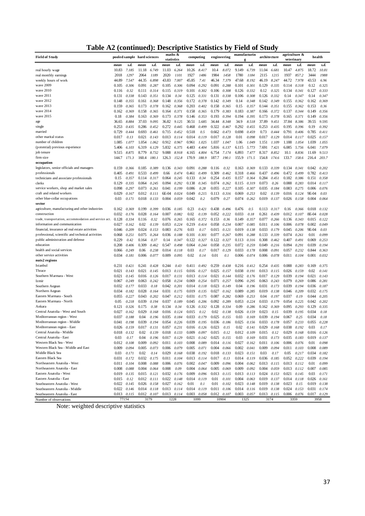| Table A2 (continued): Descriptive Statistics by Field of Study |  |  |
|----------------------------------------------------------------|--|--|
|                                                                |  |  |

| <b>Field of Study</b>                                  |       |                 | pooled sample hard sciences |                | statistics      | maths &        | computing    |                 | engineering |                | manufacturin<br>g |                | architecture |                | agriculture &<br>veterinary |                |               | health        |
|--------------------------------------------------------|-------|-----------------|-----------------------------|----------------|-----------------|----------------|--------------|-----------------|-------------|----------------|-------------------|----------------|--------------|----------------|-----------------------------|----------------|---------------|---------------|
|                                                        | mean  | s.d.            | mean                        | s.d.           | mean            | s.d.           | mean         | s.d.            | mean        | s.d.           | mean              | s.d.           | mean         | s.d.           | mean                        | s.d.           | mean          | s.d.          |
| real hourly wage                                       | 10.83 | 7.185           | 11.18                       | 6.749          | 11.03           | 6.264          | 10.26        | 8.417           | 10.4        | 8.072          | 9.149             | 6.739          | 11.04        | 6.681          | 10.47                       | 4.875          | 18.72         | 10.81         |
| real monthly earnings                                  | 2018  | 1297            | 2064                        | 1189           | 2020            | 1101           | 1927         | 1486            | 1984        | 1458           | 1780              | 1184           | 2115         | 1215           | 1937                        | 857.2          | 3444          | 1988          |
| weekly hours of work                                   | 44.89 | 7.547           | 44.35                       | 6.898          | 43.83           | 7.007          | 45.85        | 7.41            | 46.34       | 7.379          | 47.68             | 8.192          | 46.19        | 8.247          | 44.72                       | 7.978          | 43.53         | 6.96          |
| wave 2009                                              | 0.105 | 0.306           | 0.091                       | 0.287          | 0.105           | 0.306          | 0.094        | 0.292           | 0.091       | 0.288          | 0.101             | 0.301          | 0.129        | 0.335          | 0.114                       | 0.318          | 0.12          | 0.325         |
| wave 2010                                              | 0.116 | 0.32            | 0.111                       | 0.314          | 0.115           | 0.319          | 0.101        | 0.302           | 0.106       | 0.308          | 0.126             | 0.332          | 0.12         | 0.325          | 0.134                       | 0.341          | 0.127         | 0.333         |
| wave 2011                                              | 0.131 | 0.338           | 0.143                       | 0.351          | 0.134           | 0.34           | 0.125        | 0.331           | 0.131       | 0.338          | 0.106             | 0.308          | 0.126        | 0.332          | 0.14                        | 0.347          | 0.14          | 0.347         |
| wave 2012                                              | 0.148 | 0.355           | 0.161                       | 0.368          | 0.148           | 0.356          | 0.172        | 0.378           | 0.142       | 0.349          | 0.14              | 0.348          | 0.142        | 0.349          | 0.155                       | 0.362          | 0.162         | 0.369         |
| wave 2013                                              | 0.159 | 0.365           | 0.173                       | 0.378          | 0.162           | 0.368          | 0.203        | 0.402           | 0.158       | 0.365          | 0.15              | 0.357          | 0.144        | 0.351          | 0.155                       | 0.362          | 0.153         | 0.36          |
| wave 2014                                              | 0.162 | 0.369           | 0.158                       | 0.365          | 0.164           | 0.371          | 0.158        | 0.365           | 0.179       | 0.383          | 0.183             | 0.387          | 0.166        | 0.372          | 0.137                       | 0.344          | 0.149         | 0.356         |
| wave 2015                                              | 0.18  | 0.384           | 0.163                       | 0.369          | 0.173           | 0.378          | 0.146        | 0.353           | 0.193       | 0.394          | 0.194             | 0.395          | 0.173        | 0.378          | 0.165                       | 0.371          | 0.149         | 0.356         |
| age                                                    | 36.65 | 8.884           | 37.03                       | 9.095          | 36.82           | 9.125          | 30.51        | 5.685           | 34.44       | 8.348          | 34.9              | 8.518          | 37.89        | 9.451          | 37.84                       | 8.386          | 39.55         | 9.595         |
| single                                                 | 0.253 | 0.435           | 0.286                       | 0.452          | 0.272           | 0.445          | 0.468        | 0.499           | 0.322       | 0.467          | 0.292             | 0.455          | 0.253        | 0.435          | 0.195                       | 0.396          | 0.19          | 0.392         |
| married                                                | 0.729 | 0.444           | 0.693                       | 0.461          | 0.715           | 0.452          | 0.518        | 0.5             | 0.662       | 0.473          | 0.698             | 0.459          | 0.73         | 0.444          | 0.791                       | 0.406          | 0.785         | 0.411         |
| other marital status                                   | 0.017 | 0.13            | 0.021                       | 0.143          | 0.013           | 0.114          | 0.014        | 0.119           | 0.017       | 0.128          | 0.01              | 0.098          | 0.017        | 0.129          | 0.014                       | 0.117          | 0.025         | 0.157         |
| number of children                                     | 1.085 | 1.077           | 1.054                       | 1.062          | 0.912           | 0.967          | 0.961        | 1.025           | 1.037       | 1.047          | 1.06              | 1.049          | 1.151        | 1.109          | 1.188                       | 1.054          | 1.039         | 1.055         |
| (potential) previous experience                        | 5.406 | 6.103           | 6.319                       | 6.129          | 5.832           | 6.375          | 4.483        | 4.404           | 5.816       | 6.137          | 6.115             | 5.773          | 7.691        | 7.421          | 6.085                       | 5.756          | 6.041         | 7.079         |
| job tenure                                             | 9.515 | 8.875           | 8.779                       | 8.732          | 9.088           | 8.918          | 4.165        | 4.804           | 6.754       | 7.174          | 6.893             | 7.477          | 8.317        | 8.852          | 10.1                        | 8.836          | 11.69         | 9.513         |
| firm size                                              | 144.7 | 171.3           | 160.4                       | 180.1          | 126.3           | 152.8          | 170.9        | 188.9           | 187.7       | 190.1          | 155.9             | 171.5          | 154.8        | 174.6          | 133.7                       | 158.6          | 216.4         | 203.7         |
| occupation                                             |       |                 |                             |                |                 |                |              |                 |             |                |                   |                |              |                |                             |                |               |               |
| legislators, senior officials and managers             | 0.159 | 0.366           | 0.185                       | 0.389          | 0.136           | 0.343          | 0.091        | 0.288           | 0.116       | 0.32           | 0.163             | 0.369          | 0.133        | 0.339          | 0.134                       | 0.341          | 0.042         | 0.202         |
| professionals                                          | 0.405 | 0.491           | 0.533                       | 0.499          | 0.66            | 0.474          | 0.461        | 0.499           | 0.309       | 0.462          | 0.318             | 0.466          | 0.437        | 0.496          | 0.472                       | 0.499          | 0.782         | 0.413         |
| technicians and associate professionals                | 0.15  | 0.357           | 0.114                       | 0.317          | 0.064           | 0.245          | 0.133        | 0.34            | 0.254       | 0.435          | 0.157             | 0.364          | 0.284        | 0.451          | 0.182                       | 0.386          | 0.151         | 0.358         |
| clerks                                                 | 0.129 | 0.335           | 0.064                       | 0.245          | 0.094           | 0.292          | 0.138        | 0.345           | 0.074       | 0.262          | 0.115             | 0.319          | 0.073        | 0.26           | 0.088                       | 0.283          | 0.014         | 0.117         |
| service workers, shop and market sales                 | 0.098 | 0.297           | 0.073                       | 0.261          | 0.041           | 0.199          | 0.086        | 0.28            | 0.055       | 0.227          | 0.105             | 0.307          | 0.035        | 0.184          | 0.083                       | 0.275          | 0.006         | 0.076         |
| craft and related workers                              | 0.029 | 0.167           | 0.012                       | 0.111          | 6E-04           | 0.024          | 0.049        | 0.215           | 0.113       | 0.316          | 0.069             | 0.253          | 0.02         | 0.139          | 0.016                       | 0.124          | 9E-04         | 0.03          |
| other blue-collar occupations                          | 0.03  | 0.171           | 0.018                       | 0.133          | 0.004           | 0.059          | 0.042        | 0.2             | 0.079       | 0.27           | 0.074             | 0.262          | 0.019        | 0.137          | 0.026                       | 0.158          | 0.004         | 0.064         |
| sector                                                 |       |                 |                             |                |                 |                |              |                 |             |                |                   |                |              |                |                             |                |               |               |
| agriculture, manufacturing and other industries        | 0.162 | 0.369           | 0.199                       | 0.399          | 0.036           | 0.185          | 0.23         | 0.421           | 0.438       | 0.496          | 0.476             | 0.5            | 0.113        | 0.317          | 0.16                        | 0.366          | 0.018         | 0.132         |
| construction                                           | 0.032 | 0.176           | 0.028                       | 0.164          | 0.007           | 0.082          | 0.02         | 0.139           | 0.052       | 0.222          | 0.033             | 0.18           | 0.261        | 0.439          | 0.012                       | 0.107          | 8E-04         | 0.028         |
| trade, transportation, accommodation and service act.  | 0.128 | 0.334           | 0.116                       | 0.32           | 0.076           | 0.265          | 0.165        | 0.372           | 0.153       | 0.36           | 0.149             | 0.357          | 0.077        | 0.266          | 0.136                       | 0.343          | 0.015         | 0.122         |
| information and communication                          | 0.027 | 0.162           | 0.02                        | 0.139          | 0.053           | 0.224          | 0.219        | 0.414           | 0.058       | 0.234          | 0.007             | 0.085          | 0.011        | 0.106          | 0.006                       | 0.078          | 0.002         | 0.049         |
| financial, insurance ad real estate activities         | 0.046 | 0.209           | 0.024                       | 0.153          | 0.083           | 0.276          | 0.03         | 0.17            | 0.015       | 0.121          | 0.019             | 0.138          | 0.033        | 0.179          | 0.045                       | 0.206          | 9E-04         | 0.03          |
| professional, scientific and technical activities      | 0.068 | 0.251           | 0.075                       | 0.264          | 0.036           | 0.188          | 0.101        | 0.301           | 0.077       | 0.267          | 0.091             | 0.288          | 0.133        | 0.339          | 0.074                       | 0.261          | 0.01          | 0.099         |
| public administration and defense                      | 0.229 | 0.42            | 0.164                       | 0.37           | 0.14            | 0.347          | 0.122        | 0.327           | 0.122       | 0.327          | 0.113             | 0.316          | 0.308        | 0.462          | 0.407                       | 0.491          | 0.069         | 0.253         |
| education                                              | 0.208 | 0.406           | 0.309                       | 0.462          | 0.547           | 0.498          | 0.064        | 0.244           | 0.058       | 0.235          | 0.072             | 0.259          | 0.049        | 0.216          | 0.094                       | 0.291          | 0.039         | 0.194         |
| health and social services<br>other service activities | 0.066 | 0.249           | 0.06<br>0.006               | 0.238          | 0.014           | 0.118          | 0.03<br>0.02 | 0.17            | 0.017       | 0.129          | 0.033             | 0.178          | 0.008        | 0.091          | 0.057                       | 0.232          | 0.844         | 0.363         |
| nuts2 regions                                          | 0.034 | 0.181           |                             | 0.077          | 0.009           | 0.095          |              | 0.14            | 0.01        | 0.1            | 0.006             | 0.074          | 0.006        | 0.078          | 0.011                       | 0.104          | 0.001         | 0.032         |
|                                                        | 0.231 |                 |                             |                | 0.244           |                | 0.411        |                 | 0.259       |                | 0.216             |                | 0.254        |                |                             |                |               | 0.375         |
| Istanbul<br>Thrace                                     | 0.021 | 0.421<br>0.143  | 0.241<br>0.021              | 0.428<br>0.145 | 0.013           | 0.43           | 0.016        | 0.492           | 0.025       | 0.438<br>0.157 | 0.038             | 0.412          | 0.013        | 0.435<br>0.115 | 0.088<br>0.026              | 0.283<br>0.159 | 0.169<br>0.02 | 0.141         |
| Southern Marmara - West                                | 0.021 | 0.145           | 0.016                       | 0.126          | 0.017           | 0.115<br>0.131 | 0.013        | 0.127<br>0.114  | 0.021       | 0.144          | 0.032             | 0.191<br>0.176 | 0.017        | 0.129          | 0.039                       | 0.194          | 0.021         | 0.143         |
| Izmir                                                  | 0.067 | 0.249           | 0.063                       | 0.242          | 0.058           | 0.234          | 0.069        | 0.254           | 0.071       | 0.257          | 0.096             | 0.295          | 0.063        | 0.243          | 0.079                       | 0.269          | 0.086         | 0.281         |
| Southern Aegean                                        | 0.032 | 0.177           | 0.033                       | 0.18           | 0.042           | 0.201          | 0.014        | 0.118           | 0.023       | 0.149          | 0.04              | 0.196          | 0.031        | 0.173          | 0.039                       | 0.194          | 0.036         | 0.187         |
| Northern Aegean                                        | 0.034 | 0.182           | 0.028                       | 0.164          | 0.031           | 0.175          | 0.019        | 0.135           | 0.027       | 0.162          | 0.089             | 0.285          | 0.019        | 0.138          | 0.046                       | 0.209          | 0.032         | 0.175         |
| Eastern Marmara - South                                | 0.055 | 0.227           | 0.043                       | 0.202          | 0.047           | 0.212          | 0.031        | 0.175           | 0.087       | 0.282          | 0.069             | 0.253          | 0.04         | 0.197          | 0.037                       | 0.19           | 0.044         | 0.205         |
| Eastern Marmara - North                                | 0.05  | 0.218           | 0.039                       | 0.194          | 0.037           | 0.189          | 0.045        | 0.206           | 0.092       | 0.289          | 0.053             | 0.224          | 0.033        | 0.179          | 0.054                       | 0.225          | 0.042         | 0.202         |
| Ankara                                                 | 0.121 | 0.326           | 0.175                       | 0.38           | 0.134           | 0.34           | 0.126        | 0.332           | 0.128       | 0.334          | 0.09              | 0.286          | 0.162        | 0.369          | 0.095                       | 0.293          | 0.129         | 0.335         |
| Central Anatolia - West and South                      | 0.027 | 0.162           | 0.029                       | 0.168          | 0.016           | 0.124          | 0.015        | 0.12            | 0.02        | 0.138          | 0.026             | 0.159          | 0.023        | 0.15           | 0.039                       | 0.195          | 0.034         | 0.18          |
| Mediterranean region - West                            | 0.037 | 0.188           | 0.04                        | 0.196          | 0.035           | 0.184          | 0.033        | 0.179           | 0.025       | 0.155          | 0.03              | 0.169          | 0.039        | 0.194          | 0.067                       | 0.25           | 0.034         | 0.18          |
| Mediterranean region - Middle                          | 0.041 | 0.198           | 0.039                       | 0.194          | 0.054           | 0.226          | 0.039        | 0.195           | 0.036       | 0.186          | 0.025             | 0.156          | 0.033        | 0.178          | 0.057                       | 0.233          | 0.055         | 0.228         |
| Mediterranean region - East                            | 0.026 | 0.159           | 0.017                       | 0.131          | 0.057           | 0.231          | 0.016        | 0.126           | 0.023       | 0.15           | 0.02              | 0.141          | 0.029        | 0.168          | 0.038                       | 0.192          | 0.03          | 0.17          |
| Central Anatolia - Middle                              | 0.018 | 0.132           | 0.02                        | 0.139          | 0.018           | 0.133          | 0.009        | 0.097           | 0.015       | 0.12           | 0.012             | 0.109          | 0.015        | 0.12           | 0.029                       | 0.168          | 0.016         | 0.126         |
| Central Anatolia - East                                | 0.03  | 0.17            | 0.04                        | 0.196          | 0.017           | 0.129          | 0.021        | 0.142           | 0.025       | 0.155          | 0.03              | 0.169          | 0.031        | 0.173          | 0.035                       | 0.183          | 0.019         | 0.137         |
| Western Black Sea - West                               | 0.012 | 0.108           | 0.009                       | 0.092          | 0.011           | 0.103          | 0.008        | 0.089           | 0.014       | 0.116          | 0.027             | 0.162          | 0.011        | 0.106          | 0.006                       | 0.076          | 0.01          | 0.098         |
| Western Black Sea - Middle and East                    | 0.009 | 0.094           | 0.005                       | 0.073          | 0.006           | 0.079          | 0.005        | 0.071           | 0.004       | 0.066          | 0.002             | 0.041          | 0.009        | 0.094          | 0.011                       | 0.103          | 0.008         | 0.089         |
| Middle Black Sea                                       | 0.03  | 0.171           | 0.02                        | 0.14           | 0.029           | 0.168          | 0.038        | 0.192           | 0.018       | 0.133          | 0.023             | 0.151          | 0.03         | 0.17           | 0.05                        | 0.217          | 0.034         | 0.182         |
| Eastern Black Sea                                      | 0.031 | 0.172           | 0.032                       | 0.175          | 0.011           | 0.104          |              | 0.013 0.114     | 0.017       | 0.13           | 0.014             | 0.119          | 0.036        | 0.185          | 0.052                       | 0.222          | 0.039         | 0.194         |
| Northeastern Anatolia - West                           | 0.011 | 0.104           | 0.008                       | 0.088          | 0.006           | 0.076          |              | $0.002$ $0.047$ | 0.009       | 0.096          | 0.004             | 0.062          | 0.013        | 0.115          | 0.013                       | 0.112          | 0.01          | 0.099         |
| Northeastern Anatolia - East                           | 0.008 | 0.088           | 0.004                       | 0.064          | 0.008           | 0.09           | 0.004        | 0.064           | 0.005       | 0.069          | 0.009             | 0.092          | 0.004        | 0.059          | 0.013                       | 0.112          | 0.007         | 0.085         |
| Eastern Anatolia - West                                | 0.019 | 0.135           | 0.015                       | 0.121          | 0.032           | 0.176          | 0.009        | 0.096           | 0.013       | 0.115          | 0.013             | 0.113          | 0.024        | 0.153          | 0.021                       | 0.145          | 0.03          | 0.171         |
| Eastern Anatolia - East                                | 0.015 | 0.12            | 0.012                       | 0.111          | 0.022           | 0.148          |              | 0.014 0.119     | 0.01        | 0.101          | 0.004             | 0.063          | 0.019        | 0.137          | 0.014                       | 0.118          | 0.026         | 0.161         |
| Southeastern Anatolia - West                           |       | $0.022$ $0.145$ | 0.026                       | 0.158          | $0.027$ $0.162$ |                | 0.01         | 0.1             | 0.01        | 0.102          | 0.023             | 0.148          | 0.019        | 0.138          | 0.023                       | 0.15           | 0.019         | 0.138         |
| Southeastern Anatolia - Middle                         | 0.022 | 0.146           | 0.014                       | 0.118          | $0.013$ $0.114$ |                | 0.014        | 0.119           | 0.011       | 0.106          | 0.014             | 0.116          | 0.019        | 0.138          | 0.024                       | 0.153          | 0.031         | 0.174         |
| Southeastern Anatolia - East                           | 0.013 | 0.115           | 0.012                       | 0.107          |                 | 0.013 0.114    | 0.003        | 0.058           | 0.012       | 0.107          | $0.003$ $0.057$   |                | 0.013 0.115  |                | $0.006$ $0.076$             |                |               | $0.017$ 0.129 |
| Number of observations                                 |       | 77154           |                             | 3179           |                 | 1228           |              | 1099            |             | 10904          |                   | 1325           |              | 3174           |                             | 3359           |               | 3958          |

Note: weighted descriptive statistics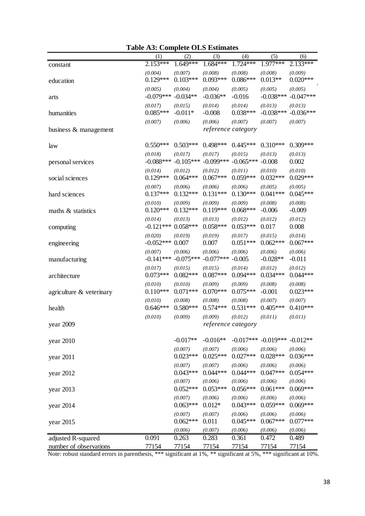|                             | (1)                               | (2)                    | (3)                    | (4)                           | (5)                     | (6)                    |
|-----------------------------|-----------------------------------|------------------------|------------------------|-------------------------------|-------------------------|------------------------|
| constant                    | $2.153***$                        | 1.649***               | 1.684***               | $1.724***$                    | 1.977***                | 2.133***               |
| education                   | (0.004)<br>$0.129***$             | (0.007)<br>$0.103***$  | (0.008)<br>$0.093***$  | (0.008)<br>$0.086***$         | (0.008)<br>$0.013**$    | (0.009)<br>$0.020***$  |
| arts                        | (0.005)<br>$-0.079***$ $-0.034**$ | (0.004)                | (0.004)<br>$-0.036**$  | (0.005)<br>$-0.016$           | (0.005)<br>$-0.038***$  | (0.005)<br>$-0.047***$ |
| humanities                  | (0.017)<br>$0.085***$             | (0.015)<br>$-0.011*$   | (0.014)<br>$-0.008$    | (0.014)<br>$0.038***$         | (0.013)<br>$-0.038***$  | (0.013)<br>$-0.036***$ |
|                             | (0.007)                           | (0.006)                | (0.006)                | (0.007)                       | (0.007)                 | (0.007)                |
| business & management       |                                   |                        | reference category     |                               |                         |                        |
| law                         | $0.550***$                        | $0.503***$             | $0.498***$             | $0.445***$                    | $0.310***$              | $0.309***$             |
| personal services           | (0.018)<br>$-0.088***$            | (0.017)<br>$-0.105***$ | (0.017)<br>$-0.099***$ | (0.015)<br>$-0.065***$        | (0.013)<br>$-0.008$     | (0.013)<br>0.002       |
| social sciences             | (0.014)<br>$0.129***$             | (0.012)<br>$0.064***$  | (0.012)<br>$0.067***$  | (0.011)<br>$0.059***$         | (0.010)<br>$0.032***$   | (0.010)<br>$0.029***$  |
| hard sciences               | (0.007)<br>$0.137***$             | (0.006)<br>$0.132***$  | (0.006)<br>$0.131***$  | (0.006)<br>$0.130***$         | (0.005)<br>$0.041***$   | (0.005)<br>$0.045***$  |
| maths & statistics          | (0.010)<br>$0.120***$             | (0.009)<br>$0.132***$  | (0.009)<br>$0.119***$  | (0.009)<br>$0.068***$         | (0.008)<br>$-0.006$     | (0.008)<br>$-0.009$    |
| computing                   | (0.014)<br>$-0.121***$            | (0.013)<br>$0.058***$  | (0.013)<br>$0.058***$  | (0.012)<br>$0.053***$         | (0.012)<br>0.017        | (0.012)<br>0.008       |
| engineering                 | (0.020)<br>$-0.052***$            | (0.019)<br>0.007       | (0.019)<br>0.007       | (0.017)<br>$0.051***$         | (0.015)<br>$0.062***$   | (0.014)<br>$0.067***$  |
| manufacturing               | (0.007)<br>$-0.141***$            | (0.006)<br>$-0.075***$ | (0.006)<br>$-0.077***$ | (0.006)<br>$-0.005$           | (0.006)<br>$-0.028**$   | (0.006)<br>$-0.011$    |
| architecture                | (0.017)<br>$0.073***$             | (0.015)<br>$0.082***$  | (0.015)<br>$0.087***$  | (0.014)<br>$0.094***$         | (0.012)<br>$0.034***$   | (0.012)<br>$0.044***$  |
| agriculture $\&$ veterinary | (0.010)<br>$0.110***$             | (0.010)<br>$0.071***$  | (0.009)<br>$0.070***$  | (0.009)<br>$0.075***$         | (0.008)<br>$-0.001$     | (0.008)<br>$0.023***$  |
| health                      | (0.010)<br>$0.646***$             | (0.008)<br>$0.580***$  | (0.008)<br>$0.574***$  | (0.008)<br>$0.531***$         | (0.007)<br>$0.405***$   | (0.007)<br>$0.410***$  |
| year 2009                   | (0.010)                           | (0.009)                | (0.009)                | (0.012)<br>reference category | (0.011)                 | (0.011)                |
| year 2010                   |                                   | $-0.017**$             | $-0.016**$             |                               | $-0.017***$ $-0.019***$ | $-0.012**$             |
| year 2011                   |                                   | (0.007)<br>$0.023***$  | (0.007)<br>$0.025***$  | (0.006)<br>$0.027***$         | (0.006)<br>$0.028***$   | (0.006)<br>$0.036***$  |
| year 2012                   |                                   | (0.007)<br>$0.043***$  | (0.007)<br>$0.044***$  | (0.006)<br>$0.044***$         | (0.006)<br>$0.047***$   | (0.006)<br>$0.054***$  |
| year 2013                   |                                   | (0.007)<br>$0.052***$  | (0.006)<br>$0.053***$  | (0.006)<br>$0.056***$         | (0.006)<br>$0.061***$   | (0.006)<br>$0.069***$  |
| year 2014                   |                                   | (0.007)<br>$0.063***$  | (0.006)<br>$0.012*$    | (0.006)<br>$0.043***$         | (0.006)<br>$0.059***$   | (0.006)<br>$0.069***$  |
| year 2015                   |                                   | (0.007)<br>$0.062***$  | (0.007)<br>0.011       | (0.006)<br>$0.045***$         | (0.006)<br>$0.067***$   | (0.006)<br>$0.077***$  |
|                             |                                   | (0.006)                | (0.007)                | (0.006)                       | (0.006)                 | (0.006)                |
| adjusted R-squared          | 0.091                             | 0.263                  | 0.283                  | 0.361                         | 0.472                   | 0.489                  |
| number of observations      | 77154                             | 77154                  | 77154                  | 77154                         | 77154                   | 77154                  |

| <b>Table A3: Complete OLS Estimates</b> |  |  |  |
|-----------------------------------------|--|--|--|
|-----------------------------------------|--|--|--|

Note: robust standard errors in parenthesis, \*\*\* significant at 1%, \*\* significant at 5%, \*\*\* significant at 10%.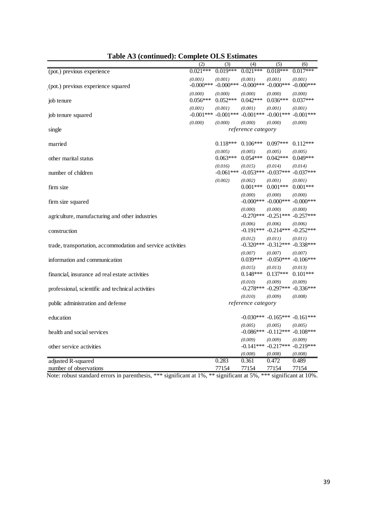|                                                             | (2)                     | (3)                     | (4)                                | (5)                                            | (6)                     |
|-------------------------------------------------------------|-------------------------|-------------------------|------------------------------------|------------------------------------------------|-------------------------|
| (pot.) previous experience                                  | $0.02\overline{1***}$   | $0.019***$              | $0.021***$                         | $0.018***$                                     | $0.017***$              |
| (pot.) previous experience squared                          | (0.001)<br>$-0.000$ *** | (0.001)<br>$-0.000$ *** | (0.001)<br>$-0.000$ ***            | (0.001)<br>$-0.000***$                         | (0.001)<br>$-0.000$ *** |
| job tenure                                                  | (0.000)<br>$0.056***$   | (0.000)<br>$0.052***$   | (0.000)<br>$0.042***$              | (0.000)<br>$0.036***$                          | (0.000)<br>$0.037***$   |
| job tenure squared                                          | (0.001)<br>$-0.001***$  | (0.001)<br>$-0.001***$  | (0.001)<br>$-0.001***$ $-0.001***$ | (0.001)                                        | (0.001)<br>$-0.001***$  |
|                                                             | (0.000)                 | (0.000)                 | (0.000)                            | (0.000)                                        | (0.000)                 |
| single                                                      |                         |                         | reference category                 |                                                |                         |
|                                                             |                         |                         |                                    |                                                |                         |
| married                                                     |                         | $0.118***$              | $0.106***$                         | $0.097***$                                     | $0.112***$              |
| other marital status                                        |                         | (0.005)<br>$0.063***$   | (0.005)<br>$0.054***$              | (0.005)<br>$0.042***$                          | (0.005)<br>$0.049***$   |
| number of children                                          |                         | (0.016)<br>$-0.061***$  | (0.015)<br>$-0.053***$             | (0.014)<br>$-0.037***$                         | (0.014)<br>$-0.037***$  |
| firm size                                                   |                         | (0.002)                 | (0.002)<br>$0.001***$              | (0.001)<br>$0.001***$                          | (0.001)<br>$0.001***$   |
| firm size squared                                           |                         |                         | (0.000)<br>$-0.000$ ***            | (0.000)<br>$-0.000***$                         | (0.000)<br>$-0.000***$  |
| agriculture, manufacturing and other industries             |                         |                         | (0.000)<br>$-0.270***$             | (0.000)<br>$-0.251***$                         | (0.000)<br>$-0.257***$  |
| construction                                                |                         |                         | (0.006)                            | (0.006)<br>$-0.191***$ $-0.214***$ $-0.252***$ | (0.006)                 |
| trade, transportation, accommodation and service activities |                         |                         | (0.012)<br>$-0.320***$             | (0.011)<br>$-0.312***$                         | (0.011)<br>$-0.338***$  |
| information and communication                               |                         |                         | (0.007)<br>$0.039***$              | (0.007)<br>$-0.050***$                         | (0.007)<br>$-0.106***$  |
| financial, insurance ad real estate activities              |                         |                         | (0.015)<br>$0.148***$              | (0.013)<br>$0.137***$                          | (0.013)<br>$0.101***$   |
| professional, scientific and technical activities           |                         |                         | (0.010)<br>$-0.278***$             | (0.009)<br>$-0.297***$                         | (0.009)<br>$-0.336***$  |
|                                                             |                         |                         | (0.010)                            | (0.009)                                        | (0.008)                 |
| public administration and defense                           |                         |                         | reference category                 |                                                |                         |
| education                                                   |                         |                         |                                    | $-0.030***$ $-0.165***$                        | $-0.161***$             |
| health and social services                                  |                         |                         | (0.005)<br>$-0.086***$             | (0.005)<br>$-0.112***$                         | (0.005)<br>$-0.108***$  |
| other service activities                                    |                         |                         | (0.009)                            | (0.009)<br>$-0.141***$ $-0.217***$             | (0.009)<br>$-0.219***$  |
|                                                             |                         |                         | (0.008)                            | (0.008)                                        | (0.008)                 |
| adjusted R-squared                                          |                         | 0.283                   | 0.361                              | 0.472                                          | 0.489                   |
| number of observations                                      |                         | 77154                   | 77154                              | 77154                                          | 77154                   |

**Table A3 (continued): Complete OLS Estimates**

Note: robust standard errors in parenthesis, \*\*\* significant at 1%, \*\* significant at 5%, \*\*\* significant at 10%.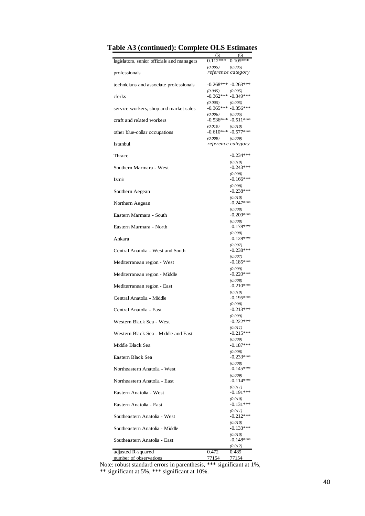|                                            | (5)                                           | (6)                               |
|--------------------------------------------|-----------------------------------------------|-----------------------------------|
| legislators, senior officials and managers | $0.112***$<br>(0.005)                         | $0.105***$<br>(0.005)             |
| professionals                              | reference category                            |                                   |
| technicians and associate professionals    | $-0.268***$ $-0.263***$                       |                                   |
| clerks                                     | (0.005)<br>$-0.362*** -0.349***$              | (0.005)                           |
| service workers, shop and market sales     | (0.005)<br>$-0.365***$ $-0.356***$            | (0.005)                           |
| craft and related workers                  | (0.006)<br>$-0.536*** -0.511***$              | (0.005)                           |
| other blue-collar occupations              | (0.010)<br>$-0.610***$ $-0.577***$<br>(0.009) | (0.010)                           |
| Istanbul                                   | reference category                            | (0.009)                           |
| Thrace                                     |                                               | $-0.234***$                       |
| Southern Marmara - West                    |                                               | (0.010)<br>$-0.243***$            |
| Izmir                                      |                                               | (0.008)<br>$-0.166***$            |
| Southern Aegean                            |                                               | (0.008)<br>$-0.238***$            |
| Northern Aegean                            |                                               | (0.010)<br>$-0.247***$            |
| Eastern Marmara - South                    |                                               | (0.008)<br>$-0.209***$            |
| Eastern Marmara - North                    |                                               | (0.008)<br>$-0.178***$            |
| Ankara                                     |                                               | (0.008)<br>$-0.128***$            |
| Central Anatolia - West and South          |                                               | (0.007)<br>$-0.238***$            |
| Mediterranean region - West                |                                               | (0.007)<br>$-0.185***$            |
| Mediterranean region - Middle              |                                               | (0.009)<br>$-0.220***$            |
| Mediterranean region - East                |                                               | (0.008)<br>$-0.210***$<br>(0.010) |
| Central Anatolia - Middle                  |                                               | $-0.195***$<br>(0.008)            |
| Central Anatolia - East                    |                                               | $-0.213***$<br>(0.009)            |
| Western Black Sea - West                   |                                               | $-0.222***$<br>(0.011)            |
| Western Black Sea - Middle and East        |                                               | $-0.215***$<br>(0.009)            |
| Middle Black Sea                           |                                               | $-0.187***$                       |
| Eastern Black Sea                          |                                               | (0.008)<br>$-0.233***$<br>(0.008) |
| Northeastern Anatolia - West               |                                               | $-0.145***$<br>(0.009)            |
| Northeastern Anatolia - East               |                                               | $-0.114***$<br>(0.011)            |
| Eastern Anatolia - West                    |                                               | $-0.191***$                       |
| Eastern Anatolia - East                    |                                               | (0.010)<br>$-0.131***$            |
| Southeastern Anatolia - West               |                                               | (0.011)<br>$-0.212***$            |
| Southeastern Anatolia - Middle             |                                               | (0.010)<br>$-0.133***$            |
| Southeastern Anatolia - East               |                                               | (0.010)<br>$-0.148***$<br>(0.012) |
| adjusted R-squared                         | 0.472<br>77154                                | 0.489<br>77154                    |

|  | Table A3 (continued): Complete OLS Estimates |  |  |  |
|--|----------------------------------------------|--|--|--|
|--|----------------------------------------------|--|--|--|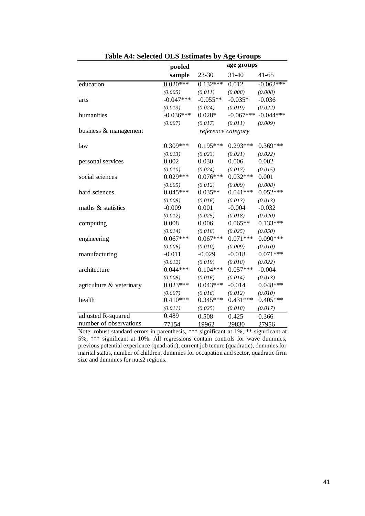|                          | pooled      |                    | age groups  |             |
|--------------------------|-------------|--------------------|-------------|-------------|
|                          | sample      | $23 - 30$          | 31-40       | $41 - 65$   |
| education                | $0.020***$  | $0.132***$         | 0.012       | $-0.062***$ |
|                          | (0.005)     | (0.011)            | (0.008)     | (0.008)     |
| arts                     | $-0.047***$ | $-0.055**$         | $-0.035*$   | $-0.036$    |
|                          | (0.013)     | (0.024)            | (0.019)     | (0.022)     |
| humanities               | $-0.036***$ | $0.028*$           | $-0.067***$ | $-0.044***$ |
|                          | (0.007)     | (0.017)            | (0.011)     | (0.009)     |
| business & management    |             | reference category |             |             |
| law                      | $0.309***$  | $0.195***$         | $0.293***$  | $0.369***$  |
|                          | (0.013)     | (0.023)            | (0.021)     | (0.022)     |
| personal services        | 0.002       | 0.030              | 0.006       | 0.002       |
|                          | (0.010)     | (0.024)            | (0.017)     | (0.015)     |
| social sciences          | $0.029***$  | $0.076***$         | $0.032***$  | 0.001       |
|                          | (0.005)     | (0.012)            | (0.009)     | (0.008)     |
| hard sciences            | $0.045***$  | $0.035**$          | $0.041***$  | $0.052***$  |
|                          | (0.008)     | (0.016)            | (0.013)     | (0.013)     |
| maths & statistics       | $-0.009$    | 0.001              | $-0.004$    | $-0.032$    |
|                          | (0.012)     | (0.025)            | (0.018)     | (0.020)     |
| computing                | 0.008       | 0.006              | $0.065**$   | $0.133***$  |
|                          | (0.014)     | (0.018)            | (0.025)     | (0.050)     |
| engineering              | $0.067***$  | $0.067***$         | $0.071***$  | $0.090***$  |
|                          | (0.006)     | (0.010)            | (0.009)     | (0.010)     |
| manufacturing            | $-0.011$    | $-0.029$           | $-0.018$    | $0.071***$  |
|                          | (0.012)     | (0.019)            | (0.018)     | (0.022)     |
| architecture             | $0.044***$  | $0.104***$         | $0.057***$  | $-0.004$    |
|                          | (0.008)     | (0.016)            | (0.014)     | (0.013)     |
| agriculture & veterinary | $0.023***$  | $0.043***$         | $-0.014$    | $0.048***$  |
|                          | (0.007)     | (0.016)            | (0.012)     | (0.010)     |
| health                   | $0.410***$  | $0.345***$         | $0.431***$  | $0.405***$  |
|                          | (0.011)     | (0.025)            | (0.018)     | (0.017)     |
| adjusted R-squared       | 0.489       | 0.508              | 0.425       | 0.366       |
| number of observations   | 77154       | 19962              | 29830       | 27956       |

**Table A4: Selected OLS Estimates by Age Groups**

Note: robust standard errors in parenthesis, \*\*\* significant at 1%, \*\* significant at 5%, \*\*\* significant at 10%. All regressions contain controls for wave dummies, previous potential experience (quadratic), current job tenure (quadratic), dummies for marital status, number of children, dummies for occupation and sector, quadratic firm size and dummies for nuts2 regions.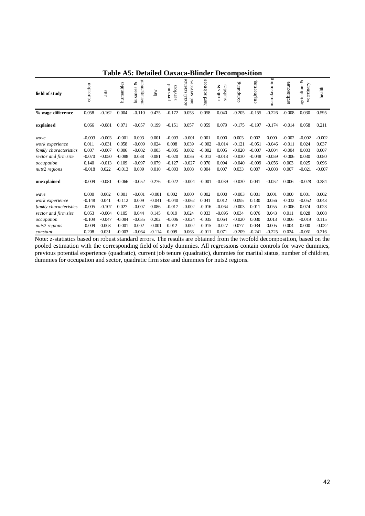| field of study         | education | arts     | humanities | management<br>ళ<br>business | law      | personal<br>services | science<br>services<br>social<br>and | sciences<br>hard | statistics<br>ళ<br>maths | computing | engineering | manufacturing | architecture | ళ<br>veterinary<br>agriculture | health   |
|------------------------|-----------|----------|------------|-----------------------------|----------|----------------------|--------------------------------------|------------------|--------------------------|-----------|-------------|---------------|--------------|--------------------------------|----------|
| % wage difference      | 0.058     | $-0.162$ | 0.004      | $-0.110$                    | 0.475    | $-0.172$             | 0.053                                | 0.058            | 0.040                    | $-0.205$  | $-0.155$    | $-0.226$      | $-0.008$     | 0.030                          | 0.595    |
| explained              | 0.066     | $-0.081$ | 0.071      | $-0.057$                    | 0.199    | $-0.151$             | 0.057                                | 0.059            | 0.079                    | $-0.175$  | $-0.197$    | $-0.174$      | $-0.014$     | 0.058                          | 0.211    |
| wave                   | $-0.003$  | $-0.003$ | $-0.001$   | 0.003                       | 0.001    | $-0.003$             | $-0.001$                             | 0.001            | 0.000                    | 0.003     | 0.002       | 0.000         | $-0.002$     | $-0.002$                       | $-0.002$ |
| work experience        | 0.011     | $-0.031$ | 0.058      | $-0.009$                    | 0.024    | 0.008                | 0.039                                | $-0.002$         | $-0.014$                 | $-0.121$  | $-0.051$    | $-0.046$      | $-0.011$     | 0.024                          | 0.037    |
| family characteristics | 0.007     | $-0.007$ | 0.006      | $-0.002$                    | 0.003    | $-0.005$             | 0.002                                | $-0.002$         | 0.005                    | $-0.020$  | $-0.007$    | $-0.004$      | $-0.004$     | 0.003                          | 0.007    |
| sector and firm size   | $-0.070$  | $-0.050$ | $-0.088$   | 0.038                       | 0.081    | $-0.020$             | 0.036                                | $-0.013$         | $-0.013$                 | $-0.030$  | $-0.048$    | $-0.059$      | $-0.006$     | 0.030                          | 0.080    |
| occupation             | 0.140     | $-0.013$ | 0.109      | $-0.097$                    | 0.079    | $-0.127$             | $-0.027$                             | 0.070            | 0.094                    | $-0.040$  | $-0.099$    | $-0.056$      | 0.003        | 0.025                          | 0.096    |
| nuts2 regions          | $-0.018$  | 0.022    | $-0.013$   | 0.009                       | 0.010    | $-0.003$             | 0.008                                | 0.004            | 0.007                    | 0.033     | 0.007       | $-0.008$      | 0.007        | $-0.021$                       | $-0.007$ |
| une xplained           | $-0.009$  | $-0.081$ | $-0.066$   | $-0.052$                    | 0.276    | $-0.022$             | $-0.004$                             | $-0.001$         | $-0.039$                 | $-0.030$  | 0.041       | $-0.052$      | 0.006        | $-0.028$                       | 0.384    |
| wave                   | 0.000     | 0.002    | 0.001      | $-0.001$                    | $-0.001$ | 0.002                | 0.000                                | 0.002            | 0.000                    | $-0.003$  | 0.001       | 0.001         | 0.000        | 0.001                          | 0.002    |
| work experience        | $-0.148$  | 0.041    | $-0.112$   | 0.009                       | $-0.041$ | $-0.040$             | $-0.062$                             | 0.041            | 0.012                    | 0.095     | 0.130       | 0.056         | $-0.032$     | $-0.052$                       | 0.043    |
| family characteristics | $-0.005$  | $-0.107$ | 0.027      | $-0.007$                    | 0.086    | $-0.017$             | $-0.002$                             | $-0.016$         | $-0.064$                 | $-0.003$  | 0.011       | 0.055         | $-0.006$     | 0.074                          | 0.023    |
| sector and firm size   | 0.053     | $-0.004$ | 0.105      | 0.044                       | 0.145    | 0.019                | 0.024                                | 0.033            | $-0.095$                 | 0.034     | 0.076       | 0.043         | 0.011        | 0.028                          | 0.008    |
| occupation             | $-0.109$  | $-0.047$ | $-0.084$   | $-0.035$                    | 0.202    | $-0.006$             | $-0.024$                             | $-0.035$         | 0.064                    | $-0.020$  | 0.030       | 0.013         | 0.006        | $-0.019$                       | 0.115    |
| nuts2 regions          | $-0.009$  | 0.003    | $-0.001$   | 0.002                       | $-0.001$ | 0.012                | $-0.002$                             | $-0.015$         | $-0.027$                 | 0.077     | 0.034       | 0.005         | 0.004        | 0.000                          | $-0.022$ |
| constant               | 0.208     | 0.031    | $-0.003$   | $-0.064$                    | $-0.114$ | 0.009                | 0.063                                | $-0.011$         | 0.071                    | $-0.209$  | $-0.241$    | $-0.225$      | 0.024        | $-0.061$                       | 0.216    |

## **Table A5: Detailed Oaxaca-Blinder Decomposition**

Note: z-statistics based on robust standard errors. The results are obtained from the twofold decomposition, based on the pooled estimation with the corresponding field of study dummies. All regressions contain controls for wave dummies, previous potential experience (quadratic), current job tenure (quadratic), dummies for marital status, number of children, dummies for occupation and sector, quadratic firm size and dummies for nuts2 regions.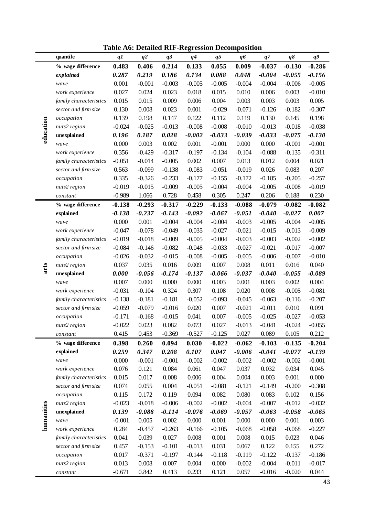**Table A6: Detailed RIF-Regression Decomposition**

|            | quantile                                       | q1             | q <sup>2</sup> | q <sub>3</sub> | q4             | q <sub>5</sub> | q <sub>6</sub> | q7             | $q\delta$      | q9                |
|------------|------------------------------------------------|----------------|----------------|----------------|----------------|----------------|----------------|----------------|----------------|-------------------|
|            | % wage difference                              | 0.483          | 0.406          | 0.214          | 0.133          | 0.055          | 0.009          | $-0.037$       | $-0.130$       | $-0.286$          |
|            | explained                                      | 0.287          | 0.219          | 0.186          | 0.134          | 0.088          | 0.048          | $-0.004$       | $-0.055$       | $-0.156$          |
|            | wave                                           | 0.001          | $-0.001$       | $-0.003$       | $-0.005$       | $-0.005$       | $-0.004$       | $-0.004$       | $-0.006$       | $-0.005$          |
|            | work experience                                | 0.027          | 0.024          | 0.023          | 0.018          | 0.015          | 0.010          | 0.006          | 0.003          | $-0.010$          |
|            | family characteristics                         | 0.015          | 0.015          | 0.009          | 0.006          | 0.004          | 0.003          | 0.003          | 0.003          | 0.005             |
|            | sector and firm size                           | 0.130          | 0.008          | 0.023          | 0.001          | $-0.029$       | $-0.071$       | $-0.126$       | $-0.182$       | $-0.307$          |
|            | occupation                                     | 0.139          | 0.198          | 0.147          | 0.122          | 0.112          | 0.119          | 0.130          | 0.145          | 0.198             |
|            | nuts2 region                                   | $-0.024$       | $-0.025$       | $-0.013$       | $-0.008$       | $-0.008$       | $-0.010$       | $-0.013$       | $-0.018$       | $-0.038$          |
| education  | unexplained                                    | 0.196          | 0.187          | 0.028          | $-0.002$       | $-0.033$       | $-0.039$       | $-0.033$       | $-0.075$       | $-0.130$          |
|            | wave                                           | 0.000          | 0.003          | 0.002          | 0.001          | $-0.001$       | 0.000          | 0.000          | $-0.001$       | $-0.001$          |
|            | work experience                                | 0.356          | $-0.429$       | $-0.317$       | $-0.197$       | $-0.134$       | $-0.104$       | $-0.088$       | $-0.135$       | $-0.311$          |
|            | family characteristics                         | $-0.051$       | $-0.014$       | $-0.005$       | 0.002          | 0.007          | 0.013          | 0.012          | 0.004          | 0.021             |
|            | sector and firm size                           | 0.563          | $-0.099$       | $-0.138$       | $-0.083$       | $-0.051$       | $-0.019$       | 0.026          | 0.083          | 0.207             |
|            | occupation                                     | 0.335          | $-0.326$       | $-0.233$       | $-0.177$       | $-0.155$       | $-0.172$       | $-0.185$       | $-0.205$       | $-0.257$          |
|            | nuts2 region                                   | $-0.019$       | $-0.015$       | $-0.009$       | $-0.005$       | $-0.004$       | $-0.004$       | $-0.005$       | $-0.008$       | $-0.019$          |
|            | constant                                       | $-0.989$       | 1.066          | 0.728          | 0.458          | 0.305          | 0.247          | 0.206          | 0.188          | 0.230             |
|            | % wage difference                              | $-0.138$       | $-0.293$       | $-0.317$       | $-0.229$       | $-0.133$       | $-0.088$       | $-0.079$       | $-0.082$       | $-0.082$          |
|            | explained                                      | $-0.138$       | $-0.237$       | $-0.143$       | $-0.092$       | $-0.067$       | $-0.051$       | $-0.040$       | $-0.027$       | 0.007             |
|            | wave                                           | 0.000          | 0.001          | $-0.004$       | $-0.004$       | $-0.004$       | $-0.003$       | $-0.005$       | $-0.004$       | $-0.005$          |
|            | work experience                                | $-0.047$       | $-0.078$       | $-0.049$       | $-0.035$       | $-0.027$       | $-0.021$       | $-0.015$       | $-0.013$       | $-0.009$          |
|            | family characteristics                         | $-0.019$       | $-0.018$       | $-0.009$       | $-0.005$       | $-0.004$       | $-0.003$       | $-0.003$       | $-0.002$       | $-0.002$          |
|            | sector and firm size                           | $-0.084$       | $-0.146$       | $-0.082$       | $-0.048$       | $-0.033$       | $-0.027$       | $-0.021$       | $-0.017$       | $-0.007$          |
|            | occupation                                     | $-0.026$       | $-0.032$       | $-0.015$       | $-0.008$       | $-0.005$       | $-0.005$       | $-0.006$       | $-0.007$       | $-0.010$          |
|            | nuts2 region                                   | 0.037          | 0.035          | 0.016          | 0.009          | 0.007          | 0.008          | 0.011          | 0.016          | 0.040             |
| arts       | unexplained                                    | 0.000          | $-0.056$       | $-0.174$       | $-0.137$       | $-0.066$       | $-0.037$       | $-0.040$       | $-0.055$       | $-0.089$          |
|            | wave                                           | 0.007          | 0.000          | 0.000          | 0.000          | 0.003          | 0.001          | 0.003          | 0.002          | 0.004             |
|            | work experience                                | $-0.031$       | $-0.104$       | 0.324          | 0.307          | 0.108          | 0.020          | 0.008          | $-0.005$       | $-0.081$          |
|            | family characteristics                         | $-0.138$       | $-0.181$       | $-0.181$       | $-0.052$       | $-0.093$       | $-0.045$       | $-0.063$       | $-0.116$       | $-0.207$          |
|            | sector and firm size                           | $-0.059$       | $-0.079$       | $-0.016$       | 0.020<br>0.041 | 0.007          | $-0.021$       | $-0.011$       | 0.010          | 0.091             |
|            | occupation                                     | $-0.171$       | $-0.168$       | $-0.015$       |                | 0.007          | $-0.005$       | $-0.025$       | $-0.027$       | $-0.053$          |
|            | nuts2 region                                   | $-0.022$       | 0.023          | 0.082          | 0.073          | 0.027          | $-0.013$       | $-0.041$       | $-0.024$       | $-0.055$          |
|            | constant                                       | 0.415          | 0.453          | $-0.369$       | $-0.527$       | $-0.125$       | 0.027          | 0.089          | 0.105          | 0.212             |
|            | % wage difference                              | 0.398          | 0.260          | 0.094          | 0.030          | $-0.022$       | $-0.062$       | $-0.103$       | $-0.135$       | $-0.204$          |
|            | explained                                      | 0.259          | 0.347          | 0.208          | 0.107          | 0.047          | $-0.006$       | $-0.041$       | $-0.077$       | $-0.139$          |
|            | wave                                           | 0.000          | $-0.001$       | $-0.001$       | $-0.002$       | $-0.002$       | $-0.002$       | $-0.002$       | $-0.002$       | $-0.001$          |
|            | work experience                                | 0.076<br>0.015 | 0.121          | 0.084<br>0.008 | 0.061<br>0.006 | 0.047<br>0.004 | 0.037<br>0.004 | 0.032<br>0.003 | 0.034<br>0.001 | 0.045             |
|            | family characteristics<br>sector and firm size | 0.074          | 0.017          | 0.004          | $-0.051$       | $-0.081$       | $-0.121$       | $-0.149$       | $-0.200$       | 0.000<br>$-0.308$ |
|            | occupation                                     | 0.115          | 0.055<br>0.172 | 0.119          | 0.094          | 0.082          | 0.080          | 0.083          | 0.102          | 0.156             |
|            | nuts2 region                                   | $-0.023$       | $-0.018$       | $-0.006$       | $-0.002$       | $-0.002$       | $-0.004$       | $-0.007$       | $-0.012$       | $-0.032$          |
|            | unexplained                                    | 0.139          | $-0.088$       | $-0.114$       | $-0.076$       | $-0.069$       | $-0.057$       | $-0.063$       | $-0.058$       | $-0.065$          |
|            | wave                                           | $-0.001$       | 0.005          | 0.002          | 0.000          | 0.001          | 0.000          | 0.000          | 0.001          | 0.003             |
| humanities | work experience                                | 0.284          | $-0.457$       | $-0.263$       | $-0.166$       | $-0.105$       | $-0.068$       | $-0.058$       | $-0.068$       | $-0.227$          |
|            | family characteristics                         | 0.041          | 0.039          | 0.027          | 0.008          | 0.001          | 0.008          | 0.015          | 0.023          | 0.046             |
|            | sector and firm size                           | 0.457          | $-0.153$       | $-0.101$       | $-0.013$       | 0.031          | 0.067          | 0.122          | 0.155          | 0.272             |
|            | occupation                                     | 0.017          | $-0.371$       | $-0.197$       | $-0.144$       | $-0.118$       | $-0.119$       | $-0.122$       | $-0.137$       | $-0.186$          |
|            | nuts2 region                                   | 0.013          | 0.008          | 0.007          | 0.004          | 0.000          | $-0.002$       | $-0.004$       | $-0.011$       | $-0.017$          |
|            | $constant$                                     | $-0.671$       | 0.842          | 0.413          | 0.233          | 0.121          | 0.057          | $-0.016$       | $-0.020$       | 0.044             |

43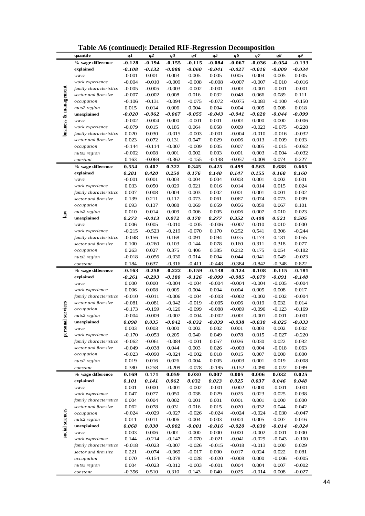|                       | Table Au (continueu). Detaileu KIF-Kegi ession Decomposition |                   |                   |                   |                   |                   |                |                   |                |                      |
|-----------------------|--------------------------------------------------------------|-------------------|-------------------|-------------------|-------------------|-------------------|----------------|-------------------|----------------|----------------------|
|                       | quantile                                                     | q1                | q2                | q3                | $q\overline{q}$   | q5                | qб             | q7                | q8             | $q^{g}$              |
|                       | % wage difference                                            | $-0.128$          | $-0.194$          | $-0.155$          | $-0.115$          | $-0.084$          | $-0.067$       | $-0.036$          | $-0.054$       | $-0.133$             |
|                       | explained                                                    | $-0.108$          | $-0.132$          | $-0.088$          | $-0.060$          | $-0.041$          | $-0.027$       | $-0.016$          | $-0.009$       | $-0.034$             |
|                       | wave                                                         | $-0.001$          | 0.001             | 0.003             | 0.005             | 0.005             | 0.005          | 0.004             | 0.005          | 0.005                |
|                       |                                                              | $-0.004$          | $-0.010$          | $-0.009$          | $-0.008$          |                   | $-0.007$       | $-0.007$          | $-0.010$       | $-0.016$             |
|                       | work experience                                              |                   |                   |                   |                   | $-0.008$          |                |                   |                |                      |
| business & management | family characteristics                                       | $-0.005$          | $-0.005$          | $-0.003$          | $-0.002$          | $-0.001$          | $-0.001$       | $-0.001$          | $-0.001$       | $-0.001$             |
|                       | sector and firm size                                         | $-0.007$          | $-0.002$          | 0.008             | 0.016             | 0.032             | 0.048          | 0.066             | 0.089          | 0.111                |
|                       | occupation                                                   | $-0.106$          | $-0.131$          | $-0.094$          | $-0.075$          | $-0.072$          | $-0.075$       | $-0.083$          | $-0.100$       | $-0.150$             |
|                       | nuts2 region                                                 | 0.015             | 0.014             | 0.006             | 0.004             | 0.004             | 0.004          | 0.005             | 0.008          | 0.018                |
|                       | unexplained                                                  | -0.020            | $-0.062$          | -0.067            | $-0.055$          | $-0.043$          | $-0.041$       | $-0.020$          | $-0.044$       | $-0.099$             |
|                       | wave                                                         | $-0.002$          | $-0.004$          | 0.000             | $-0.001$          | 0.001             | $-0.001$       | 0.000             | 0.000          | $-0.006$             |
|                       | work experience                                              | $-0.079$          | 0.015             | 0.185             | 0.064             | 0.058             | 0.009          | $-0.023$          | $-0.075$       | $-0.228$             |
|                       | family characteristics                                       | 0.020             | 0.030             | $-0.015$          | $-0.003$          | $-0.001$          | $-0.004$       | $-0.010$          | $-0.016$       | $-0.032$             |
|                       | sector and firm size                                         | 0.023             | 0.072             | 0.131             | 0.047             | 0.029             | 0.006          | 0.013             | $-0.009$       | 0.033                |
|                       | occupation                                                   | $-0.144$          | $-0.114$          | $-0.007$          | $-0.009$          | 0.005             | 0.007          | 0.005             | $-0.015$       | $-0.062$             |
|                       |                                                              |                   |                   |                   |                   |                   |                |                   |                |                      |
|                       | nuts2 region                                                 | $-0.002$          | 0.008             | 0.001             | 0.002             | 0.003             | 0.001          | 0.003             | $-0.004$       | $-0.032$             |
|                       | constant                                                     | 0.163             | $-0.069$          | $-0.362$          | $-0.155$          | $-0.138$          | $-0.057$       | $-0.009$          | 0.074          | 0.227                |
|                       | % wage difference                                            | 0.554             | 0.407             | 0.322             | 0.345             | 0.425             | 0.499          | 0.563             | 0.688          | 0.665                |
|                       | explained                                                    | 0.281             | 0.420             | 0.250             | 0.176             | 0.148             | 0.147          | 0.155             | 0.168          | 0.160                |
|                       | wave                                                         | $-0.001$          | 0.001             | 0.003             | 0.004             | 0.004             | 0.003          | 0.001             | 0.002          | 0.001                |
|                       | work experience                                              | 0.033             | 0.050             | 0.029             | 0.021             | 0.016             | 0.014          | 0.014             | 0.015          | 0.024                |
|                       | family characteristics                                       | 0.007             | 0.008             | 0.004             | 0.003             | 0.002             | 0.001          | 0.001             | 0.001          | 0.002                |
|                       | sector and firm size                                         | 0.139             | 0.211             | 0.117             | 0.073             | 0.061             | 0.067          | 0.074             | 0.073          | 0.009                |
|                       | occupation                                                   | 0.093             | 0.137             | 0.088             | 0.069             | 0.059             | 0.056          | 0.059             | 0.067          | 0.101                |
|                       | nuts2 region                                                 | 0.010             | 0.014             | 0.009             | 0.006             | 0.005             | 0.006          | 0.007             | 0.010          | 0.023                |
| $\mathbf{law}$        | unexplained                                                  | 0.273             | $-0.013$          | 0.072             | 0.170             | 0.277             | 0.352          | 0.408             | 0.521          | 0.505                |
|                       |                                                              |                   |                   |                   |                   |                   |                | 0.010             |                |                      |
|                       | wave                                                         | 0.006             | 0.005             | $-0.010$          | $-0.005$          | $-0.006$          | $-0.007$       |                   | 0.010          | 0.000                |
|                       | work experience                                              | $-0.215$          | $-0.523$          | $-0.219$          | $-0.070$          | 0.170             | 0.252          | 0.541             | 0.306          | $-0.244$             |
|                       | family characteristics                                       | $-0.048$          | 0.156             | 0.168             | 0.091             | 0.094             | 0.075          | 0.173             | 0.131          | 0.055                |
|                       | sector and firm size                                         | 0.100             | $-0.260$          | 0.103             | 0.144             | 0.078             | 0.160          | 0.311             | 0.318          | 0.077                |
|                       | occupation                                                   | 0.263             | 0.027             | 0.375             | 0.406             | 0.385             | 0.212          | 0.175             | 0.054          | $-0.182$             |
|                       | nuts2 region                                                 | $-0.018$          | $-0.056$          | $-0.030$          | 0.014             | 0.004             | 0.044          | 0.041             | 0.049          | $-0.023$             |
|                       | constant                                                     | 0.184             | 0.637             | $-0.316$          | $-0.411$          | $-0.448$          | $-0.384$       | $-0.842$          | $-0.348$       | 0.822                |
|                       | % wage difference                                            | $-0.163$          | $-0.258$          | $-0.222$          | $-0.159$          | $-0.138$          | $-0.124$       | $-0.108$          | $-0.115$       | $-0.181$             |
|                       | explained                                                    | -0.261            | $-0.293$          | -0.180            | $-0.126$          | -0.099            | $-0.085$       | $-0.079$          | -0.091         | $-0.148$             |
|                       | wave                                                         | 0.000             | 0.000             | $-0.004$          | $-0.004$          | $-0.004$          | $-0.004$       | $-0.004$          | $-0.005$       | $-0.004$             |
|                       | work experience                                              | 0.006             | 0.008             | 0.005             | 0.004             | 0.004             | 0.004          | 0.005             | 0.008          | 0.017                |
|                       | family characteristics                                       | $-0.010$          | $-0.011$          | $-0.006$          | $-0.004$          | $-0.003$          | $-0.002$       | $-0.002$          | $-0.002$       | $-0.004$             |
|                       |                                                              |                   |                   |                   |                   |                   |                |                   |                |                      |
| services              | sector and firm size                                         | $-0.081$          | $-0.081$          | $-0.042$          | $-0.019$          | $-0.005$          | 0.006          | 0.019             | 0.032          | 0.014                |
|                       | occupation                                                   | $-0.173$          | $-0.199$          | $-0.126$          | $-0.099$          | $-0.088$          | $-0.089$       | $-0.096$          | $-0.123$       | $-0.169$             |
|                       | nuts2 region                                                 | $-0.004$          | $-0.009$          | $-0.007$          | $-0.004$          | $-0.002$          | $-0.001$       | $-0.001$          | $-0.001$       | $-0.001$             |
| personal              | unexplained                                                  | 0.098             | 0.035             | $-0.042$          | $-0.032$          | -0.039            | $-0.038$       | -0.030            | $-0.025$       | $-0.033$             |
|                       | wave                                                         | 0.003             | 0.003             | 0.000             | 0.002             | 0.002             | 0.001          | 0.003             | 0.002          | 0.002                |
|                       | work experience                                              | $-0.170$          | $-0.053$          | 0.205             | 0.040             | 0.049             | 0.078          | 0.015             | $-0.027$       | $-0.220$             |
|                       | family characteristics                                       | $-0.062$          | $-0.061$          | $-0.084$          | $-0.001$          | 0.057             | 0.026          | 0.030             | 0.022          | 0.032                |
|                       | sector and firm size                                         | $-0.049$          | $-0.038$          | 0.044             | 0.003             | 0.026             | $-0.003$       | 0.004             | $-0.018$       | 0.063                |
|                       | occupation                                                   | $-0.023$          | $-0.090$          | $-0.024$          | $-0.002$          |                   |                | 0.007             | 0.000          | 0.000                |
|                       |                                                              |                   |                   |                   |                   | 0.018             | 0.015          |                   |                |                      |
|                       |                                                              |                   |                   |                   |                   |                   |                |                   |                |                      |
|                       | nuts2 region                                                 | 0.019             | 0.016             | 0.026             | 0.004             | 0.005             | $-0.003$       | 0.001             | 0.019          | $-0.008$             |
|                       | constant                                                     | 0.380             | 0.258             | $-0.209$          | $-0.078$          | $-0.195$          | $-0.152$       | $-0.090$          | $-0.022$       | 0.099                |
|                       | % wage difference                                            | 0.169             | 0.171             | 0.059             | 0.030             | 0.007             | 0.005          | 0.006             | 0.032          | 0.025                |
|                       | explained                                                    | 0.101             | 0.141             | 0.062             | 0.032             | 0.023             | 0.025          | 0.037             | 0.046          | 0.048                |
|                       | wave                                                         | 0.001             | 0.000             | $-0.001$          | $-0.002$          | $-0.001$          | $-0.002$       | 0.000             | $-0.001$       | $-0.001$             |
|                       | work experience                                              | 0.047             | 0.077             | 0.050             | 0.038             | 0.029             | 0.025          | 0.023             | 0.025          | 0.038                |
|                       | family characteristics                                       | 0.004             | 0.004             | 0.002             | 0.001             | 0.001             | 0.001          | 0.001             | 0.000          | 0.000                |
|                       | sector and firm size                                         | 0.062             | 0.078             | 0.031             | 0.016             | 0.015             | 0.020          | 0.032             | 0.044          | 0.042                |
|                       | occupation                                                   | $-0.024$          | $-0.029$          | $-0.027$          | $-0.026$          | $-0.024$          | $-0.024$       | $-0.024$          | $-0.030$       | $-0.047$             |
|                       | nuts2 region                                                 | 0.011             | 0.011             | 0.006             | 0.004             | 0.003             | 0.004          | 0.005             | 0.007          | 0.016                |
|                       | unexplained                                                  | 0.068             | 0.030             | -0.002            | -0.001            | -0.016            | $-0.020$       | $-0.030$          | -0.014         | $-0.024$             |
|                       | wave                                                         |                   | 0.006             |                   |                   |                   |                |                   |                |                      |
| social sciences       |                                                              | 0.003             |                   | 0.001             | 0.000             | 0.000             | 0.000          | $-0.002$          | $-0.001$       | 0.000                |
|                       | work experience                                              | 0.144             | $-0.214$          | $-0.147$          | $-0.070$          | $-0.021$          | $-0.041$       | $-0.029$          | $-0.043$       | $-0.100$             |
|                       | family characteristics                                       | $-0.018$          | $-0.023$          | $-0.007$          | $-0.026$          | $-0.015$          | $-0.018$       | $-0.013$          | 0.000          | 0.029                |
|                       | sector and firm size                                         | 0.221             | $-0.074$          | $-0.069$          | $-0.017$          | 0.000             | 0.017          | 0.024             | 0.022          | 0.081                |
|                       | occupation                                                   | 0.070             | $-0.154$          | $-0.078$          | $-0.028$          | $-0.020$          | $-0.008$       | 0.000             | $-0.006$       | $-0.005$             |
|                       | nuts2 region<br>constant                                     | 0.004<br>$-0.356$ | $-0.023$<br>0.510 | $-0.012$<br>0.310 | $-0.003$<br>0.143 | $-0.001$<br>0.040 | 0.004<br>0.025 | 0.004<br>$-0.014$ | 0.007<br>0.008 | $-0.002$<br>$-0.027$ |

**Table A6 (continued): Detailed RIF-Regression Decomposition**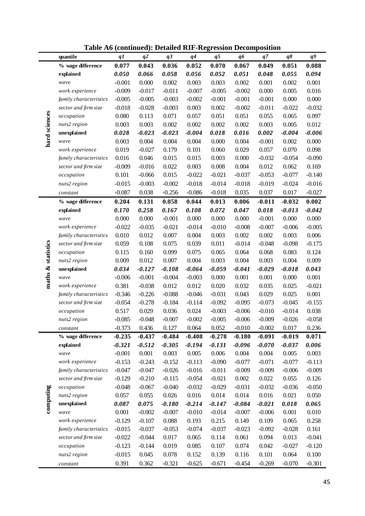|               | quantile                    | q1             | q2             | q <sub>3</sub>    | q4                | q <sub>5</sub>    | q6                | q7                | $q\delta$      | q9             |
|---------------|-----------------------------|----------------|----------------|-------------------|-------------------|-------------------|-------------------|-------------------|----------------|----------------|
|               | % wage difference           | 0.077          | 0.043          | 0.036             | 0.052             | 0.070             | 0.067             | 0.049             | 0.051          | 0.088          |
|               | explained                   | 0.050          | 0.066          | 0.058             | 0.056             | 0.052             | 0.051             | 0.048             | 0.055          | 0.094          |
|               | wave                        | $-0.001$       | 0.000          | 0.002             | 0.003             | 0.003             | 0.002             | 0.001             | 0.002          | 0.001          |
|               | work experience             | $-0.009$       | $-0.017$       | $-0.011$          | $-0.007$          | $-0.005$          | $-0.002$          | 0.000             | 0.005          | 0.016          |
|               | family characteristics      | $-0.005$       | $-0.005$       | $-0.003$          | $-0.002$          | $-0.001$          | $-0.001$          | $-0.001$          | 0.000          | 0.000          |
|               | sector and firm size        | $-0.018$       | $-0.028$       | $-0.003$          | 0.003             | 0.002             | $-0.002$          | $-0.011$          | $-0.022$       | $-0.032$       |
|               | occupation                  | 0.080          | 0.113          | 0.071             | 0.057             | 0.051             | 0.051             | 0.055             | 0.065          | 0.097          |
|               | nuts2 region                | 0.003          | 0.003          | 0.002             | 0.002             | 0.002             | 0.002             | 0.003             | 0.005          | 0.012          |
| hard sciences | unexplained                 | 0.028          | $-0.023$       | $-0.023$          | $-0.004$          | 0.018             | 0.016             | 0.002             | $-0.004$       | $-0.006$       |
|               | wave                        | 0.003          | 0.004          | 0.004             | 0.004             | 0.000             | 0.004             | $-0.001$          | 0.002          | 0.000          |
|               | work experience             | 0.019          | $-0.027$       | 0.179             | 0.101             | 0.060             | 0.029             | 0.057             | 0.070          | 0.098          |
|               | family characteristics      | 0.016          | 0.046          | 0.015             | 0.015             | 0.003             | 0.000             | $-0.032$          | $-0.054$       | $-0.090$       |
|               | sector and firm size        | $-0.009$       | $-0.016$       | 0.022             | 0.003             | 0.008             | 0.004             | 0.012             | 0.062          | 0.169          |
|               | occupation                  | 0.101          | $-0.066$       | 0.015             | $-0.022$          | $-0.021$          | $-0.037$          | $-0.053$          | $-0.077$       | $-0.140$       |
|               | nuts2 region                | $-0.015$       | $-0.003$       | $-0.002$          | $-0.018$          | $-0.014$          | $-0.018$          | $-0.019$          | $-0.024$       | $-0.016$       |
|               | constant                    | $-0.087$       | 0.038          | $-0.256$          | $-0.086$          | $-0.018$          | 0.035             | 0.037             | 0.017          | $-0.027$       |
|               | % wage difference           | 0.204          | 0.131          | 0.058             | 0.044             | 0.013             | 0.006             | $-0.011$          | $-0.032$       | 0.002          |
|               | explained                   | 0.170          | 0.258          | 0.167             | 0.108             | 0.072             | 0.047             | 0.018             | $-0.013$       | $-0.042$       |
|               | wave                        | 0.000          | 0.000          | $-0.001$          | 0.000             | 0.000             | 0.000             | $-0.001$          | 0.000          | 0.000          |
|               | work experience             | $-0.022$       | $-0.035$       | $-0.021$          | $-0.014$          | $-0.010$          | $-0.008$          | $-0.007$          | $-0.006$       | $-0.005$       |
|               | family characteristics      | 0.010          | 0.012          | 0.007             | 0.004             | 0.003             | 0.002             | 0.002             | 0.003          | 0.006          |
|               | sector and firm size        | 0.059          | 0.108          | 0.075             | 0.039             | 0.011             | $-0.014$          | $-0.048$          | $-0.098$       | $-0.175$       |
| statistics    | occupation                  | 0.115          | 0.160          | 0.099             | 0.075             | 0.065             | 0.064             | 0.068             | 0.083          | 0.124          |
|               | nuts2 region                | 0.009          | 0.012          | 0.007             | 0.004             | 0.003             | 0.004             | 0.003             | 0.004          | 0.009          |
| maths &       | unexplained                 | 0.034          | $-0.127$       | $-0.108$          | $-0.064$          | $-0.059$          | $-0.041$          | $-0.029$          | $-0.018$       | 0.043          |
|               | wave                        | $-0.006$       | $-0.001$       | $-0.004$          | $-0.003$          | 0.000             | 0.001             | 0.001             | 0.000          | 0.001          |
|               | work experience             | 0.381          | $-0.038$       | 0.012             | 0.012             | 0.020             | 0.032             | 0.035             | 0.025          | $-0.021$       |
|               | family characteristics      | $-0.346$       | $-0.226$       | $-0.088$          | $-0.046$          | $-0.031$          | 0.043             | 0.029             | 0.025          | 0.001          |
|               | sector and firm size        | $-0.054$       | $-0.278$       | $-0.184$          | $-0.114$          | $-0.092$          | $-0.095$          | $-0.073$          | $-0.045$       | $-0.155$       |
|               | occupation                  | 0.517          | 0.029          | 0.036             | 0.024             | $-0.003$          | $-0.006$          | $-0.010$          | $-0.014$       | 0.038          |
|               | nuts2 region                | $-0.085$       | $-0.048$       | $-0.007$          | $-0.002$          | $-0.005$          | $-0.006$          | $-0.009$          | $-0.026$       | $-0.058$       |
|               | constant                    | $-0.373$       | 0.436          | 0.127             | 0.064             | 0.052             | $-0.010$          | $-0.002$          | 0.017          | 0.236          |
|               | % wage difference           | $-0.235$       | $-0.437$       | $-0.484$          | $-0.408$          | $-0.278$          | $-0.180$          | $-0.091$          | $-0.019$       | 0.071          |
|               | explained                   | $-0.321$       | $-0.512$       | $-0.305$          | $-0.194$          | $-0.131$          | $-0.096$          | $-0.070$          | $-0.037$       | 0.006          |
|               | wave                        | $-0.001$       | 0.001          | 0.003             | 0.005             | 0.006             | 0.004             | 0.004             | 0.005          | 0.003          |
|               | work experience             | $-0.153$       | $-0.243$       | $-0.152$          | $-0.113$          | $-0.090$          | $-0.077$          | $-0.071$          | $-0.077$       | $-0.113$       |
|               | family characteristics      | $-0.047$       | $-0.047$       | $-0.026$          | $-0.016$          | $-0.011$          | $-0.009$          | $-0.009$          | $-0.006$       | $-0.009$       |
|               | sector and firm size        | $-0.129$       | $-0.210$       | $-0.115$          | $-0.054$          | $-0.021$          | 0.002             | 0.022             | 0.055          | 0.126          |
|               | occupation                  | $-0.048$       | $-0.067$       | $-0.040$          | $-0.032$          | $-0.029$          | $-0.031$          | $-0.032$          | $-0.036$       | $-0.050$       |
| computing     | nuts2 region<br>unexplained | 0.057<br>0.087 | 0.055<br>0.075 | 0.026<br>$-0.180$ | 0.016<br>$-0.214$ | 0.014<br>$-0.147$ | 0.014<br>$-0.084$ | 0.016<br>$-0.021$ | 0.021<br>0.018 | 0.050<br>0.065 |
|               | wave                        | 0.001          | $-0.002$       | $-0.007$          | $-0.010$          | $-0.014$          | $-0.007$          | $-0.006$          | 0.001          | 0.010          |
|               | work experience             | $-0.129$       | $-0.107$       | 0.088             | 0.193             | 0.215             | 0.149             | 0.109             | 0.065          | 0.258          |
|               | family characteristics      | $-0.015$       | $-0.037$       | $-0.053$          | $-0.074$          | $-0.037$          | $-0.023$          | $-0.092$          | $-0.028$       | 0.161          |
|               | sector and firm size        | $-0.022$       | $-0.044$       | 0.017             | 0.065             | 0.114             | 0.061             | 0.094             | 0.013          | $-0.041$       |
|               | occupation                  | $-0.123$       | $-0.144$       | 0.019             | 0.085             | 0.107             | 0.074             | 0.042             | $-0.027$       | $-0.120$       |
|               | nuts2 region                | $-0.015$       | 0.045          | 0.078             | 0.152             | 0.139             | 0.116             | 0.101             | 0.064          | 0.100          |
|               | $constant$                  | 0.391          | 0.362          | $-0.321$          | $-0.625$          | $-0.671$          | $-0.454$          | $-0.269$          | $-0.070$       | $-0.301$       |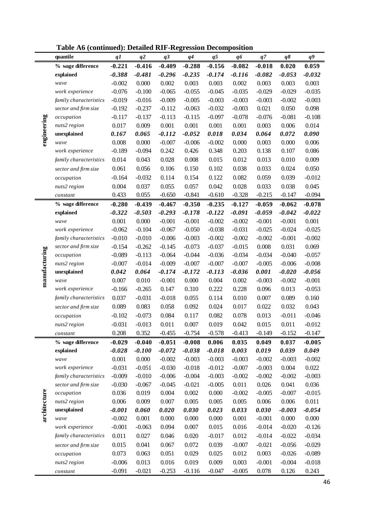|  |  | Table A6 (continued): Detailed RIF-Regression Decomposition |  |
|--|--|-------------------------------------------------------------|--|
|  |  |                                                             |  |

|               | radic tro (commucu). Detancu Kir-Kegi ession Decomposition |          |                |          |          |          |          |          |           |                |
|---------------|------------------------------------------------------------|----------|----------------|----------|----------|----------|----------|----------|-----------|----------------|
|               | quantile                                                   | q1       | q <sup>2</sup> | q3       | q4       | q5       | q6       | q7       | $q\delta$ | q <sup>9</sup> |
| engineering   | % wage difference                                          | $-0.221$ | $-0.416$       | $-0.409$ | $-0.288$ | $-0.156$ | $-0.082$ | $-0.018$ | 0.020     | 0.059          |
|               | explained                                                  | $-0.388$ | $-0.481$       | $-0.296$ | $-0.235$ | $-0.174$ | $-0.116$ | $-0.082$ | $-0.053$  | $-0.032$       |
|               | wave                                                       | $-0.002$ | 0.000          | 0.002    | 0.003    | 0.003    | 0.002    | 0.003    | 0.003     | 0.003          |
|               | work experience                                            | $-0.076$ | $-0.100$       | $-0.065$ | $-0.055$ | $-0.045$ | $-0.035$ | $-0.029$ | $-0.029$  | $-0.035$       |
|               | family characteristics                                     | $-0.019$ | $-0.016$       | $-0.009$ | $-0.005$ | $-0.003$ | $-0.003$ | $-0.003$ | $-0.002$  | $-0.003$       |
|               | sector and firm size                                       | $-0.192$ | $-0.237$       | $-0.112$ | $-0.063$ | $-0.032$ | $-0.003$ | 0.021    | 0.050     | 0.098          |
|               | occupation                                                 | $-0.117$ | $-0.137$       | $-0.113$ | $-0.115$ | $-0.097$ | $-0.078$ | $-0.076$ | $-0.081$  | $-0.108$       |
|               | nuts2 region                                               | 0.017    | 0.009          | 0.001    | 0.001    | 0.001    | 0.001    | 0.003    | 0.006     | 0.014          |
|               | unexplained                                                | 0.167    | 0.065          | $-0.112$ | $-0.052$ | 0.018    | 0.034    | 0.064    | 0.072     | 0.090          |
|               | wave                                                       | 0.008    | 0.000          | $-0.007$ | $-0.006$ | $-0.002$ | 0.000    | 0.003    | 0.000     | 0.006          |
|               | work experience                                            | $-0.189$ | $-0.094$       | 0.242    | 0.426    | 0.348    | 0.203    | 0.138    | 0.107     | 0.086          |
|               | family characteristics                                     | 0.014    | 0.043          | 0.028    | 0.008    | 0.015    | 0.012    | 0.013    | 0.010     | 0.009          |
|               | sector and firm size                                       | 0.061    | 0.056          | 0.106    | 0.150    | 0.102    | 0.038    | 0.033    | 0.024     | 0.050          |
|               | occupation                                                 | $-0.164$ | $-0.032$       | 0.114    | 0.154    | 0.122    | 0.082    | 0.059    | 0.039     | $-0.012$       |
|               | nuts2 region                                               | 0.004    | 0.037          | 0.055    | 0.057    | 0.042    | 0.028    | 0.033    | 0.038     | 0.045          |
|               | constant                                                   | 0.433    | 0.055          | $-0.650$ | $-0.841$ | $-0.610$ | $-0.328$ | $-0.215$ | $-0.147$  | $-0.094$       |
|               | % wage difference                                          | $-0.280$ | $-0.439$       | $-0.467$ | $-0.350$ | $-0.235$ | $-0.127$ | $-0.059$ | $-0.062$  | $-0.078$       |
|               | explained                                                  | $-0.322$ | $-0.503$       | $-0.293$ | $-0.178$ | $-0.122$ | $-0.091$ | $-0.059$ | $-0.042$  | $-0.022$       |
|               | wave                                                       | 0.001    | 0.000          | $-0.001$ | $-0.001$ | $-0.002$ | $-0.002$ | $-0.001$ | $-0.001$  | 0.001          |
|               | work experience                                            | $-0.062$ | $-0.104$       | $-0.067$ | $-0.050$ | $-0.038$ | $-0.031$ | $-0.025$ | $-0.024$  | $-0.025$       |
|               | family characteristics                                     | $-0.010$ | $-0.010$       | $-0.006$ | $-0.003$ | $-0.002$ | $-0.002$ | $-0.002$ | $-0.001$  | $-0.002$       |
|               | sector and firm size                                       | $-0.154$ | $-0.262$       | $-0.145$ | $-0.073$ | $-0.037$ | $-0.015$ | 0.008    | 0.031     | 0.069          |
| manufacturing | occupation                                                 | $-0.089$ | $-0.113$       | $-0.064$ | $-0.044$ | $-0.036$ | $-0.034$ | $-0.034$ | $-0.040$  | $-0.057$       |
|               | nuts2 region                                               | $-0.007$ | $-0.014$       | $-0.009$ | $-0.007$ | $-0.007$ | $-0.007$ | $-0.005$ | $-0.006$  | $-0.008$       |
|               | unexplained                                                | 0.042    | 0.064          | $-0.174$ | $-0.172$ | $-0.113$ | $-0.036$ | 0.001    | $-0.020$  | $-0.056$       |
|               | wave                                                       | 0.007    | 0.010          | $-0.001$ | 0.000    | 0.004    | 0.002    | $-0.003$ | $-0.002$  | $-0.001$       |
|               | work experience                                            | $-0.166$ | $-0.265$       | 0.147    | 0.310    | 0.222    | 0.228    | 0.096    | 0.013     | $-0.053$       |
|               | family characteristics                                     | 0.037    | $-0.031$       | $-0.018$ | 0.055    | 0.114    | 0.010    | 0.007    | 0.089     | 0.160          |
|               | sector and firm size                                       | 0.089    | 0.083          | 0.058    | 0.092    | 0.024    | 0.017    | 0.022    | 0.032     | 0.043          |
|               | occupation                                                 | $-0.102$ | $-0.073$       | 0.084    | 0.117    | 0.082    | 0.078    | 0.013    | $-0.011$  | $-0.046$       |
|               | nuts2 region                                               | $-0.031$ | $-0.013$       | 0.011    | 0.007    | 0.019    | 0.042    | 0.015    | 0.011     | $-0.012$       |
|               | constant                                                   | 0.208    | 0.352          | $-0.455$ | $-0.754$ | $-0.578$ | $-0.413$ | $-0.149$ | $-0.152$  | $-0.147$       |
|               | % wage difference                                          | $-0.029$ | $-0.040$       | $-0.051$ | $-0.008$ | 0.006    | 0.035    | 0.049    | 0.037     | $-0.005$       |
|               | explained                                                  | $-0.028$ | $-0.100$       | $-0.072$ | $-0.038$ | $-0.018$ | 0.003    | 0.019    | 0.039     | 0.049          |
|               | wave                                                       | 0.001    | 0.000          | $-0.002$ | $-0.003$ | $-0.003$ | $-0.003$ | $-0.002$ | $-0.003$  | $-0.002$       |
|               | work experience                                            | $-0.031$ | $-0.051$       | $-0.030$ | $-0.018$ | $-0.012$ | $-0.007$ | $-0.003$ | 0.004     | 0.022          |
|               | family characteristics                                     | $-0.009$ | $-0.010$       | $-0.006$ | $-0.004$ | $-0.003$ | $-0.002$ | $-0.002$ | $-0.002$  | $-0.003$       |
| architecture  | sector and firm size                                       | $-0.030$ | $-0.067$       | $-0.045$ | $-0.021$ | $-0.005$ | 0.011    | 0.026    | 0.041     | 0.036          |
|               | occupation                                                 | 0.036    | 0.019          | 0.004    | 0.002    | 0.000    | $-0.002$ | $-0.005$ | $-0.007$  | $-0.015$       |
|               | nuts2 region                                               | 0.006    | 0.009          | 0.007    | 0.005    | 0.005    | 0.005    | 0.006    | 0.006     | 0.011          |
|               | unexplained                                                | $-0.001$ | 0.060          | 0.020    | 0.030    | 0.023    | 0.033    | 0.030    | $-0.003$  | $-0.054$       |
|               | wave                                                       | $-0.002$ | 0.001          | 0.000    | 0.000    | 0.000    | 0.001    | $-0.001$ | 0.000     | 0.000          |
|               | work experience                                            | $-0.001$ | $-0.063$       | 0.094    | 0.007    | 0.015    | 0.016    | $-0.014$ | $-0.020$  | $-0.126$       |
|               | family characteristics                                     | 0.011    | 0.027          | 0.046    | 0.020    | $-0.017$ | 0.012    | $-0.014$ | $-0.022$  | $-0.034$       |
|               | sector and firm size                                       | 0.015    | 0.041          | 0.067    | 0.072    | 0.039    | $-0.007$ | $-0.021$ | $-0.056$  | $-0.029$       |
|               | occupation                                                 | 0.073    | 0.063          | 0.051    | 0.029    | 0.025    | 0.012    | 0.003    | $-0.026$  | $-0.089$       |
|               | nuts2 region                                               | $-0.006$ | 0.013          | 0.016    | 0.019    | 0.009    | 0.003    | $-0.001$ | $-0.004$  | $-0.018$       |
|               | constant                                                   | $-0.091$ | $-0.021$       | $-0.253$ | $-0.116$ | $-0.047$ | $-0.005$ | 0.078    | 0.126     | 0.243          |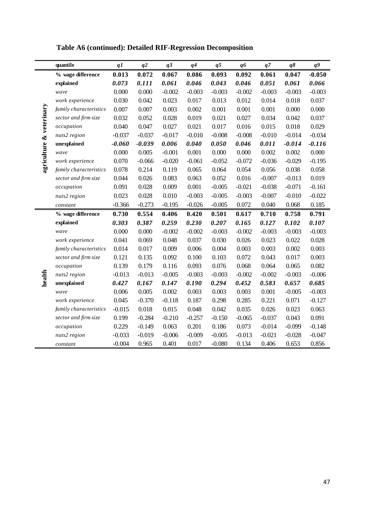|                          | quantile               | q1       | q2       | q <sub>3</sub> | q <sub>4</sub> | q <sub>5</sub> | q6       | $q\,$    | $q\delta$ | $q\overline{q}$ |
|--------------------------|------------------------|----------|----------|----------------|----------------|----------------|----------|----------|-----------|-----------------|
|                          | % wage difference      | 0.013    | 0.072    | 0.067          | 0.086          | 0.093          | 0.092    | 0.061    | 0.047     | $-0.050$        |
| agriculture & veterinary | explained              | 0.073    | 0.111    | 0.061          | 0.046          | 0.043          | 0.046    | 0.051    | 0.061     | 0.066           |
|                          | wave                   | 0.000    | 0.000    | $-0.002$       | $-0.003$       | $-0.003$       | $-0.002$ | $-0.003$ | $-0.003$  | $-0.003$        |
|                          | work experience        | 0.030    | 0.042    | 0.023          | 0.017          | 0.013          | 0.012    | 0.014    | 0.018     | 0.037           |
|                          | family characteristics | 0.007    | 0.007    | 0.003          | 0.002          | 0.001          | 0.001    | 0.001    | 0.000     | 0.000           |
|                          | sector and firm size   | 0.032    | 0.052    | 0.028          | 0.019          | 0.021          | 0.027    | 0.034    | 0.042     | 0.037           |
|                          | occupation             | 0.040    | 0.047    | 0.027          | 0.021          | 0.017          | 0.016    | 0.015    | 0.018     | 0.029           |
|                          | nuts2 region           | $-0.037$ | $-0.037$ | $-0.017$       | $-0.010$       | $-0.008$       | $-0.008$ | $-0.010$ | $-0.014$  | $-0.034$        |
|                          | unexplained            | $-0.060$ | $-0.039$ | 0.006          | 0.040          | 0.050          | 0.046    | 0.011    | $-0.014$  | $-0.116$        |
|                          | wave                   | 0.000    | 0.005    | $-0.001$       | 0.001          | 0.000          | 0.000    | 0.002    | 0.002     | 0.000           |
|                          | work experience        | 0.070    | $-0.066$ | $-0.020$       | $-0.061$       | $-0.052$       | $-0.072$ | $-0.036$ | $-0.029$  | $-0.195$        |
|                          | family characteristics | 0.078    | 0.214    | 0.119          | 0.065          | 0.064          | 0.054    | 0.056    | 0.038     | 0.058           |
|                          | sector and firm size   | 0.044    | 0.026    | 0.083          | 0.063          | 0.052          | 0.016    | $-0.007$ | $-0.013$  | 0.019           |
|                          | occupation             | 0.091    | 0.028    | 0.009          | 0.001          | $-0.005$       | $-0.021$ | $-0.038$ | $-0.071$  | $-0.161$        |
|                          | nuts2 region           | 0.023    | 0.028    | 0.010          | $-0.003$       | $-0.005$       | $-0.003$ | $-0.007$ | $-0.010$  | $-0.022$        |
|                          | constant               | $-0.366$ | $-0.273$ | $-0.195$       | $-0.026$       | $-0.005$       | 0.072    | 0.040    | 0.068     | 0.185           |
|                          | % wage difference      | 0.730    | 0.554    | 0.406          | 0.420          | 0.501          | 0.617    | 0.710    | 0.758     | 0.791           |
|                          | explained              | 0.303    | 0.387    | 0.259          | 0.230          | 0.207          | 0.165    | 0.127    | 0.102     | 0.107           |
|                          | wave                   | 0.000    | 0.000    | $-0.002$       | $-0.002$       | $-0.003$       | $-0.002$ | $-0.003$ | $-0.003$  | $-0.003$        |
|                          | work experience        | 0.041    | 0.069    | 0.048          | 0.037          | 0.030          | 0.026    | 0.023    | 0.022     | 0.028           |
|                          | family characteristics | 0.014    | 0.017    | 0.009          | 0.006          | 0.004          | 0.003    | 0.003    | 0.002     | 0.003           |
|                          | sector and firm size   | 0.121    | 0.135    | 0.092          | 0.100          | 0.103          | 0.072    | 0.043    | 0.017     | 0.003           |
| health                   | occupation             | 0.139    | 0.179    | 0.116          | 0.093          | 0.076          | 0.068    | 0.064    | 0.065     | 0.082           |
|                          | nuts2 region           | $-0.013$ | $-0.013$ | $-0.005$       | $-0.003$       | $-0.003$       | $-0.002$ | $-0.002$ | $-0.003$  | $-0.006$        |
|                          | unexplained            | 0.427    | 0.167    | 0.147          | 0.190          | 0.294          | 0.452    | 0.583    | 0.657     | 0.685           |
|                          | wave                   | 0.006    | 0.005    | 0.002          | 0.003          | 0.003          | 0.003    | 0.001    | $-0.005$  | $-0.003$        |
|                          | work experience        | 0.045    | $-0.370$ | $-0.118$       | 0.187          | 0.298          | 0.285    | 0.221    | 0.071     | $-0.127$        |
|                          | family characteristics | $-0.015$ | 0.018    | 0.015          | 0.048          | 0.042          | 0.035    | 0.026    | 0.023     | 0.063           |
|                          | sector and firm size   | 0.199    | $-0.284$ | $-0.210$       | $-0.257$       | $-0.150$       | $-0.065$ | $-0.037$ | 0.043     | 0.091           |
|                          | occupation             | 0.229    | $-0.149$ | 0.063          | 0.201          | 0.186          | 0.073    | $-0.014$ | $-0.099$  | $-0.148$        |
|                          | nuts2 region           | $-0.033$ | $-0.019$ | $-0.006$       | $-0.009$       | $-0.005$       | $-0.013$ | $-0.021$ | $-0.028$  | $-0.047$        |
|                          | constant               | $-0.004$ | 0.965    | 0.401          | 0.017          | $-0.080$       | 0.134    | 0.406    | 0.653     | 0.856           |

# **Table A6 (continued): Detailed RIF-Regression Decomposition**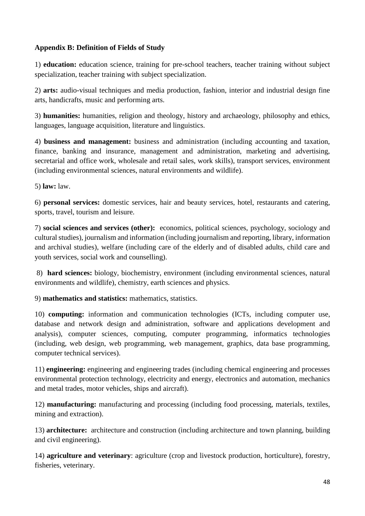## **Appendix B: Definition of Fields of Study**

1) **education:** education science, training for pre-school teachers, teacher training without subject specialization, teacher training with subject specialization.

2) **arts:** audio-visual techniques and media production, fashion, interior and industrial design fine arts, handicrafts, music and performing arts.

3) **humanities:** humanities, religion and theology, history and archaeology, philosophy and ethics, languages, language acquisition, literature and linguistics.

4) **business and management:** business and administration (including accounting and taxation, finance, banking and insurance, management and administration, marketing and advertising, secretarial and office work, wholesale and retail sales, work skills), transport services, environment (including environmental sciences, natural environments and wildlife).

5) **law:** law.

6) **personal services:** domestic services, hair and beauty services, hotel, restaurants and catering, sports, travel, tourism and leisure.

7) **social sciences and services (other):** economics, political sciences, psychology, sociology and cultural studies), journalism and information (including journalism and reporting, library, information and archival studies), welfare (including care of the elderly and of disabled adults, child care and youth services, social work and counselling).

8) **hard sciences:** biology, biochemistry, environment (including environmental sciences, natural environments and wildlife), chemistry, earth sciences and physics.

9) **mathematics and statistics:** mathematics, statistics.

10) **computing:** information and communication technologies (ICTs, including computer use, database and network design and administration, software and applications development and analysis), computer sciences, computing, computer programming, informatics technologies (including, web design, web programming, web management, graphics, data base programming, computer technical services).

11) **engineering:** engineering and engineering trades (including chemical engineering and processes environmental protection technology, electricity and energy, electronics and automation, mechanics and metal trades, motor vehicles, ships and aircraft).

12) **manufacturing:** manufacturing and processing (including food processing, materials, textiles, mining and extraction).

13) **architecture:** architecture and construction (including architecture and town planning, building and civil engineering).

14) **agriculture and veterinary**: agriculture (crop and livestock production, horticulture), forestry, fisheries, veterinary.